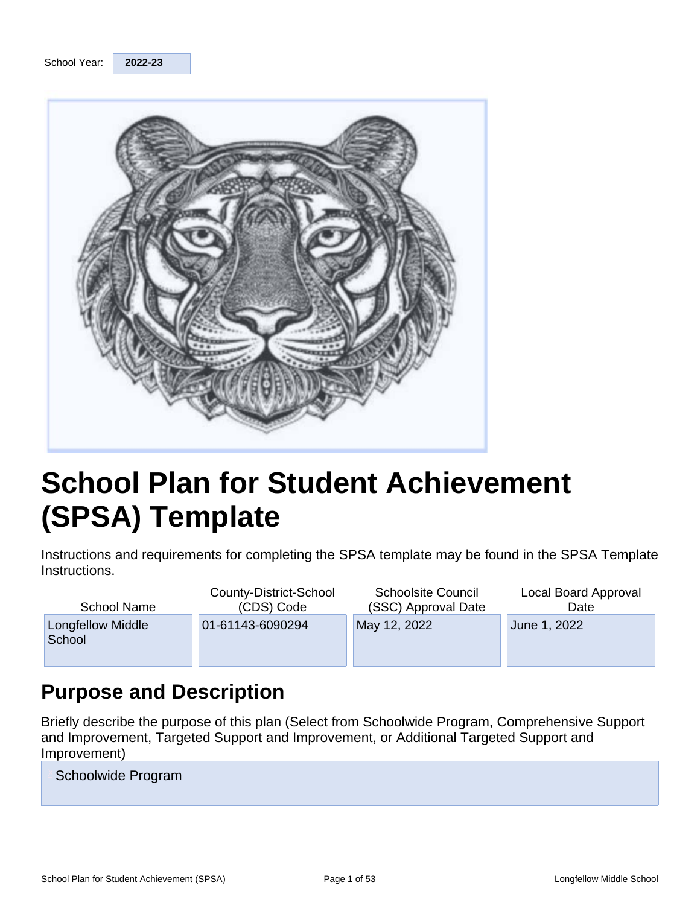

# **School Plan for Student Achievement (SPSA) Template**

Instructions and requirements for completing the SPSA template may be found in the SPSA Template Instructions.

| School Name                 | County-District-School | <b>Schoolsite Council</b> | Local Board Approval |
|-----------------------------|------------------------|---------------------------|----------------------|
|                             | (CDS) Code             | (SSC) Approval Date       | Date                 |
| Longfellow Middle<br>School | 01-61143-6090294       | May 12, 2022              | June 1, 2022         |

# **Purpose and Description**

Briefly describe the purpose of this plan (Select from Schoolwide Program, Comprehensive Support and Improvement, Targeted Support and Improvement, or Additional Targeted Support and Improvement)

Schoolwide Program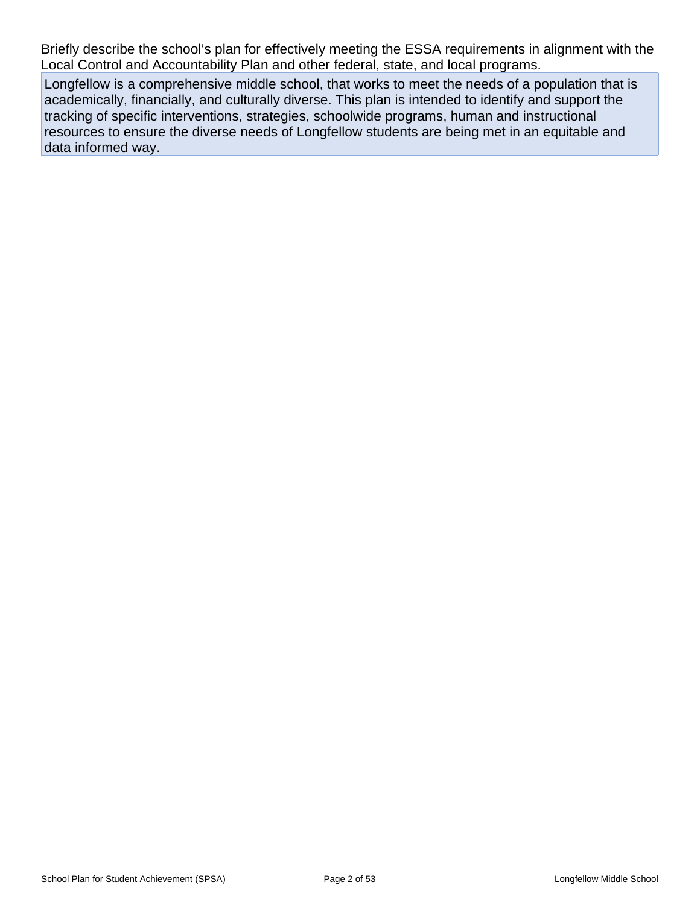Briefly describe the school's plan for effectively meeting the ESSA requirements in alignment with the Local Control and Accountability Plan and other federal, state, and local programs.

Longfellow is a comprehensive middle school, that works to meet the needs of a population that is academically, financially, and culturally diverse. This plan is intended to identify and support the tracking of specific interventions, strategies, schoolwide programs, human and instructional resources to ensure the diverse needs of Longfellow students are being met in an equitable and data informed way.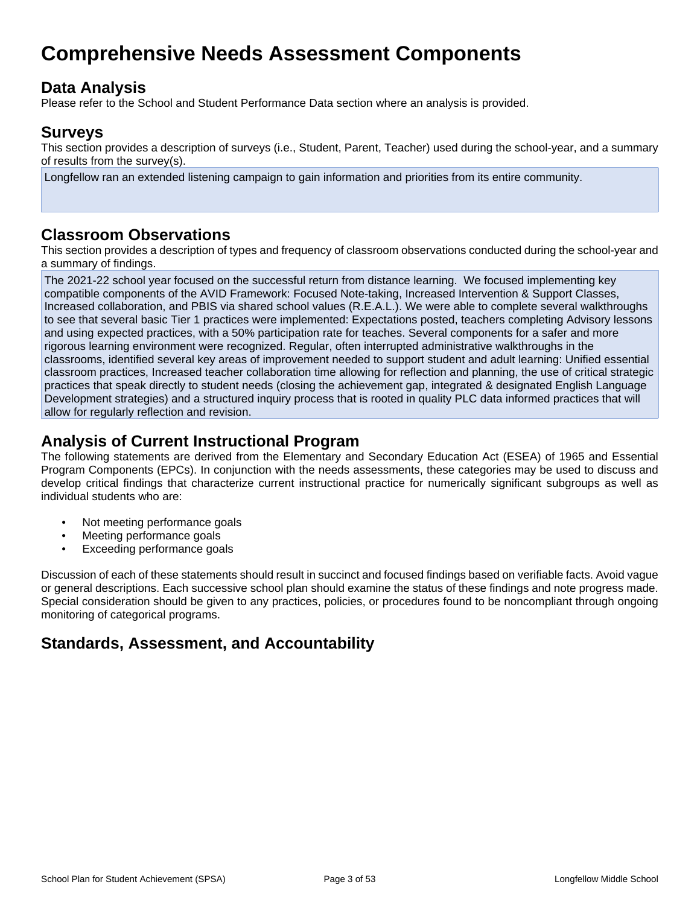# **Comprehensive Needs Assessment Components**

## **Data Analysis**

Please refer to the School and Student Performance Data section where an analysis is provided.

### **Surveys**

This section provides a description of surveys (i.e., Student, Parent, Teacher) used during the school-year, and a summary of results from the survey(s).

Longfellow ran an extended listening campaign to gain information and priorities from its entire community.

## **Classroom Observations**

This section provides a description of types and frequency of classroom observations conducted during the school-year and a summary of findings.

The 2021-22 school year focused on the successful return from distance learning. We focused implementing key compatible components of the AVID Framework: Focused Note-taking, Increased Intervention & Support Classes, Increased collaboration, and PBIS via shared school values (R.E.A.L.). We were able to complete several walkthroughs to see that several basic Tier 1 practices were implemented: Expectations posted, teachers completing Advisory lessons and using expected practices, with a 50% participation rate for teaches. Several components for a safer and more rigorous learning environment were recognized. Regular, often interrupted administrative walkthroughs in the classrooms, identified several key areas of improvement needed to support student and adult learning: Unified essential classroom practices, Increased teacher collaboration time allowing for reflection and planning, the use of critical strategic practices that speak directly to student needs (closing the achievement gap, integrated & designated English Language Development strategies) and a structured inquiry process that is rooted in quality PLC data informed practices that will allow for regularly reflection and revision.

## **Analysis of Current Instructional Program**

The following statements are derived from the Elementary and Secondary Education Act (ESEA) of 1965 and Essential Program Components (EPCs). In conjunction with the needs assessments, these categories may be used to discuss and develop critical findings that characterize current instructional practice for numerically significant subgroups as well as individual students who are:

- Not meeting performance goals
- Meeting performance goals
- Exceeding performance goals

Discussion of each of these statements should result in succinct and focused findings based on verifiable facts. Avoid vague or general descriptions. Each successive school plan should examine the status of these findings and note progress made. Special consideration should be given to any practices, policies, or procedures found to be noncompliant through ongoing monitoring of categorical programs.

## **Standards, Assessment, and Accountability**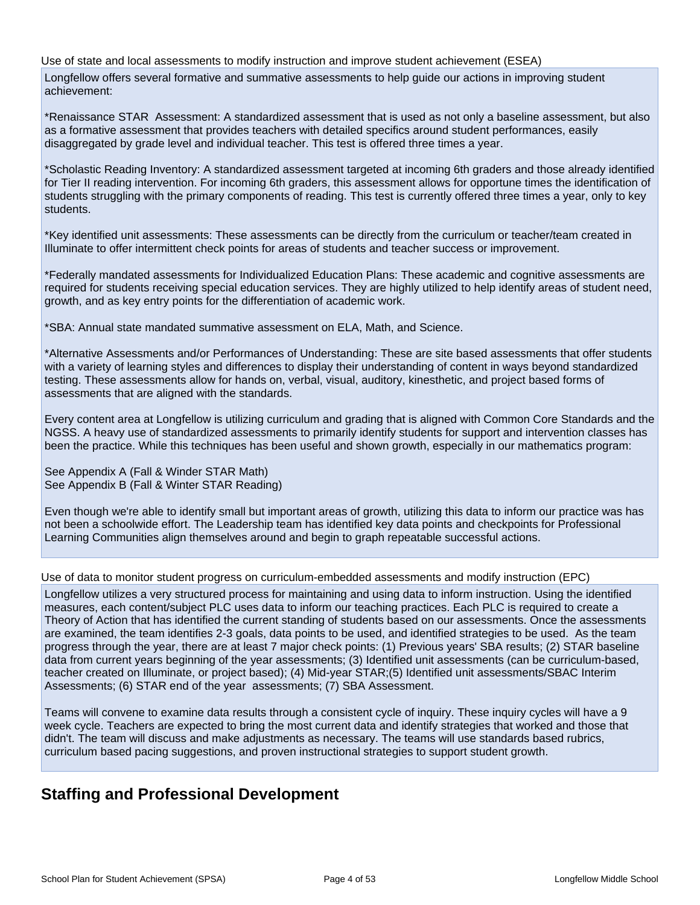Use of state and local assessments to modify instruction and improve student achievement (ESEA)

Longfellow offers several formative and summative assessments to help guide our actions in improving student achievement:

\*Renaissance STAR Assessment: A standardized assessment that is used as not only a baseline assessment, but also as a formative assessment that provides teachers with detailed specifics around student performances, easily disaggregated by grade level and individual teacher. This test is offered three times a year.

\*Scholastic Reading Inventory: A standardized assessment targeted at incoming 6th graders and those already identified for Tier II reading intervention. For incoming 6th graders, this assessment allows for opportune times the identification of students struggling with the primary components of reading. This test is currently offered three times a year, only to key students.

\*Key identified unit assessments: These assessments can be directly from the curriculum or teacher/team created in Illuminate to offer intermittent check points for areas of students and teacher success or improvement.

\*Federally mandated assessments for Individualized Education Plans: These academic and cognitive assessments are required for students receiving special education services. They are highly utilized to help identify areas of student need, growth, and as key entry points for the differentiation of academic work.

\*SBA: Annual state mandated summative assessment on ELA, Math, and Science.

\*Alternative Assessments and/or Performances of Understanding: These are site based assessments that offer students with a variety of learning styles and differences to display their understanding of content in ways beyond standardized testing. These assessments allow for hands on, verbal, visual, auditory, kinesthetic, and project based forms of assessments that are aligned with the standards.

Every content area at Longfellow is utilizing curriculum and grading that is aligned with Common Core Standards and the NGSS. A heavy use of standardized assessments to primarily identify students for support and intervention classes has been the practice. While this techniques has been useful and shown growth, especially in our mathematics program:

See Appendix A (Fall & Winder STAR Math) See Appendix B (Fall & Winter STAR Reading)

Even though we're able to identify small but important areas of growth, utilizing this data to inform our practice was has not been a schoolwide effort. The Leadership team has identified key data points and checkpoints for Professional Learning Communities align themselves around and begin to graph repeatable successful actions.

Use of data to monitor student progress on curriculum-embedded assessments and modify instruction (EPC)

Longfellow utilizes a very structured process for maintaining and using data to inform instruction. Using the identified measures, each content/subject PLC uses data to inform our teaching practices. Each PLC is required to create a Theory of Action that has identified the current standing of students based on our assessments. Once the assessments are examined, the team identifies 2-3 goals, data points to be used, and identified strategies to be used. As the team progress through the year, there are at least 7 major check points: (1) Previous years' SBA results; (2) STAR baseline data from current years beginning of the year assessments; (3) Identified unit assessments (can be curriculum-based, teacher created on Illuminate, or project based); (4) Mid-year STAR;(5) Identified unit assessments/SBAC Interim Assessments; (6) STAR end of the year assessments; (7) SBA Assessment.

Teams will convene to examine data results through a consistent cycle of inquiry. These inquiry cycles will have a 9 week cycle. Teachers are expected to bring the most current data and identify strategies that worked and those that didn't. The team will discuss and make adjustments as necessary. The teams will use standards based rubrics, curriculum based pacing suggestions, and proven instructional strategies to support student growth.

## **Staffing and Professional Development**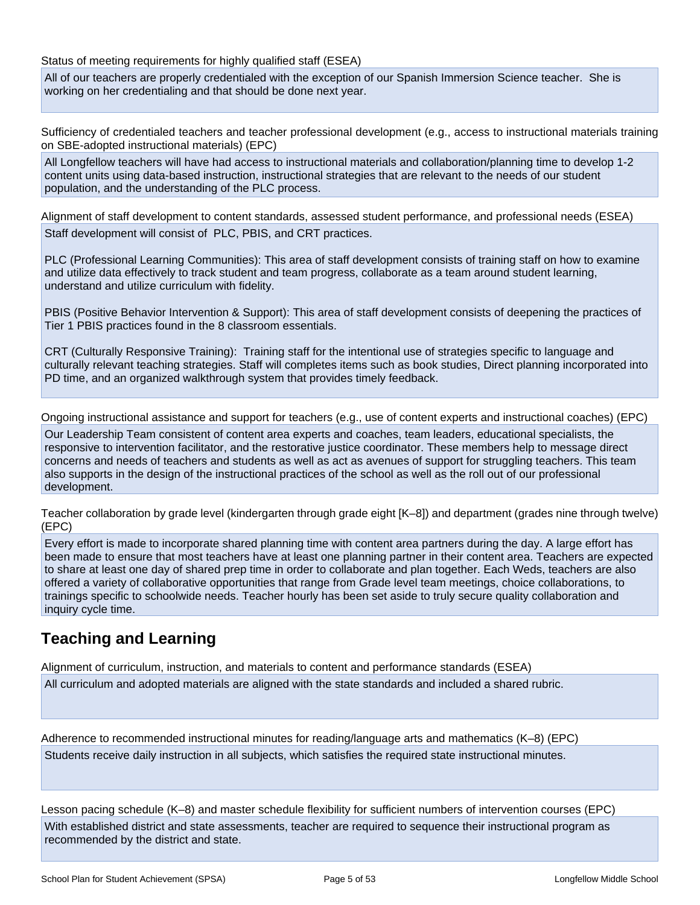Status of meeting requirements for highly qualified staff (ESEA)

All of our teachers are properly credentialed with the exception of our Spanish Immersion Science teacher. She is working on her credentialing and that should be done next year.

Sufficiency of credentialed teachers and teacher professional development (e.g., access to instructional materials training on SBE-adopted instructional materials) (EPC)

All Longfellow teachers will have had access to instructional materials and collaboration/planning time to develop 1-2 content units using data-based instruction, instructional strategies that are relevant to the needs of our student population, and the understanding of the PLC process.

Alignment of staff development to content standards, assessed student performance, and professional needs (ESEA) Staff development will consist of PLC, PBIS, and CRT practices.

PLC (Professional Learning Communities): This area of staff development consists of training staff on how to examine and utilize data effectively to track student and team progress, collaborate as a team around student learning, understand and utilize curriculum with fidelity.

PBIS (Positive Behavior Intervention & Support): This area of staff development consists of deepening the practices of Tier 1 PBIS practices found in the 8 classroom essentials.

CRT (Culturally Responsive Training): Training staff for the intentional use of strategies specific to language and culturally relevant teaching strategies. Staff will completes items such as book studies, Direct planning incorporated into PD time, and an organized walkthrough system that provides timely feedback.

Ongoing instructional assistance and support for teachers (e.g., use of content experts and instructional coaches) (EPC)

Our Leadership Team consistent of content area experts and coaches, team leaders, educational specialists, the responsive to intervention facilitator, and the restorative justice coordinator. These members help to message direct concerns and needs of teachers and students as well as act as avenues of support for struggling teachers. This team also supports in the design of the instructional practices of the school as well as the roll out of our professional development.

Teacher collaboration by grade level (kindergarten through grade eight [K–8]) and department (grades nine through twelve) (EPC)

Every effort is made to incorporate shared planning time with content area partners during the day. A large effort has been made to ensure that most teachers have at least one planning partner in their content area. Teachers are expected to share at least one day of shared prep time in order to collaborate and plan together. Each Weds, teachers are also offered a variety of collaborative opportunities that range from Grade level team meetings, choice collaborations, to trainings specific to schoolwide needs. Teacher hourly has been set aside to truly secure quality collaboration and inquiry cycle time.

## **Teaching and Learning**

Alignment of curriculum, instruction, and materials to content and performance standards (ESEA)

All curriculum and adopted materials are aligned with the state standards and included a shared rubric.

Adherence to recommended instructional minutes for reading/language arts and mathematics (K–8) (EPC) Students receive daily instruction in all subjects, which satisfies the required state instructional minutes.

Lesson pacing schedule (K–8) and master schedule flexibility for sufficient numbers of intervention courses (EPC) With established district and state assessments, teacher are required to sequence their instructional program as recommended by the district and state.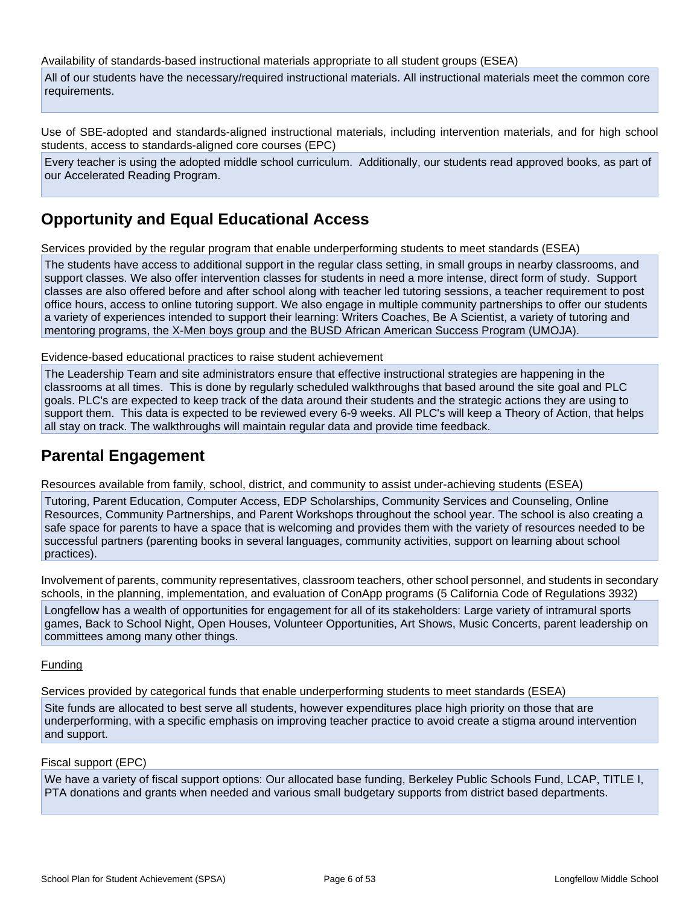Availability of standards-based instructional materials appropriate to all student groups (ESEA)

All of our students have the necessary/required instructional materials. All instructional materials meet the common core requirements.

Use of SBE-adopted and standards-aligned instructional materials, including intervention materials, and for high school students, access to standards-aligned core courses (EPC)

Every teacher is using the adopted middle school curriculum. Additionally, our students read approved books, as part of our Accelerated Reading Program.

## **Opportunity and Equal Educational Access**

Services provided by the regular program that enable underperforming students to meet standards (ESEA)

The students have access to additional support in the regular class setting, in small groups in nearby classrooms, and support classes. We also offer intervention classes for students in need a more intense, direct form of study. Support classes are also offered before and after school along with teacher led tutoring sessions, a teacher requirement to post office hours, access to online tutoring support. We also engage in multiple community partnerships to offer our students a variety of experiences intended to support their learning: Writers Coaches, Be A Scientist, a variety of tutoring and mentoring programs, the X-Men boys group and the BUSD African American Success Program (UMOJA).

Evidence-based educational practices to raise student achievement

The Leadership Team and site administrators ensure that effective instructional strategies are happening in the classrooms at all times. This is done by regularly scheduled walkthroughs that based around the site goal and PLC goals. PLC's are expected to keep track of the data around their students and the strategic actions they are using to support them. This data is expected to be reviewed every 6-9 weeks. All PLC's will keep a Theory of Action, that helps all stay on track. The walkthroughs will maintain regular data and provide time feedback.

## **Parental Engagement**

Resources available from family, school, district, and community to assist under-achieving students (ESEA)

Tutoring, Parent Education, Computer Access, EDP Scholarships, Community Services and Counseling, Online Resources, Community Partnerships, and Parent Workshops throughout the school year. The school is also creating a safe space for parents to have a space that is welcoming and provides them with the variety of resources needed to be successful partners (parenting books in several languages, community activities, support on learning about school practices).

Involvement of parents, community representatives, classroom teachers, other school personnel, and students in secondary schools, in the planning, implementation, and evaluation of ConApp programs (5 California Code of Regulations 3932)

Longfellow has a wealth of opportunities for engagement for all of its stakeholders: Large variety of intramural sports games, Back to School Night, Open Houses, Volunteer Opportunities, Art Shows, Music Concerts, parent leadership on committees among many other things.

#### Funding

Services provided by categorical funds that enable underperforming students to meet standards (ESEA)

Site funds are allocated to best serve all students, however expenditures place high priority on those that are underperforming, with a specific emphasis on improving teacher practice to avoid create a stigma around intervention and support.

#### Fiscal support (EPC)

We have a variety of fiscal support options: Our allocated base funding, Berkeley Public Schools Fund, LCAP, TITLE I, PTA donations and grants when needed and various small budgetary supports from district based departments.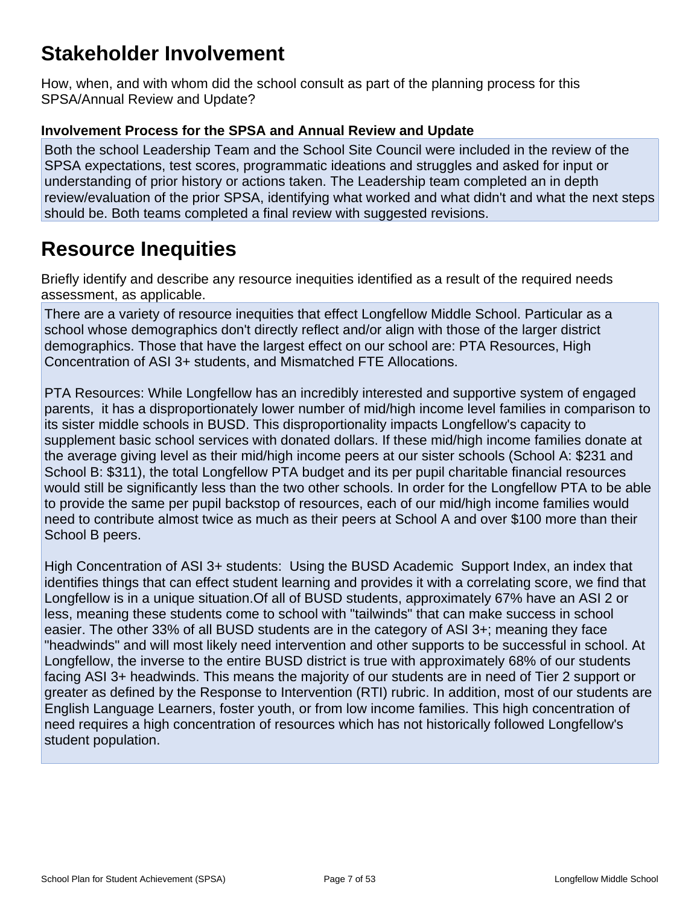# **Stakeholder Involvement**

How, when, and with whom did the school consult as part of the planning process for this SPSA/Annual Review and Update?

### **Involvement Process for the SPSA and Annual Review and Update**

Both the school Leadership Team and the School Site Council were included in the review of the SPSA expectations, test scores, programmatic ideations and struggles and asked for input or understanding of prior history or actions taken. The Leadership team completed an in depth review/evaluation of the prior SPSA, identifying what worked and what didn't and what the next steps should be. Both teams completed a final review with suggested revisions.

# **Resource Inequities**

Briefly identify and describe any resource inequities identified as a result of the required needs assessment, as applicable.

There are a variety of resource inequities that effect Longfellow Middle School. Particular as a school whose demographics don't directly reflect and/or align with those of the larger district demographics. Those that have the largest effect on our school are: PTA Resources, High Concentration of ASI 3+ students, and Mismatched FTE Allocations.

PTA Resources: While Longfellow has an incredibly interested and supportive system of engaged parents, it has a disproportionately lower number of mid/high income level families in comparison to its sister middle schools in BUSD. This disproportionality impacts Longfellow's capacity to supplement basic school services with donated dollars. If these mid/high income families donate at the average giving level as their mid/high income peers at our sister schools (School A: \$231 and School B: \$311), the total Longfellow PTA budget and its per pupil charitable financial resources would still be significantly less than the two other schools. In order for the Longfellow PTA to be able to provide the same per pupil backstop of resources, each of our mid/high income families would need to contribute almost twice as much as their peers at School A and over \$100 more than their School B peers.

High Concentration of ASI 3+ students: Using the BUSD Academic Support Index, an index that identifies things that can effect student learning and provides it with a correlating score, we find that Longfellow is in a unique situation.Of all of BUSD students, approximately 67% have an ASI 2 or less, meaning these students come to school with "tailwinds" that can make success in school easier. The other 33% of all BUSD students are in the category of ASI 3+; meaning they face "headwinds" and will most likely need intervention and other supports to be successful in school. At Longfellow, the inverse to the entire BUSD district is true with approximately 68% of our students facing ASI 3+ headwinds. This means the majority of our students are in need of Tier 2 support or greater as defined by the Response to Intervention (RTI) rubric. In addition, most of our students are English Language Learners, foster youth, or from low income families. This high concentration of need requires a high concentration of resources which has not historically followed Longfellow's student population.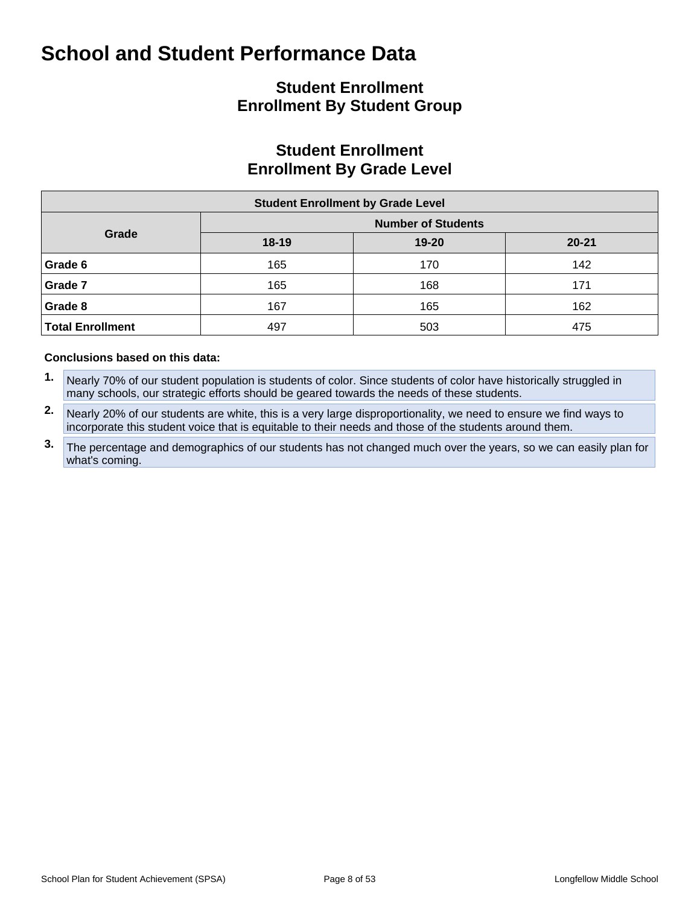## **Student Enrollment Enrollment By Student Group**

## **Student Enrollment Enrollment By Grade Level**

| <b>Student Enrollment by Grade Level</b> |           |                           |           |  |  |  |  |  |  |  |
|------------------------------------------|-----------|---------------------------|-----------|--|--|--|--|--|--|--|
|                                          |           | <b>Number of Students</b> |           |  |  |  |  |  |  |  |
| Grade                                    | $18 - 19$ | $19 - 20$                 | $20 - 21$ |  |  |  |  |  |  |  |
| Grade 6                                  | 165       | 170                       | 142       |  |  |  |  |  |  |  |
| Grade 7                                  | 165       | 168                       | 171       |  |  |  |  |  |  |  |
| Grade 8                                  | 167       | 165                       | 162       |  |  |  |  |  |  |  |
| <b>Total Enrollment</b>                  | 497       | 503                       | 475       |  |  |  |  |  |  |  |

#### **Conclusions based on this data:**

- **1.** Nearly 70% of our student population is students of color. Since students of color have historically struggled in many schools, our strategic efforts should be geared towards the needs of these students.
- **2.** Nearly 20% of our students are white, this is a very large disproportionality, we need to ensure we find ways to incorporate this student voice that is equitable to their needs and those of the students around them.
- **3.** The percentage and demographics of our students has not changed much over the years, so we can easily plan for what's coming.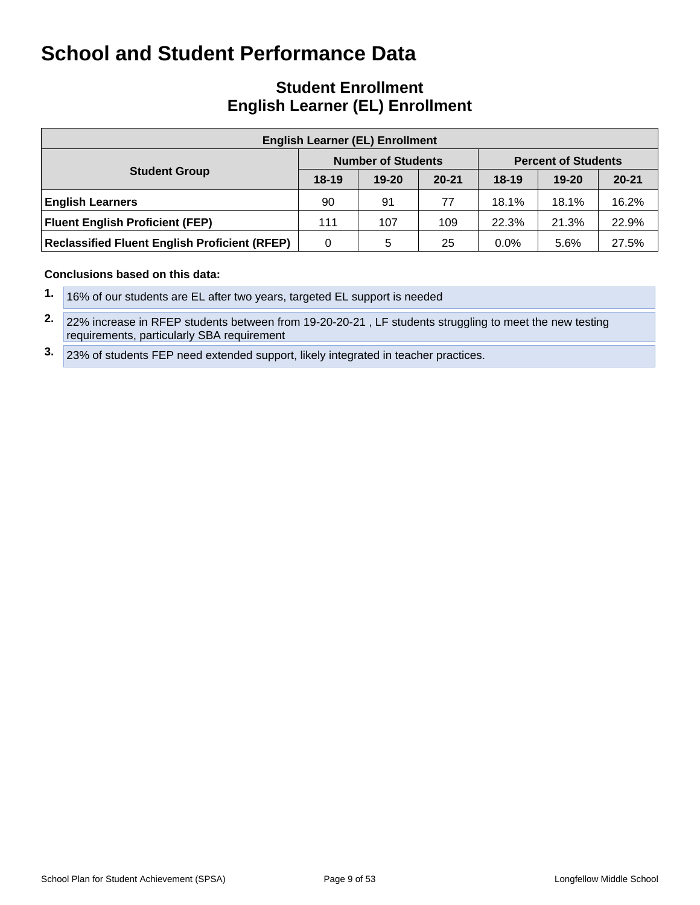## **Student Enrollment English Learner (EL) Enrollment**

| <b>English Learner (EL) Enrollment</b>               |           |                           |           |         |                            |           |  |  |  |  |  |  |
|------------------------------------------------------|-----------|---------------------------|-----------|---------|----------------------------|-----------|--|--|--|--|--|--|
|                                                      |           | <b>Number of Students</b> |           |         | <b>Percent of Students</b> |           |  |  |  |  |  |  |
| <b>Student Group</b>                                 | $18 - 19$ | $19 - 20$                 | $20 - 21$ | $18-19$ | $19 - 20$                  | $20 - 21$ |  |  |  |  |  |  |
| <b>English Learners</b>                              | 90        | 91                        | 77        | 18.1%   | 18.1%                      | 16.2%     |  |  |  |  |  |  |
| <b>Fluent English Proficient (FEP)</b>               | 111       | 107                       | 109       | 22.3%   | 21.3%                      | 22.9%     |  |  |  |  |  |  |
| <b>Reclassified Fluent English Proficient (RFEP)</b> | 0         | 5                         | 25        | $0.0\%$ | 5.6%                       | 27.5%     |  |  |  |  |  |  |

#### **Conclusions based on this data:**

**2.** 22% increase in RFEP students between from 19-20-20-21 , LF students struggling to meet the new testing requirements, particularly SBA requirement

**3.** 23% of students FEP need extended support, likely integrated in teacher practices.

**<sup>1.</sup>** 16% of our students are EL after two years, targeted EL support is needed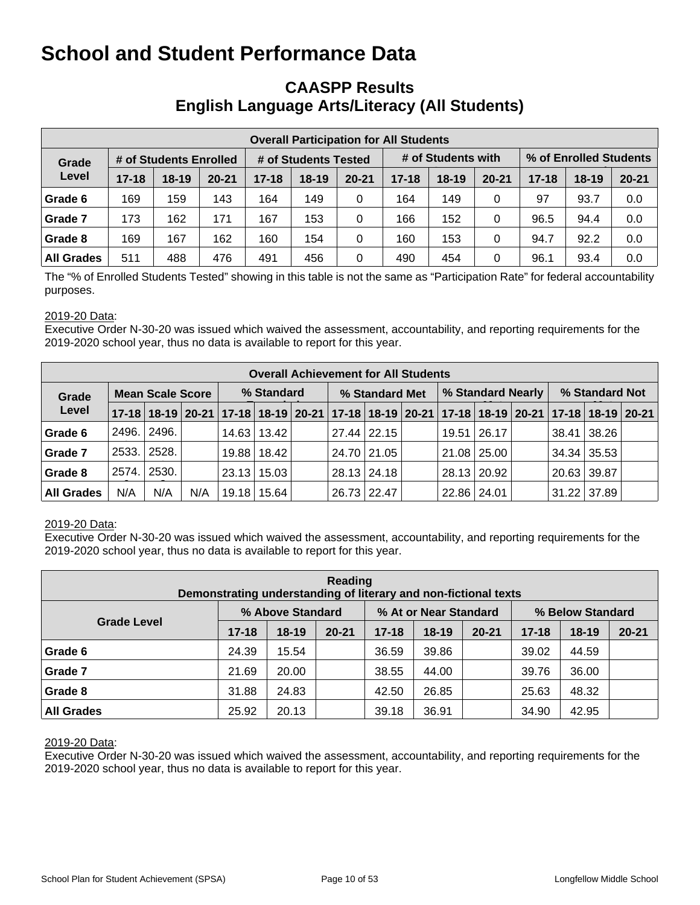## **CAASPP Results English Language Arts/Literacy (All Students)**

| <b>Overall Participation for All Students</b> |                        |         |           |           |                      |           |           |                    |           |                        |           |           |  |
|-----------------------------------------------|------------------------|---------|-----------|-----------|----------------------|-----------|-----------|--------------------|-----------|------------------------|-----------|-----------|--|
| Grade                                         | # of Students Enrolled |         |           |           | # of Students Tested |           |           | # of Students with |           | % of Enrolled Students |           |           |  |
| Level                                         | $17 - 18$              | $18-19$ | $20 - 21$ | $17 - 18$ | $18 - 19$            | $20 - 21$ | $17 - 18$ | $18-19$            | $20 - 21$ | $17 - 18$              | $18 - 19$ | $20 - 21$ |  |
| Grade 6                                       | 169                    | 159     | 143       | 164       | 149                  | 0         | 164       | 149                | 0         | 97                     | 93.7      | 0.0       |  |
| Grade 7                                       | 173                    | 162     | 171       | 167       | 153                  | 0         | 166       | 152                | 0         | 96.5                   | 94.4      | 0.0       |  |
| Grade 8                                       | 169                    | 167     | 162       | 160       | 154                  | 0         | 160       | 153                | 0         | 94.7                   | 92.2      | 0.0       |  |
| <b>All Grades</b>                             | 511                    | 488     | 476       | 491       | 456                  | 0         | 490       | 454                | 0         | 96.1                   | 93.4      | 0.0       |  |

The "% of Enrolled Students Tested" showing in this table is not the same as "Participation Rate" for federal accountability purposes.

#### 2019-20 Data:

Executive Order N-30-20 was issued which waived the assessment, accountability, and reporting requirements for the 2019-2020 school year, thus no data is available to report for this year.

|                   | <b>Overall Achievement for All Students</b> |                         |     |            |                 |  |                |               |  |                   |               |  |                |                                                                                           |  |
|-------------------|---------------------------------------------|-------------------------|-----|------------|-----------------|--|----------------|---------------|--|-------------------|---------------|--|----------------|-------------------------------------------------------------------------------------------|--|
| Grade             |                                             | <b>Mean Scale Score</b> |     | % Standard |                 |  | % Standard Met |               |  | % Standard Nearly |               |  | % Standard Not |                                                                                           |  |
| Level             |                                             |                         |     |            |                 |  |                |               |  |                   |               |  |                | 17-18 18-19 20-21 17-18 18-19 20-21 17-18 18-19 20-21 17-18 18-19 20-21 17-18 18-19 20-21 |  |
| Grade 6           | 2496.                                       | 2496.                   |     |            | 14.63   13.42   |  |                | $27.44$ 22.15 |  |                   | 19.51   26.17 |  | 38.41 38.26    |                                                                                           |  |
| Grade 7           |                                             | 2533. 2528.             |     |            | 19.88   18.42   |  |                | 24.70 21.05   |  |                   | 21.08   25.00 |  | 34.34 35.53    |                                                                                           |  |
| Grade 8           | 2574.                                       | 2530.                   |     |            | $23.13$   15.03 |  |                | 28.13   24.18 |  |                   | 28.13   20.92 |  | 20.63   39.87  |                                                                                           |  |
| <b>All Grades</b> | N/A                                         | N/A                     | N/A |            | 19.18 15.64     |  |                | 26.73 22.47   |  | 22.86 24.01       |               |  | $31.22$ 37.89  |                                                                                           |  |

#### 2019-20 Data:

Executive Order N-30-20 was issued which waived the assessment, accountability, and reporting requirements for the 2019-2020 school year, thus no data is available to report for this year.

| Reading<br>Demonstrating understanding of literary and non-fictional texts |           |                  |           |           |                       |           |                  |         |           |  |  |  |  |
|----------------------------------------------------------------------------|-----------|------------------|-----------|-----------|-----------------------|-----------|------------------|---------|-----------|--|--|--|--|
|                                                                            |           | % Above Standard |           |           | % At or Near Standard |           | % Below Standard |         |           |  |  |  |  |
| <b>Grade Level</b>                                                         | $17 - 18$ | $18-19$          | $20 - 21$ | $17 - 18$ | $18 - 19$             | $20 - 21$ | $17 - 18$        | $18-19$ | $20 - 21$ |  |  |  |  |
| Grade 6                                                                    | 24.39     | 15.54            |           | 36.59     | 39.86                 |           | 39.02            | 44.59   |           |  |  |  |  |
| Grade 7                                                                    | 21.69     | 20.00            |           | 38.55     | 44.00                 |           | 39.76            | 36.00   |           |  |  |  |  |
| Grade 8                                                                    | 31.88     | 24.83            |           | 42.50     | 26.85                 |           | 25.63            | 48.32   |           |  |  |  |  |
| <b>All Grades</b>                                                          | 25.92     | 20.13            |           | 39.18     | 36.91                 |           | 34.90            | 42.95   |           |  |  |  |  |

#### 2019-20 Data:

Executive Order N-30-20 was issued which waived the assessment, accountability, and reporting requirements for the 2019-2020 school year, thus no data is available to report for this year.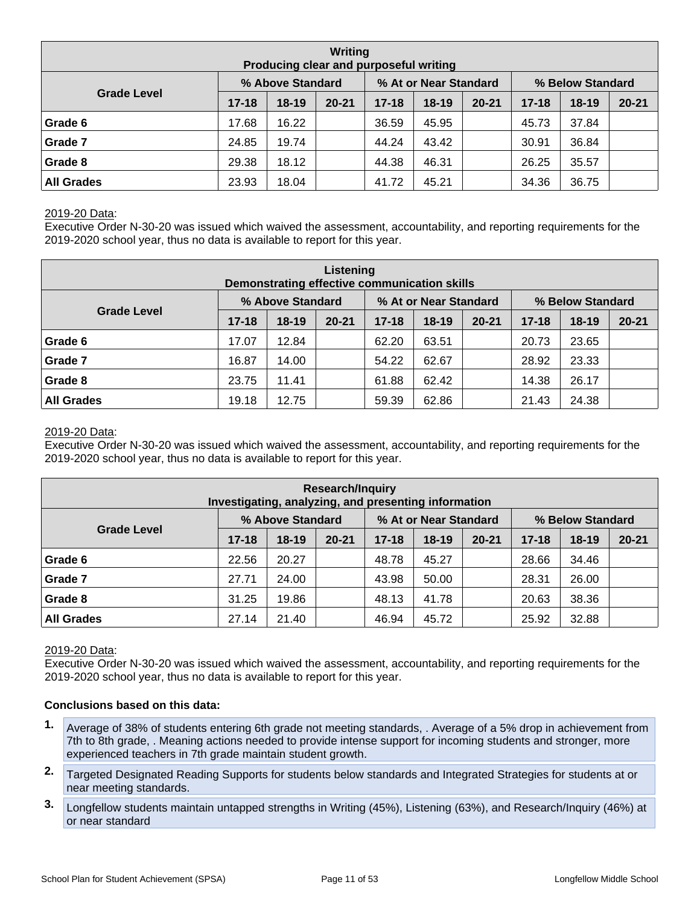| Writing<br>Producing clear and purposeful writing |           |                  |           |           |                       |           |                  |           |           |  |  |  |  |
|---------------------------------------------------|-----------|------------------|-----------|-----------|-----------------------|-----------|------------------|-----------|-----------|--|--|--|--|
|                                                   |           | % Above Standard |           |           | % At or Near Standard |           | % Below Standard |           |           |  |  |  |  |
| <b>Grade Level</b>                                | $17 - 18$ | $18-19$          | $20 - 21$ | $17 - 18$ | $18 - 19$             | $20 - 21$ | $17 - 18$        | $18 - 19$ | $20 - 21$ |  |  |  |  |
| Grade 6                                           | 17.68     | 16.22            |           | 36.59     | 45.95                 |           | 45.73            | 37.84     |           |  |  |  |  |
| Grade 7                                           | 24.85     | 19.74            |           | 44.24     | 43.42                 |           | 30.91            | 36.84     |           |  |  |  |  |
| Grade 8                                           | 29.38     | 18.12            |           | 44.38     | 46.31                 |           | 26.25            | 35.57     |           |  |  |  |  |
| <b>All Grades</b>                                 | 23.93     | 18.04            |           | 41.72     | 45.21                 |           | 34.36            | 36.75     |           |  |  |  |  |

#### 2019-20 Data:

Executive Order N-30-20 was issued which waived the assessment, accountability, and reporting requirements for the 2019-2020 school year, thus no data is available to report for this year.

| Listening<br>Demonstrating effective communication skills |           |                  |           |           |                       |           |                  |           |           |  |  |  |  |
|-----------------------------------------------------------|-----------|------------------|-----------|-----------|-----------------------|-----------|------------------|-----------|-----------|--|--|--|--|
|                                                           |           | % Above Standard |           |           | % At or Near Standard |           | % Below Standard |           |           |  |  |  |  |
| <b>Grade Level</b>                                        | $17 - 18$ | $18-19$          | $20 - 21$ | $17 - 18$ | $18 - 19$             | $20 - 21$ | $17 - 18$        | $18 - 19$ | $20 - 21$ |  |  |  |  |
| Grade 6                                                   | 17.07     | 12.84            |           | 62.20     | 63.51                 |           | 20.73            | 23.65     |           |  |  |  |  |
| Grade 7                                                   | 16.87     | 14.00            |           | 54.22     | 62.67                 |           | 28.92            | 23.33     |           |  |  |  |  |
| Grade 8                                                   | 23.75     | 11.41            |           | 61.88     | 62.42                 |           | 14.38            | 26.17     |           |  |  |  |  |
| <b>All Grades</b>                                         | 19.18     | 12.75            |           | 59.39     | 62.86                 |           | 21.43            | 24.38     |           |  |  |  |  |

#### 2019-20 Data:

Executive Order N-30-20 was issued which waived the assessment, accountability, and reporting requirements for the 2019-2020 school year, thus no data is available to report for this year.

| <b>Research/Inquiry</b><br>Investigating, analyzing, and presenting information |           |                  |           |           |                       |           |                  |           |           |  |  |  |  |
|---------------------------------------------------------------------------------|-----------|------------------|-----------|-----------|-----------------------|-----------|------------------|-----------|-----------|--|--|--|--|
|                                                                                 |           | % Above Standard |           |           | % At or Near Standard |           | % Below Standard |           |           |  |  |  |  |
| <b>Grade Level</b>                                                              | $17 - 18$ | $18-19$          | $20 - 21$ | $17 - 18$ | $18 - 19$             | $20 - 21$ | $17 - 18$        | $18 - 19$ | $20 - 21$ |  |  |  |  |
| Grade 6                                                                         | 22.56     | 20.27            |           | 48.78     | 45.27                 |           | 28.66            | 34.46     |           |  |  |  |  |
| Grade 7                                                                         | 27.71     | 24.00            |           | 43.98     | 50.00                 |           | 28.31            | 26.00     |           |  |  |  |  |
| Grade 8                                                                         | 31.25     | 19.86            |           | 48.13     | 41.78                 |           | 20.63            | 38.36     |           |  |  |  |  |
| <b>All Grades</b>                                                               | 27.14     | 21.40            |           | 46.94     | 45.72                 |           | 25.92            | 32.88     |           |  |  |  |  |

#### 2019-20 Data:

Executive Order N-30-20 was issued which waived the assessment, accountability, and reporting requirements for the 2019-2020 school year, thus no data is available to report for this year.

#### **Conclusions based on this data:**

- **1.** Average of 38% of students entering 6th grade not meeting standards, . Average of a 5% drop in achievement from 7th to 8th grade, . Meaning actions needed to provide intense support for incoming students and stronger, more experienced teachers in 7th grade maintain student growth.
- **2.** Targeted Designated Reading Supports for students below standards and Integrated Strategies for students at or near meeting standards.
- **3.** Longfellow students maintain untapped strengths in Writing (45%), Listening (63%), and Research/Inquiry (46%) at or near standard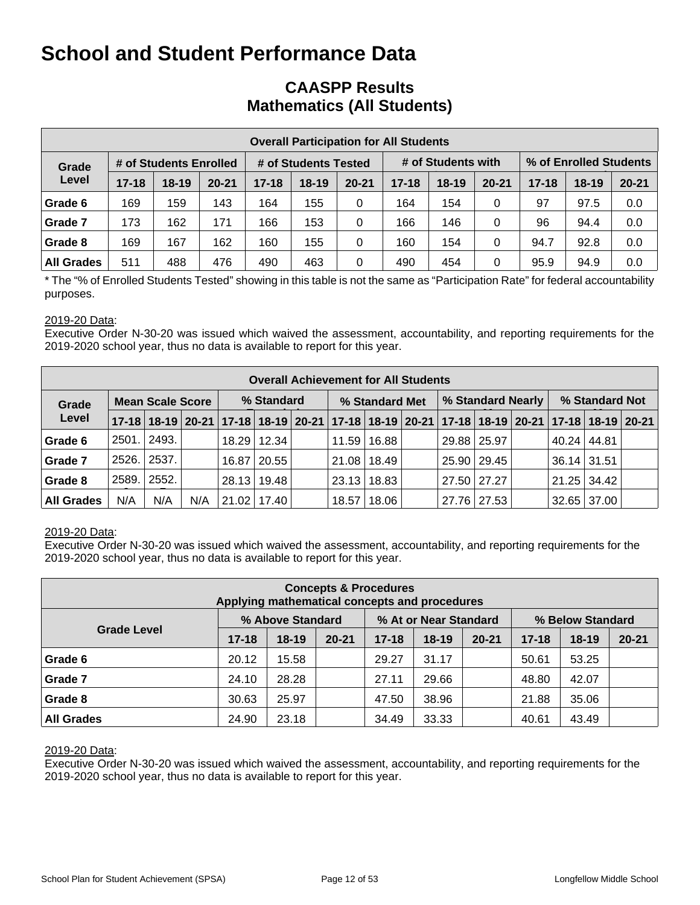## **CAASPP Results Mathematics (All Students)**

|                   | <b>Overall Participation for All Students</b> |                        |           |           |                      |           |           |                    |           |           |                        |           |  |  |
|-------------------|-----------------------------------------------|------------------------|-----------|-----------|----------------------|-----------|-----------|--------------------|-----------|-----------|------------------------|-----------|--|--|
| Grade             |                                               | # of Students Enrolled |           |           | # of Students Tested |           |           | # of Students with |           |           | % of Enrolled Students |           |  |  |
| Level             | $17 - 18$                                     | $18-19$                | $20 - 21$ | $17 - 18$ | $18-19$              | $20 - 21$ | $17 - 18$ | $18-19$            | $20 - 21$ | $17 - 18$ | $18 - 19$              | $20 - 21$ |  |  |
| Grade 6           | 169                                           | 159                    | 143       | 164       | 155                  | 0         | 164       | 154                | 0         | 97        | 97.5                   | 0.0       |  |  |
| Grade 7           | 173                                           | 162                    | 171       | 166       | 153                  | 0         | 166       | 146                | 0         | 96        | 94.4                   | 0.0       |  |  |
| Grade 8           | 169                                           | 167                    | 162       | 160       | 155                  | 0         | 160       | 154                | 0         | 94.7      | 92.8                   | 0.0       |  |  |
| <b>All Grades</b> | 511                                           | 488                    | 476       | 490       | 463                  | 0         | 490       | 454                | 0         | 95.9      | 94.9                   | 0.0       |  |  |

\* The "% of Enrolled Students Tested" showing in this table is not the same as "Participation Rate" for federal accountability purposes.

#### 2019-20 Data:

Executive Order N-30-20 was issued which waived the assessment, accountability, and reporting requirements for the 2019-2020 school year, thus no data is available to report for this year.

|                   | <b>Overall Achievement for All Students</b> |                         |     |            |               |  |                |               |  |                   |               |  |                    |                                                                                           |  |
|-------------------|---------------------------------------------|-------------------------|-----|------------|---------------|--|----------------|---------------|--|-------------------|---------------|--|--------------------|-------------------------------------------------------------------------------------------|--|
| Grade             |                                             | <b>Mean Scale Score</b> |     | % Standard |               |  | % Standard Met |               |  | % Standard Nearly |               |  | % Standard Not     |                                                                                           |  |
| Level             |                                             |                         |     |            |               |  |                |               |  |                   |               |  |                    | 17-18 18-19 20-21 17-18 18-19 20-21 17-18 18-19 20-21 17-18 18-19 20-21 17-18 18-19 20-21 |  |
| Grade 6           | 2501.                                       | 2493.                   |     |            | 18.29   12.34 |  |                | 11.59   16.88 |  |                   | 29.88 25.97   |  | 40.24              | 44.81                                                                                     |  |
| Grade 7           | 2526.1                                      | 2537.                   |     |            | 16.87   20.55 |  |                | 21.08   18.49 |  |                   | 25.90   29.45 |  | $36.14$ 31.51      |                                                                                           |  |
| Grade 8           | 2589.                                       | 2552.                   |     |            | 28.13   19.48 |  |                | 23.13 18.83   |  |                   | 27.50   27.27 |  | $21.25 \mid 34.42$ |                                                                                           |  |
| <b>All Grades</b> | N/A                                         | N/A                     | N/A |            | 21.02 17.40   |  | 18.57          | 18.06         |  |                   | 27.76 27.53   |  | $32.65 \mid 37.00$ |                                                                                           |  |

#### 2019-20 Data:

Executive Order N-30-20 was issued which waived the assessment, accountability, and reporting requirements for the 2019-2020 school year, thus no data is available to report for this year.

| <b>Concepts &amp; Procedures</b><br>Applying mathematical concepts and procedures |           |                  |           |           |                       |           |                  |           |           |  |  |  |  |
|-----------------------------------------------------------------------------------|-----------|------------------|-----------|-----------|-----------------------|-----------|------------------|-----------|-----------|--|--|--|--|
|                                                                                   |           | % Above Standard |           |           | % At or Near Standard |           | % Below Standard |           |           |  |  |  |  |
| <b>Grade Level</b>                                                                | $17 - 18$ | $18-19$          | $20 - 21$ | $17 - 18$ | $18 - 19$             | $20 - 21$ | $17 - 18$        | $18 - 19$ | $20 - 21$ |  |  |  |  |
| Grade 6                                                                           | 20.12     | 15.58            |           | 29.27     | 31.17                 |           | 50.61            | 53.25     |           |  |  |  |  |
| Grade 7                                                                           | 24.10     | 28.28            |           | 27.11     | 29.66                 |           | 48.80            | 42.07     |           |  |  |  |  |
| Grade 8                                                                           | 30.63     | 25.97            |           | 47.50     | 38.96                 |           | 21.88            | 35.06     |           |  |  |  |  |
| <b>All Grades</b>                                                                 | 24.90     | 23.18            |           | 34.49     | 33.33                 |           | 40.61            | 43.49     |           |  |  |  |  |

#### 2019-20 Data:

Executive Order N-30-20 was issued which waived the assessment, accountability, and reporting requirements for the 2019-2020 school year, thus no data is available to report for this year.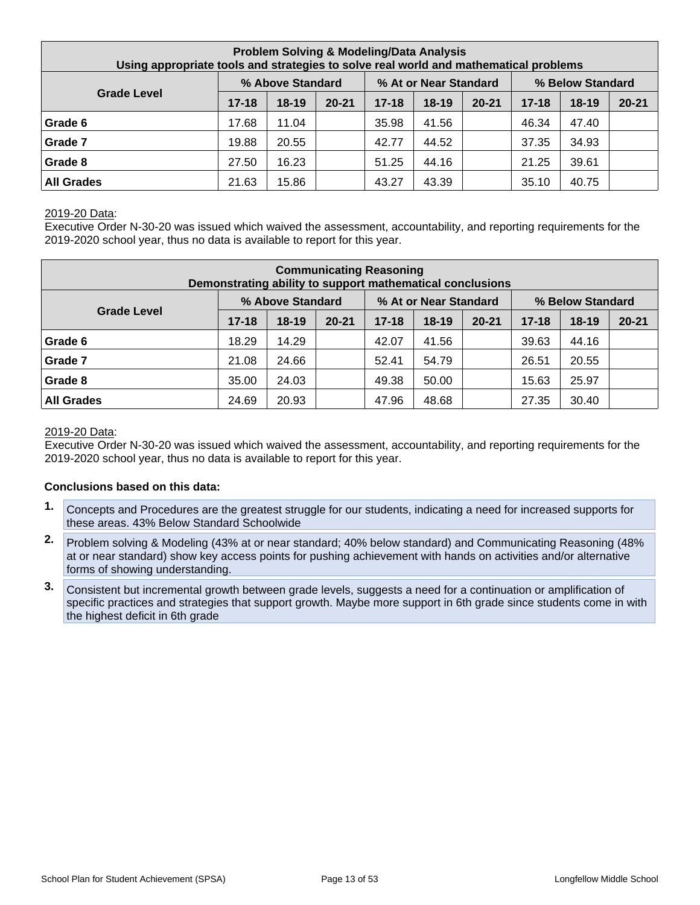| <b>Problem Solving &amp; Modeling/Data Analysis</b><br>Using appropriate tools and strategies to solve real world and mathematical problems |           |                  |           |           |                       |           |           |                  |           |  |  |
|---------------------------------------------------------------------------------------------------------------------------------------------|-----------|------------------|-----------|-----------|-----------------------|-----------|-----------|------------------|-----------|--|--|
|                                                                                                                                             |           | % Above Standard |           |           | % At or Near Standard |           |           | % Below Standard |           |  |  |
| <b>Grade Level</b>                                                                                                                          | $17 - 18$ | $18 - 19$        | $20 - 21$ | $17 - 18$ | $18 - 19$             | $20 - 21$ | $17 - 18$ | $18 - 19$        | $20 - 21$ |  |  |
| Grade 6                                                                                                                                     | 17.68     | 11.04            |           | 35.98     | 41.56                 |           | 46.34     | 47.40            |           |  |  |
| Grade 7                                                                                                                                     | 19.88     | 20.55            |           | 42.77     | 44.52                 |           | 37.35     | 34.93            |           |  |  |
| Grade 8                                                                                                                                     | 27.50     | 16.23            |           | 51.25     | 44.16                 |           | 21.25     | 39.61            |           |  |  |
| <b>All Grades</b>                                                                                                                           | 21.63     | 15.86            |           | 43.27     | 43.39                 |           | 35.10     | 40.75            |           |  |  |

#### 2019-20 Data:

Executive Order N-30-20 was issued which waived the assessment, accountability, and reporting requirements for the 2019-2020 school year, thus no data is available to report for this year.

| <b>Communicating Reasoning</b><br>Demonstrating ability to support mathematical conclusions |           |                  |           |           |                       |           |           |                  |           |  |  |
|---------------------------------------------------------------------------------------------|-----------|------------------|-----------|-----------|-----------------------|-----------|-----------|------------------|-----------|--|--|
|                                                                                             |           | % Above Standard |           |           | % At or Near Standard |           |           | % Below Standard |           |  |  |
| <b>Grade Level</b>                                                                          | $17 - 18$ | $18-19$          | $20 - 21$ | $17 - 18$ | $18-19$               | $20 - 21$ | $17 - 18$ | $18 - 19$        | $20 - 21$ |  |  |
| Grade 6                                                                                     | 18.29     | 14.29            |           | 42.07     | 41.56                 |           | 39.63     | 44.16            |           |  |  |
| Grade 7                                                                                     | 21.08     | 24.66            |           | 52.41     | 54.79                 |           | 26.51     | 20.55            |           |  |  |
| Grade 8                                                                                     | 35.00     | 24.03            |           | 49.38     | 50.00                 |           | 15.63     | 25.97            |           |  |  |
| <b>All Grades</b>                                                                           | 24.69     | 20.93            |           | 47.96     | 48.68                 |           | 27.35     | 30.40            |           |  |  |

#### 2019-20 Data:

Executive Order N-30-20 was issued which waived the assessment, accountability, and reporting requirements for the 2019-2020 school year, thus no data is available to report for this year.

#### **Conclusions based on this data:**

- **1.** Concepts and Procedures are the greatest struggle for our students, indicating a need for increased supports for these areas. 43% Below Standard Schoolwide
- **2.** Problem solving & Modeling (43% at or near standard; 40% below standard) and Communicating Reasoning (48% at or near standard) show key access points for pushing achievement with hands on activities and/or alternative forms of showing understanding.
- **3.** Consistent but incremental growth between grade levels, suggests a need for a continuation or amplification of specific practices and strategies that support growth. Maybe more support in 6th grade since students come in with the highest deficit in 6th grade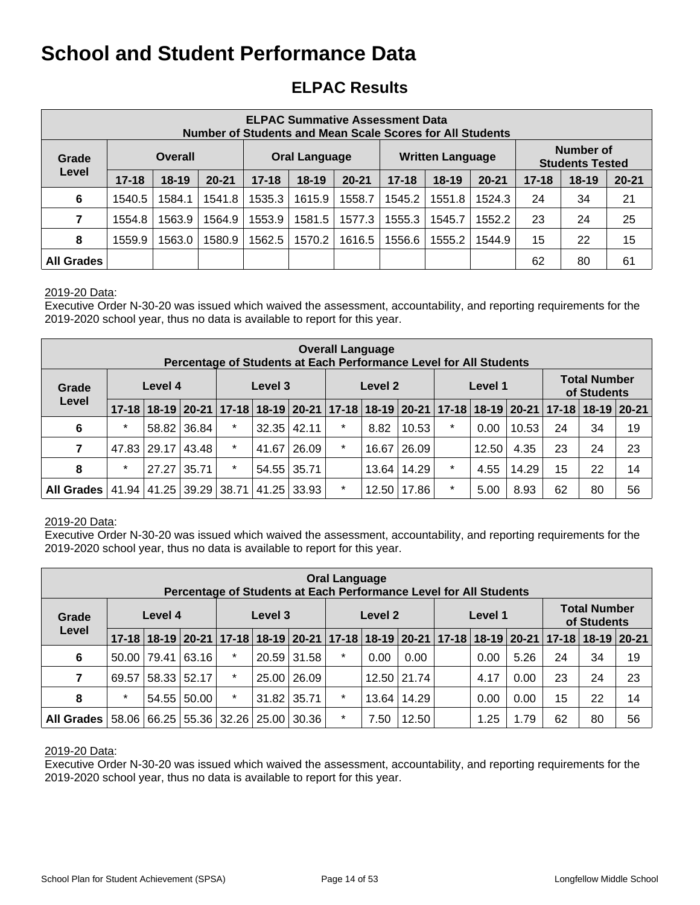## **ELPAC Results**

| <b>ELPAC Summative Assessment Data</b><br>Number of Students and Mean Scale Scores for All Students |           |         |                                                                                |           |                                                                                                    |        |        |                         |        |    |                                     |    |
|-----------------------------------------------------------------------------------------------------|-----------|---------|--------------------------------------------------------------------------------|-----------|----------------------------------------------------------------------------------------------------|--------|--------|-------------------------|--------|----|-------------------------------------|----|
| Grade                                                                                               |           | Overall |                                                                                |           | Oral Language                                                                                      |        |        | <b>Written Language</b> |        |    | Number of<br><b>Students Tested</b> |    |
| Level                                                                                               | $17 - 18$ | $18-19$ | $20 - 21$                                                                      | $17 - 18$ | $18 - 19$<br>$18 - 19$<br>$20 - 21$<br>$17 - 18$<br>$17 - 18$<br>$20 - 21$<br>$20 - 21$<br>$18-19$ |        |        |                         |        |    |                                     |    |
| 6                                                                                                   | 1540.5    | 1584.1  | 1541.8                                                                         | 1535.3    | 1615.9                                                                                             | 1558.7 | 1545.2 | 1551.8                  | 1524.3 | 24 | 34                                  | 21 |
| 7                                                                                                   | 1554.8    | 1563.9  | 1564.9                                                                         | 1553.9    | 1581.5                                                                                             | 1577.3 | 1555.3 | 1545.7                  | 1552.2 | 23 | 24                                  | 25 |
| 8                                                                                                   | 1559.9    | 1563.0  | 1580.9<br>1570.2<br>1556.6<br>1544.9<br>15<br>22<br>1562.5<br>1616.5<br>1555.2 |           |                                                                                                    |        |        |                         | 15     |    |                                     |    |
| <b>All Grades</b>                                                                                   |           |         |                                                                                |           |                                                                                                    |        |        |                         |        | 62 | 80                                  | 61 |

#### 2019-20 Data:

Executive Order N-30-20 was issued which waived the assessment, accountability, and reporting requirements for the 2019-2020 school year, thus no data is available to report for this year.

|                           | <b>Overall Language</b><br>Percentage of Students at Each Performance Level for All Students |                          |                               |         |         |             |                                                 |         |       |         |       |       |                                    |                                               |    |
|---------------------------|----------------------------------------------------------------------------------------------|--------------------------|-------------------------------|---------|---------|-------------|-------------------------------------------------|---------|-------|---------|-------|-------|------------------------------------|-----------------------------------------------|----|
| Level 4<br>Grade<br>Level |                                                                                              |                          |                               |         | Level 3 |             |                                                 | Level 2 |       | Level 1 |       |       | <b>Total Number</b><br>of Students |                                               |    |
|                           | $17 - 18$                                                                                    |                          |                               |         |         |             | 18-19 20-21 17-18 18-19 20-21 17-18 18-19 20-21 |         |       |         |       |       |                                    | 17-18   18-19   20-21   17-18   18-19   20-21 |    |
| 6                         | $\star$                                                                                      |                          | 58.82 36.84                   | $\ast$  | 32.35   | 42.11       | $\star$                                         | 8.82    | 10.53 | $\star$ | 0.00  | 10.53 | 24                                 | 34                                            | 19 |
| 7                         | 47.83                                                                                        | $^{\circ}$ 29.17 $\vert$ | 43.48                         | $\star$ | 41.67   | 26.09       | $\star$                                         | 16.67   | 26.09 |         | 12.50 | 4.35  | 23                                 | 24                                            | 23 |
| 8                         | $\star$                                                                                      | 27.27                    | 35.71                         | $\ast$  |         | 54.55 35.71 |                                                 | 13.64   | 14.29 | $\star$ | 4.55  | 14.29 | 15                                 | 22                                            | 14 |
| All Grades                | 41.94                                                                                        |                          | 41.25 39.29 38.71 41.25 33.93 |         |         |             | $\star$                                         | 12.50   | 17.86 | $\star$ | 5.00  | 8.93  | 62                                 | 80                                            | 56 |

#### 2019-20 Data:

Executive Order N-30-20 was issued which waived the assessment, accountability, and reporting requirements for the 2019-2020 school year, thus no data is available to report for this year.

|              | <b>Oral Language</b><br>Percentage of Students at Each Performance Level for All Students |       |             |                         |         |       |                    |       |             |  |                                    |      |                                                                                     |    |    |
|--------------|-------------------------------------------------------------------------------------------|-------|-------------|-------------------------|---------|-------|--------------------|-------|-------------|--|------------------------------------|------|-------------------------------------------------------------------------------------|----|----|
| Grade        | Level 4<br>Level                                                                          |       |             |                         | Level 3 |       | Level 1<br>Level 2 |       |             |  | <b>Total Number</b><br>of Students |      |                                                                                     |    |    |
|              | $17 - 18$                                                                                 |       |             |                         |         |       |                    |       |             |  |                                    |      | 18-19 20-21 17-18 18-19 20-21 17-18 18-19 20-21 17-18 18-19 20-21 17-18 18-19 20-21 |    |    |
| 6            | 50.00                                                                                     | 79.41 | 63.16       | $\star$                 | 20.59   | 31.58 | $\star$            | 0.00  | 0.00        |  | 0.00                               | 5.26 | 24                                                                                  | 34 | 19 |
| 7            | 69.57                                                                                     |       | 58.33 52.17 | $\star$                 | 25.00   | 26.09 |                    |       | 12.50 21.74 |  | 4.17                               | 0.00 | 23                                                                                  | 24 | 23 |
| 8            | $\ast$                                                                                    | 54.55 | 50.00       | $\star$                 | 31.82   | 35.71 | $\star$            | 13.64 | 14.29       |  | 0.00                               | 0.00 | 15                                                                                  | 22 | 14 |
| All Grades I | 58.06                                                                                     |       |             | 66.25 55.36 32.26 25.00 |         | 30.36 | $\star$            | 7.50  | 12.50       |  | 1.25                               | 1.79 | 62                                                                                  | 80 | 56 |

#### 2019-20 Data:

Executive Order N-30-20 was issued which waived the assessment, accountability, and reporting requirements for the 2019-2020 school year, thus no data is available to report for this year.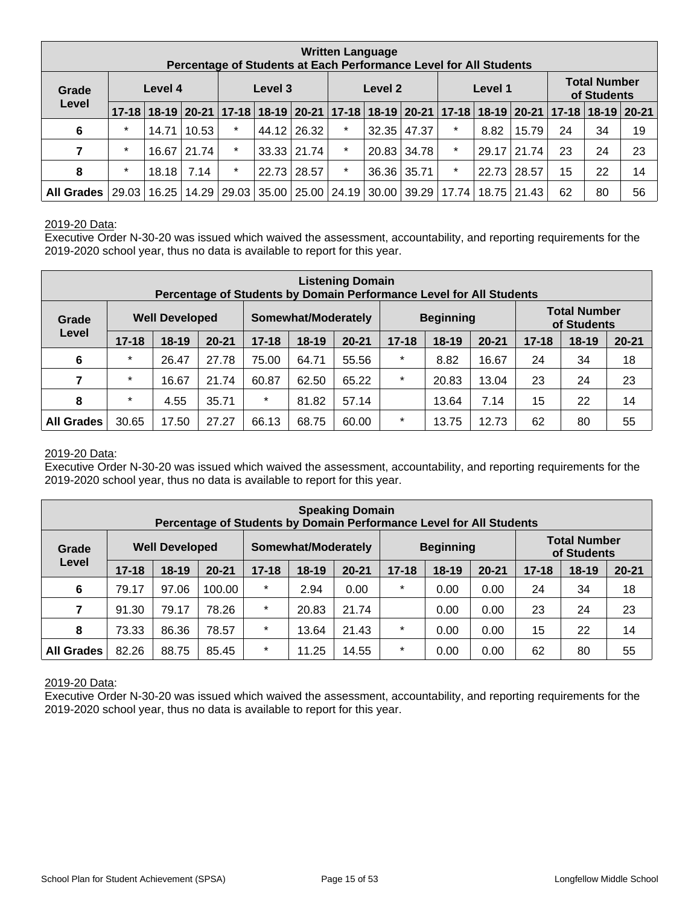| <b>Written Language</b><br>Percentage of Students at Each Performance Level for All Students |                  |       |       |         |         |                                                                                     |                    |       |                    |         |                                    |             |    |    |    |
|----------------------------------------------------------------------------------------------|------------------|-------|-------|---------|---------|-------------------------------------------------------------------------------------|--------------------|-------|--------------------|---------|------------------------------------|-------------|----|----|----|
| Grade                                                                                        | Level 4<br>Level |       |       |         | Level 3 |                                                                                     | Level 1<br>Level 2 |       |                    |         | <b>Total Number</b><br>of Students |             |    |    |    |
|                                                                                              | $17 - 18$        |       |       |         |         | 18-19 20-21 17-18 18-19 20-21 17-18 18-19 20-21 17-18 18-19 20-21 17-18 18-19 20-21 |                    |       |                    |         |                                    |             |    |    |    |
| 6                                                                                            | $\ast$           | 14.71 | 10.53 | $\star$ |         | 44.12 26.32                                                                         | $\star$            |       | $32.35 \mid 47.37$ | $\star$ | 8.82                               | 15.79       | 24 | 34 | 19 |
| $\overline{7}$                                                                               | $\star$          | 16.67 | 21.74 | $\star$ |         | 33.33   21.74                                                                       | $\star$            | 20.83 | 34.78              | $\star$ |                                    | 29.17 21.74 | 23 | 24 | 23 |
| 8                                                                                            | $\ast$           | 18.18 | 7.14  | $\star$ | 22.73   | 28.57                                                                               | $\star$            |       | 36.36 35.71        | $\star$ |                                    | 22.73 28.57 | 15 | 22 | 14 |
| <b>All Grades</b>                                                                            | 29.03            | 16.25 |       |         |         | 14.29   29.03   35.00   25.00   24.19                                               |                    |       | $30.00$   39.29    |         | 17.74   18.75   21.43              |             | 62 | 80 | 56 |

#### 2019-20 Data:

Executive Order N-30-20 was issued which waived the assessment, accountability, and reporting requirements for the 2019-2020 school year, thus no data is available to report for this year.

| <b>Listening Domain</b><br>Percentage of Students by Domain Performance Level for All Students |           |                       |           |                                         |         |           |           |                                    |           |           |         |           |
|------------------------------------------------------------------------------------------------|-----------|-----------------------|-----------|-----------------------------------------|---------|-----------|-----------|------------------------------------|-----------|-----------|---------|-----------|
| Grade                                                                                          |           | <b>Well Developed</b> |           | <b>Beginning</b><br>Somewhat/Moderately |         |           |           | <b>Total Number</b><br>of Students |           |           |         |           |
| Level                                                                                          | $17 - 18$ | $18-19$               | $20 - 21$ | $17 - 18$                               | $18-19$ | $20 - 21$ | $17 - 18$ | $18 - 19$                          | $20 - 21$ | $17 - 18$ | $18-19$ | $20 - 21$ |
| 6                                                                                              | $\star$   | 26.47                 | 27.78     | 75.00                                   | 64.71   | 55.56     | $\star$   | 8.82                               | 16.67     | 24        | 34      | 18        |
| 7                                                                                              | $\star$   | 16.67                 | 21.74     | 60.87                                   | 62.50   | 65.22     | $\star$   | 20.83                              | 13.04     | 23        | 24      | 23        |
| 8                                                                                              | $\star$   | 4.55                  | 35.71     | $\star$                                 | 81.82   | 57.14     |           | 13.64                              | 7.14      | 15        | 22      | 14        |
| <b>All Grades</b>                                                                              | 30.65     | 17.50                 | 27.27     | 66.13                                   | 68.75   | 60.00     | $\star$   | 13.75                              | 12.73     | 62        | 80      | 55        |

#### 2019-20 Data:

Executive Order N-30-20 was issued which waived the assessment, accountability, and reporting requirements for the 2019-2020 school year, thus no data is available to report for this year.

| <b>Speaking Domain</b><br>Percentage of Students by Domain Performance Level for All Students |           |                       |           |           |                     |           |           |                  |           |           |                                    |           |
|-----------------------------------------------------------------------------------------------|-----------|-----------------------|-----------|-----------|---------------------|-----------|-----------|------------------|-----------|-----------|------------------------------------|-----------|
| Grade                                                                                         |           | <b>Well Developed</b> |           |           | Somewhat/Moderately |           |           | <b>Beginning</b> |           |           | <b>Total Number</b><br>of Students |           |
| Level                                                                                         | $17 - 18$ | $18 - 19$             | $20 - 21$ | $17 - 18$ | $18 - 19$           | $20 - 21$ | $17 - 18$ | $18 - 19$        | $20 - 21$ | $17 - 18$ | $18 - 19$                          | $20 - 21$ |
| $6\phantom{1}6$                                                                               | 79.17     | 97.06                 | 100.00    | $\star$   | 2.94                | 0.00      | $\ast$    | 0.00             | 0.00      | 24        | 34                                 | 18        |
| 7                                                                                             | 91.30     | 79.17                 | 78.26     | $\star$   | 20.83               | 21.74     |           | 0.00             | 0.00      | 23        | 24                                 | 23        |
| 8                                                                                             | 73.33     | 86.36                 | 78.57     | $\star$   | 13.64               | 21.43     | $\star$   | 0.00             | 0.00      | 15        | 22                                 | 14        |
| <b>All Grades</b>                                                                             | 82.26     | 88.75                 | 85.45     | $\star$   | 11.25               | 14.55     | $\star$   | 0.00             | 0.00      | 62        | 80                                 | 55        |

2019-20 Data:

Executive Order N-30-20 was issued which waived the assessment, accountability, and reporting requirements for the 2019-2020 school year, thus no data is available to report for this year.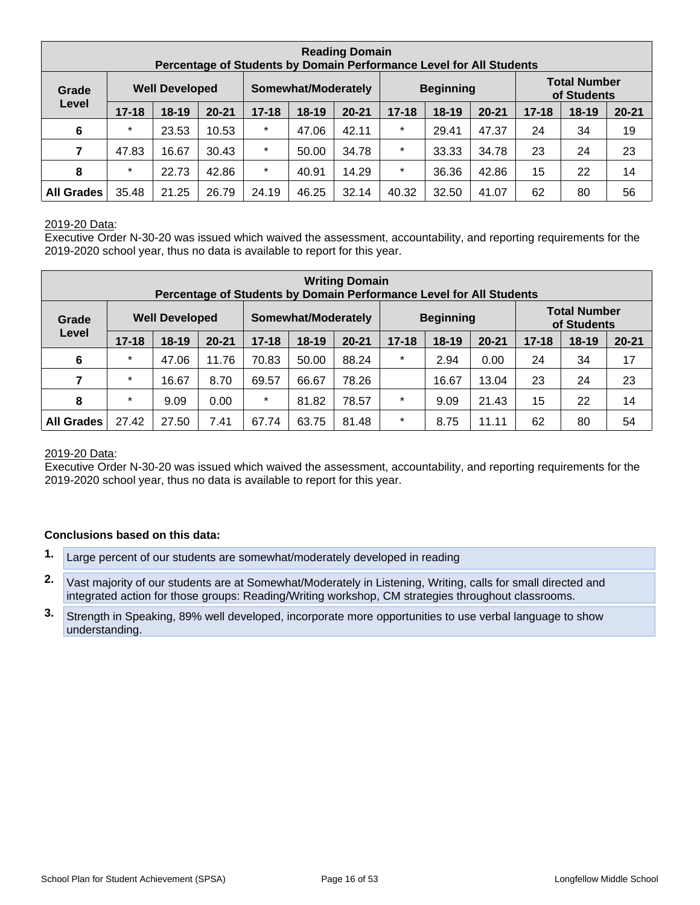| <b>Reading Domain</b><br>Percentage of Students by Domain Performance Level for All Students |           |                       |           |                                         |           |           |           |         |           |                                    |           |           |
|----------------------------------------------------------------------------------------------|-----------|-----------------------|-----------|-----------------------------------------|-----------|-----------|-----------|---------|-----------|------------------------------------|-----------|-----------|
| Grade                                                                                        |           | <b>Well Developed</b> |           | <b>Beginning</b><br>Somewhat/Moderately |           |           |           |         |           | <b>Total Number</b><br>of Students |           |           |
| Level                                                                                        | $17 - 18$ | $18-19$               | $20 - 21$ | $17 - 18$                               | $18 - 19$ | $20 - 21$ | $17 - 18$ | $18-19$ | $20 - 21$ | $17 - 18$                          | $18 - 19$ | $20 - 21$ |
| 6                                                                                            | $\star$   | 23.53                 | 10.53     | $\star$                                 | 47.06     | 42.11     | $\star$   | 29.41   | 47.37     | 24                                 | 34        | 19        |
| 7                                                                                            | 47.83     | 16.67                 | 30.43     | $\star$                                 | 50.00     | 34.78     | $\star$   | 33.33   | 34.78     | 23                                 | 24        | 23        |
| 8                                                                                            | $\star$   | 22.73                 | 42.86     | $\star$                                 | 40.91     | 14.29     | $\star$   | 36.36   | 42.86     | 15                                 | 22        | 14        |
| <b>All Grades</b>                                                                            | 35.48     | 21.25                 | 26.79     | 24.19                                   | 46.25     | 32.14     | 40.32     | 32.50   | 41.07     | 62                                 | 80        | 56        |

#### 2019-20 Data:

Executive Order N-30-20 was issued which waived the assessment, accountability, and reporting requirements for the 2019-2020 school year, thus no data is available to report for this year.

|                   | <b>Writing Domain</b><br>Percentage of Students by Domain Performance Level for All Students |                       |           |                                         |           |           |           |                                    |           |           |           |           |
|-------------------|----------------------------------------------------------------------------------------------|-----------------------|-----------|-----------------------------------------|-----------|-----------|-----------|------------------------------------|-----------|-----------|-----------|-----------|
| Grade             |                                                                                              | <b>Well Developed</b> |           | <b>Beginning</b><br>Somewhat/Moderately |           |           |           | <b>Total Number</b><br>of Students |           |           |           |           |
| Level             | $17 - 18$                                                                                    | $18-19$               | $20 - 21$ | $17 - 18$                               | $18 - 19$ | $20 - 21$ | $17 - 18$ | $18 - 19$                          | $20 - 21$ | $17 - 18$ | $18 - 19$ | $20 - 21$ |
| $6\phantom{1}6$   | $\star$                                                                                      | 47.06                 | 11.76     | 70.83                                   | 50.00     | 88.24     | $\star$   | 2.94                               | 0.00      | 24        | 34        | 17        |
| 7                 | $\star$                                                                                      | 16.67                 | 8.70      | 69.57                                   | 66.67     | 78.26     |           | 16.67                              | 13.04     | 23        | 24        | 23        |
| 8                 | $\star$                                                                                      | 9.09                  | 0.00      | $\star$                                 | 81.82     | 78.57     | $\star$   | 9.09                               | 21.43     | 15        | 22        | 14        |
| <b>All Grades</b> | 27.42                                                                                        | 27.50                 | 7.41      | 67.74                                   | 63.75     | 81.48     | $\star$   | 8.75                               | 11.11     | 62        | 80        | 54        |

#### 2019-20 Data:

Executive Order N-30-20 was issued which waived the assessment, accountability, and reporting requirements for the 2019-2020 school year, thus no data is available to report for this year.

#### **Conclusions based on this data:**

- **1.** Large percent of our students are somewhat/moderately developed in reading
- **2.** Vast majority of our students are at Somewhat/Moderately in Listening, Writing, calls for small directed and integrated action for those groups: Reading/Writing workshop, CM strategies throughout classrooms.
- **3.** Strength in Speaking, 89% well developed, incorporate more opportunities to use verbal language to show understanding.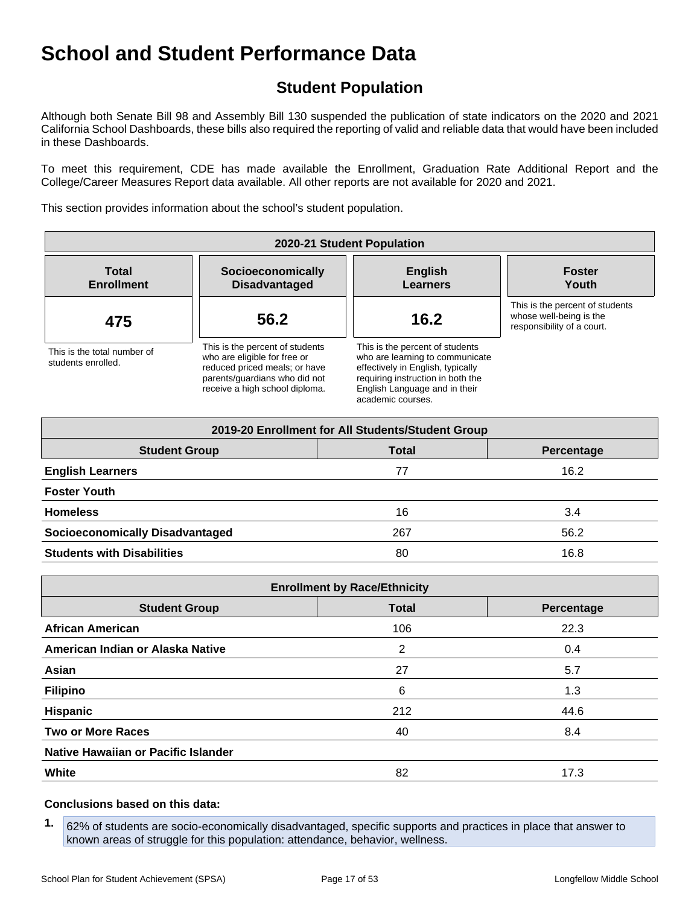## **Student Population**

Although both Senate Bill 98 and Assembly Bill 130 suspended the publication of state indicators on the 2020 and 2021 California School Dashboards, these bills also required the reporting of valid and reliable data that would have been included in these Dashboards.

To meet this requirement, CDE has made available the Enrollment, Graduation Rate Additional Report and the College/Career Measures Report data available. All other reports are not available for 2020 and 2021.

This section provides information about the school's student population.

| 2020-21 Student Population                        |                                                                                                                                                                     |                                                                                                                                                                                                    |                                                                                          |  |  |  |  |  |  |
|---------------------------------------------------|---------------------------------------------------------------------------------------------------------------------------------------------------------------------|----------------------------------------------------------------------------------------------------------------------------------------------------------------------------------------------------|------------------------------------------------------------------------------------------|--|--|--|--|--|--|
| <b>Total</b><br><b>Enrollment</b>                 | Socioeconomically<br><b>Disadvantaged</b>                                                                                                                           | <b>English</b><br><b>Learners</b>                                                                                                                                                                  | <b>Foster</b><br>Youth                                                                   |  |  |  |  |  |  |
| 475                                               | 56.2                                                                                                                                                                | 16.2                                                                                                                                                                                               | This is the percent of students<br>whose well-being is the<br>responsibility of a court. |  |  |  |  |  |  |
| This is the total number of<br>students enrolled. | This is the percent of students<br>who are eligible for free or<br>reduced priced meals; or have<br>parents/quardians who did not<br>receive a high school diploma. | This is the percent of students<br>who are learning to communicate<br>effectively in English, typically<br>requiring instruction in both the<br>English Language and in their<br>academic courses. |                                                                                          |  |  |  |  |  |  |

| 2019-20 Enrollment for All Students/Student Group |              |            |  |  |  |  |  |  |  |
|---------------------------------------------------|--------------|------------|--|--|--|--|--|--|--|
| <b>Student Group</b>                              | <b>Total</b> | Percentage |  |  |  |  |  |  |  |
| <b>English Learners</b>                           | 77           | 16.2       |  |  |  |  |  |  |  |
| <b>Foster Youth</b>                               |              |            |  |  |  |  |  |  |  |
| <b>Homeless</b>                                   | 16           | 3.4        |  |  |  |  |  |  |  |
| <b>Socioeconomically Disadvantaged</b>            | 267          | 56.2       |  |  |  |  |  |  |  |
| <b>Students with Disabilities</b>                 | 80           | 16.8       |  |  |  |  |  |  |  |

| <b>Enrollment by Race/Ethnicity</b>                |     |      |  |  |  |
|----------------------------------------------------|-----|------|--|--|--|
| <b>Total</b><br><b>Student Group</b><br>Percentage |     |      |  |  |  |
| <b>African American</b>                            | 106 | 22.3 |  |  |  |
| American Indian or Alaska Native                   | 2   | 0.4  |  |  |  |
| Asian                                              | 27  | 5.7  |  |  |  |
| <b>Filipino</b>                                    | 6   | 1.3  |  |  |  |
| <b>Hispanic</b>                                    | 212 | 44.6 |  |  |  |
| <b>Two or More Races</b>                           | 40  | 8.4  |  |  |  |
| Native Hawaiian or Pacific Islander                |     |      |  |  |  |
| White                                              | 82  | 17.3 |  |  |  |

#### **Conclusions based on this data:**

**1.** 62% of students are socio-economically disadvantaged, specific supports and practices in place that answer to known areas of struggle for this population: attendance, behavior, wellness.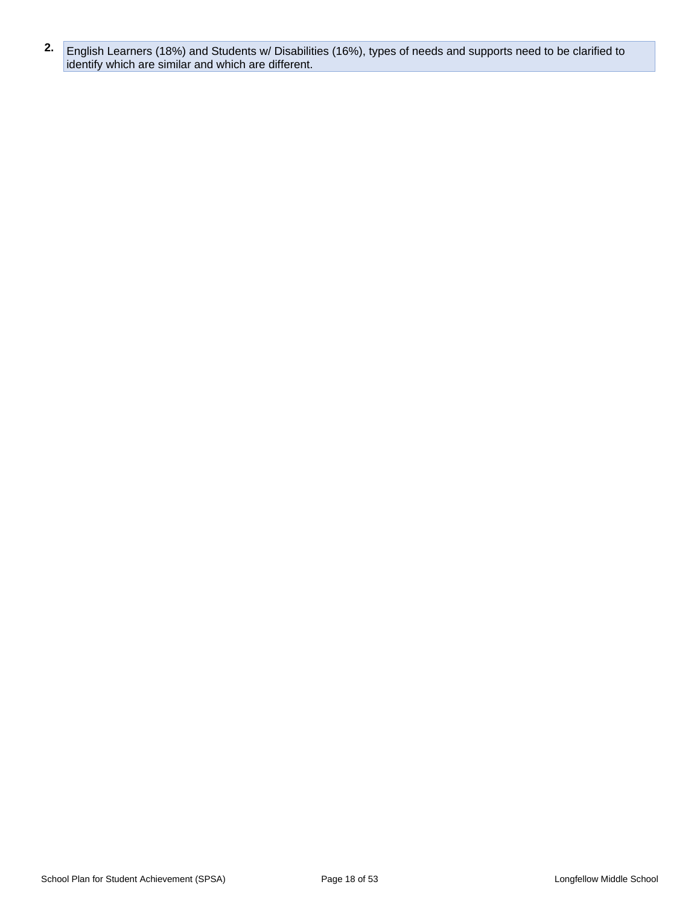**2.** English Learners (18%) and Students w/ Disabilities (16%), types of needs and supports need to be clarified to identify which are similar and which are different.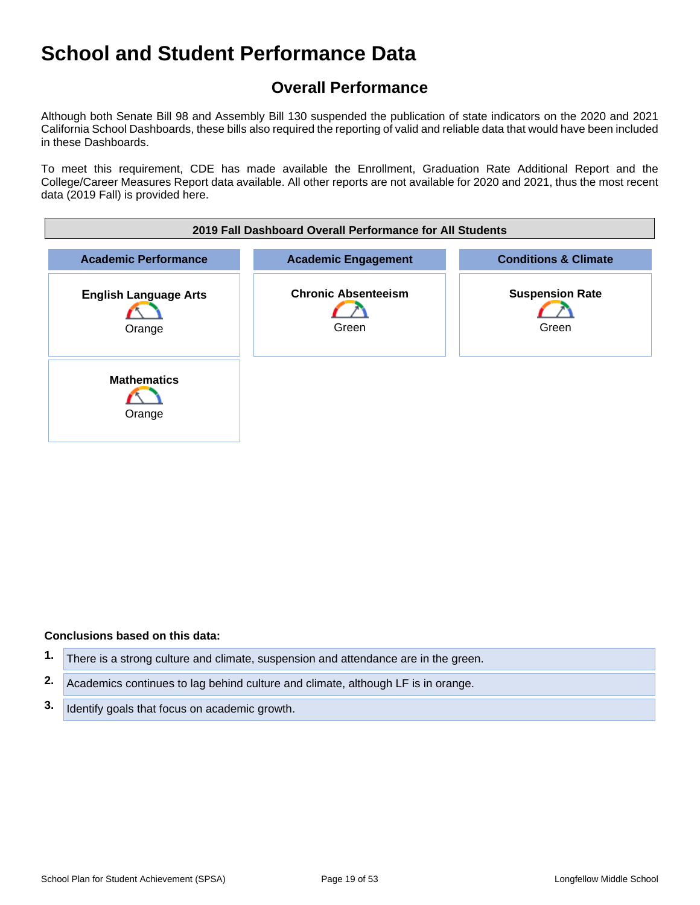## **Overall Performance**

Although both Senate Bill 98 and Assembly Bill 130 suspended the publication of state indicators on the 2020 and 2021 California School Dashboards, these bills also required the reporting of valid and reliable data that would have been included in these Dashboards.

To meet this requirement, CDE has made available the Enrollment, Graduation Rate Additional Report and the College/Career Measures Report data available. All other reports are not available for 2020 and 2021, thus the most recent data (2019 Fall) is provided here.

| 2019 Fall Dashboard Overall Performance for All Students |                                                               |                                 |  |  |  |
|----------------------------------------------------------|---------------------------------------------------------------|---------------------------------|--|--|--|
| <b>Academic Performance</b>                              | <b>Conditions &amp; Climate</b><br><b>Academic Engagement</b> |                                 |  |  |  |
| <b>English Language Arts</b><br>Orange                   | <b>Chronic Absenteeism</b><br>Green                           | <b>Suspension Rate</b><br>Green |  |  |  |
| <b>Mathematics</b><br>Orange                             |                                                               |                                 |  |  |  |

#### **Conclusions based on this data:**

| There is a strong culture and climate, suspension and attendance are in the green.  |
|-------------------------------------------------------------------------------------|
| 2. Academics continues to lag behind culture and climate, although LF is in orange. |
| 3. Identify goals that focus on academic growth.                                    |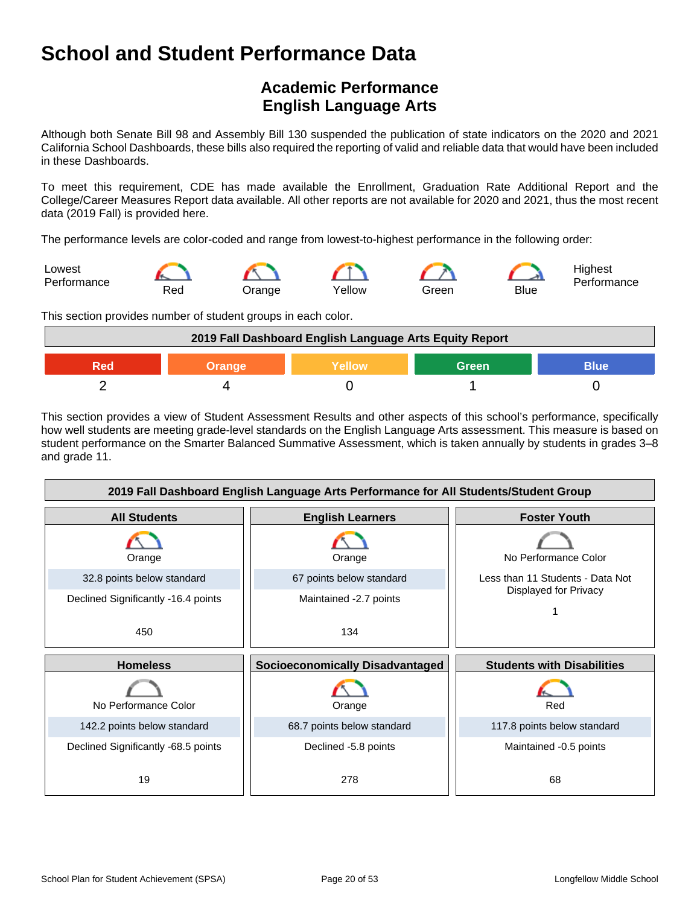## **Academic Performance English Language Arts**

Although both Senate Bill 98 and Assembly Bill 130 suspended the publication of state indicators on the 2020 and 2021 California School Dashboards, these bills also required the reporting of valid and reliable data that would have been included in these Dashboards.

To meet this requirement, CDE has made available the Enrollment, Graduation Rate Additional Report and the College/Career Measures Report data available. All other reports are not available for 2020 and 2021, thus the most recent data (2019 Fall) is provided here.

The performance levels are color-coded and range from lowest-to-highest performance in the following order:



This section provides number of student groups in each color.

| 2019 Fall Dashboard English Language Arts Equity Report |  |  |  |  |
|---------------------------------------------------------|--|--|--|--|
| <b>Blue</b><br>Green<br>Wellow∖<br>Orange               |  |  |  |  |
|                                                         |  |  |  |  |

This section provides a view of Student Assessment Results and other aspects of this school's performance, specifically how well students are meeting grade-level standards on the English Language Arts assessment. This measure is based on student performance on the Smarter Balanced Summative Assessment, which is taken annually by students in grades 3–8 and grade 11.

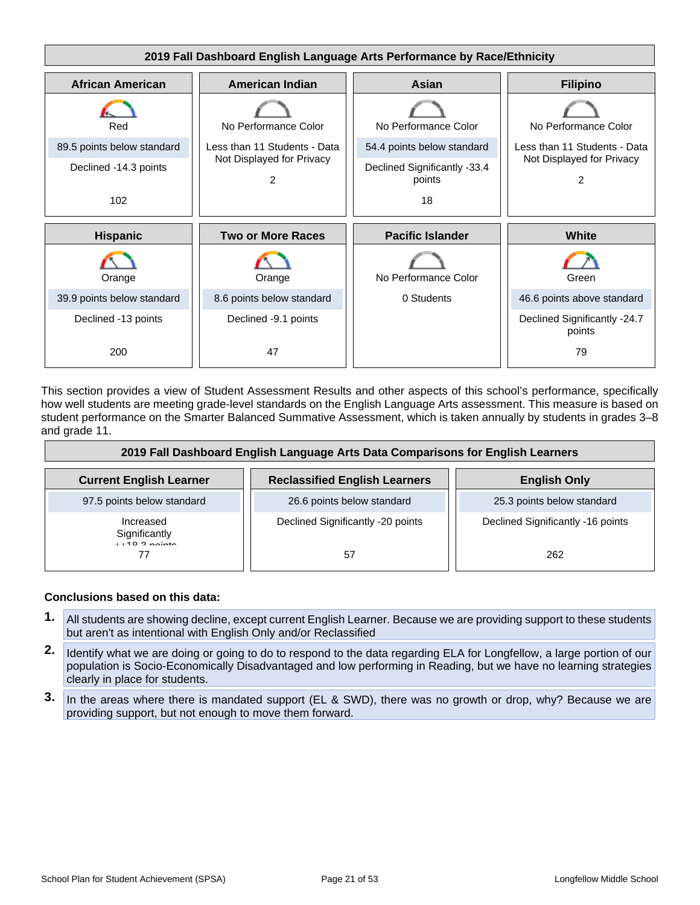

This section provides a view of Student Assessment Results and other aspects of this school's performance, specifically how well students are meeting grade-level standards on the English Language Arts assessment. This measure is based on student performance on the Smarter Balanced Summative Assessment, which is taken annually by students in grades 3–8 and grade 11.

| 2019 Fall Dashboard English Language Arts Data Comparisons for English Learners |                                      |                                   |  |
|---------------------------------------------------------------------------------|--------------------------------------|-----------------------------------|--|
| <b>Current English Learner</b>                                                  | <b>Reclassified English Learners</b> | <b>English Only</b>               |  |
| 97.5 points below standard                                                      | 26.6 points below standard           | 25.3 points below standard        |  |
| Increased<br>Significantly<br>$1149.2$ points                                   | Declined Significantly -20 points    | Declined Significantly -16 points |  |
| 77                                                                              | 57                                   | 262                               |  |

#### **Conclusions based on this data:**

- **1.** All students are showing decline, except current English Learner. Because we are providing support to these students but aren't as intentional with English Only and/or Reclassified
- **2.** Identify what we are doing or going to do to respond to the data regarding ELA for Longfellow, a large portion of our population is Socio-Economically Disadvantaged and low performing in Reading, but we have no learning strategies clearly in place for students.
- **3.** In the areas where there is mandated support (EL & SWD), there was no growth or drop, why? Because we are providing support, but not enough to move them forward.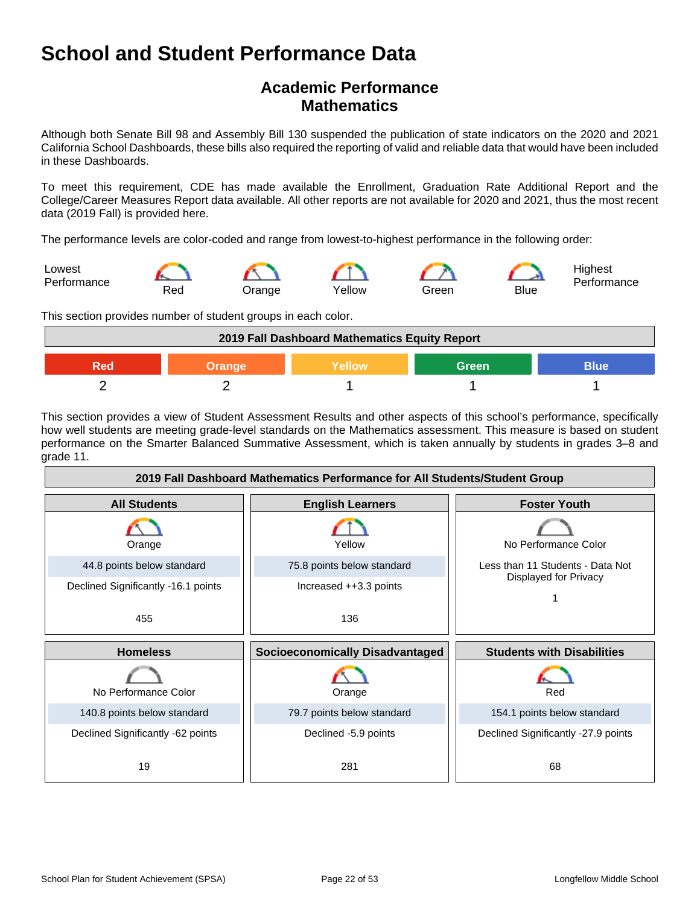## **Academic Performance Mathematics**

Although both Senate Bill 98 and Assembly Bill 130 suspended the publication of state indicators on the 2020 and 2021 California School Dashboards, these bills also required the reporting of valid and reliable data that would have been included in these Dashboards.

To meet this requirement, CDE has made available the Enrollment, Graduation Rate Additional Report and the College/Career Measures Report data available. All other reports are not available for 2020 and 2021, thus the most recent data (2019 Fall) is provided here.

The performance levels are color-coded and range from lowest-to-highest performance in the following order:



This section provides number of student groups in each color.

| 2019 Fall Dashboard Mathematics Equity Report |  |  |  |  |
|-----------------------------------------------|--|--|--|--|
| Green<br>Yellow<br>Blue'<br>Orange<br>20מ     |  |  |  |  |
|                                               |  |  |  |  |

This section provides a view of Student Assessment Results and other aspects of this school's performance, specifically how well students are meeting grade-level standards on the Mathematics assessment. This measure is based on student performance on the Smarter Balanced Summative Assessment, which is taken annually by students in grades 3–8 and grade 11.

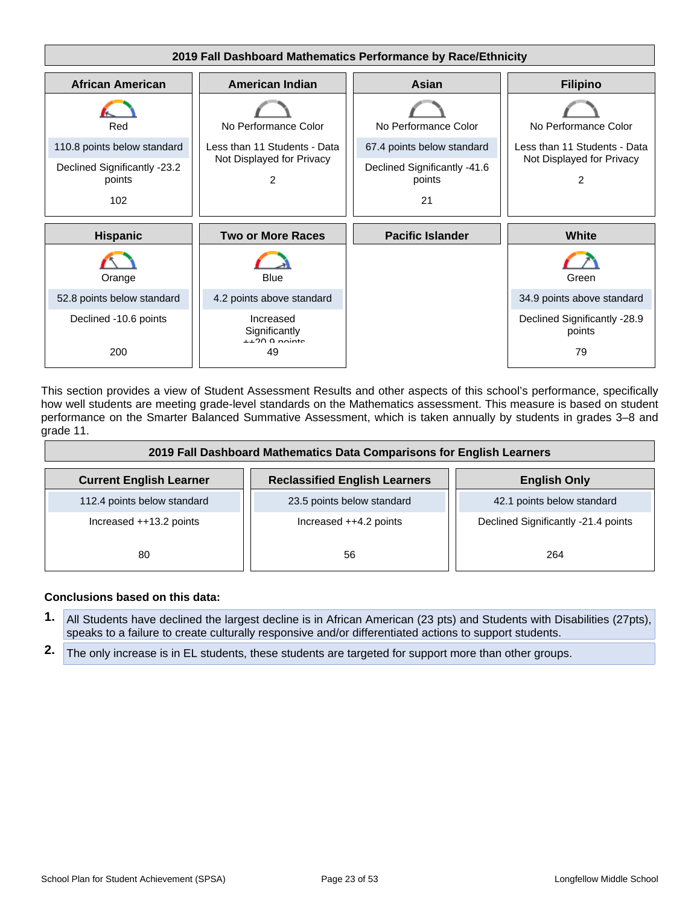

This section provides a view of Student Assessment Results and other aspects of this school's performance, specifically how well students are meeting grade-level standards on the Mathematics assessment. This measure is based on student performance on the Smarter Balanced Summative Assessment, which is taken annually by students in grades 3–8 and grade 11.

| 2019 Fall Dashboard Mathematics Data Comparisons for English Learners |                                      |                                     |  |
|-----------------------------------------------------------------------|--------------------------------------|-------------------------------------|--|
| <b>Current English Learner</b>                                        | <b>Reclassified English Learners</b> | <b>English Only</b>                 |  |
| 112.4 points below standard                                           | 23.5 points below standard           | 42.1 points below standard          |  |
| Increased ++13.2 points                                               | Increased $++4.2$ points             | Declined Significantly -21.4 points |  |
| 80                                                                    | 56                                   | 264                                 |  |

#### **Conclusions based on this data:**

- **1.** All Students have declined the largest decline is in African American (23 pts) and Students with Disabilities (27pts), speaks to a failure to create culturally responsive and/or differentiated actions to support students.
- **2.** The only increase is in EL students, these students are targeted for support more than other groups.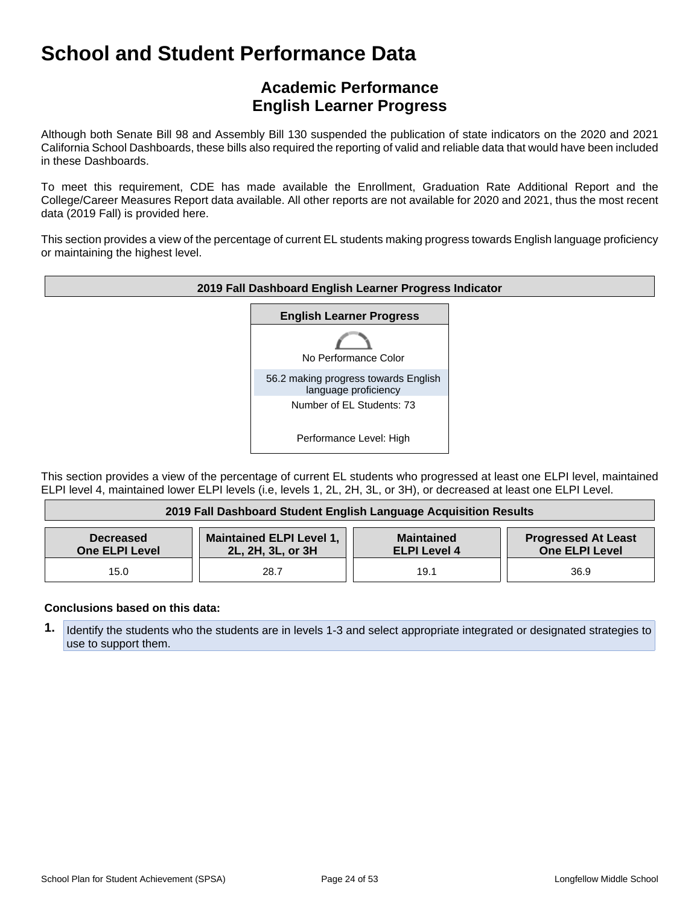## **Academic Performance English Learner Progress**

Although both Senate Bill 98 and Assembly Bill 130 suspended the publication of state indicators on the 2020 and 2021 California School Dashboards, these bills also required the reporting of valid and reliable data that would have been included in these Dashboards.

To meet this requirement, CDE has made available the Enrollment, Graduation Rate Additional Report and the College/Career Measures Report data available. All other reports are not available for 2020 and 2021, thus the most recent data (2019 Fall) is provided here.

This section provides a view of the percentage of current EL students making progress towards English language proficiency or maintaining the highest level.



This section provides a view of the percentage of current EL students who progressed at least one ELPI level, maintained ELPI level 4, maintained lower ELPI levels (i.e, levels 1, 2L, 2H, 3L, or 3H), or decreased at least one ELPI Level.

| 2019 Fall Dashboard Student English Language Acquisition Results                                                                                                                              |      |      |      |  |
|-----------------------------------------------------------------------------------------------------------------------------------------------------------------------------------------------|------|------|------|--|
| <b>Maintained ELPI Level 1,</b><br><b>Progressed At Least</b><br><b>Maintained</b><br><b>Decreased</b><br>One ELPI Level<br>2L, 2H, 3L, or 3H<br><b>One ELPI Level</b><br><b>ELPI Level 4</b> |      |      |      |  |
| 15.0                                                                                                                                                                                          | 28.7 | 19.1 | 36.9 |  |

#### **Conclusions based on this data:**

**1.** Identify the students who the students are in levels 1-3 and select appropriate integrated or designated strategies to use to support them.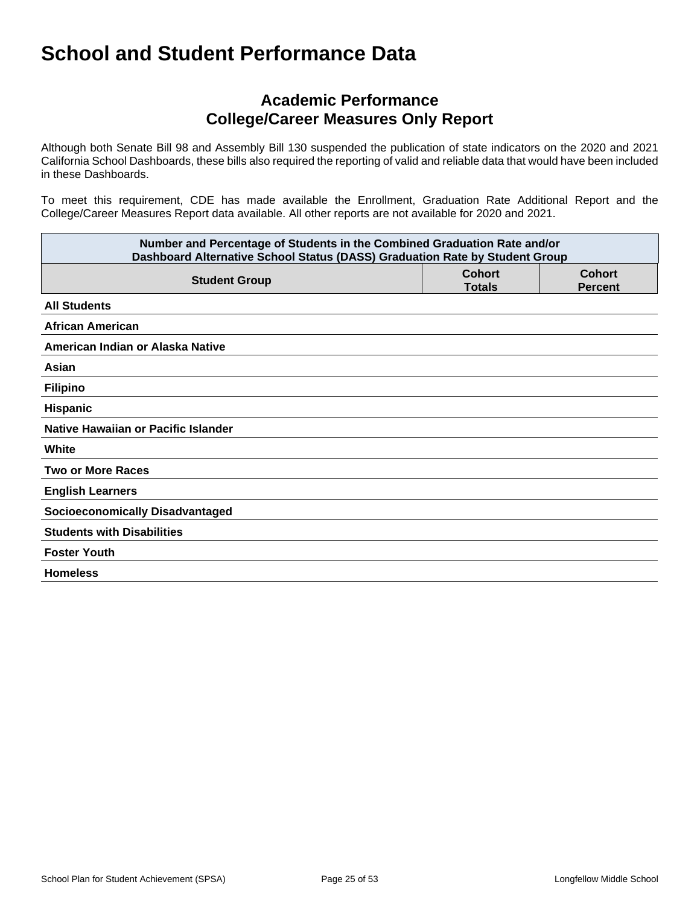## **Academic Performance College/Career Measures Only Report**

Although both Senate Bill 98 and Assembly Bill 130 suspended the publication of state indicators on the 2020 and 2021 California School Dashboards, these bills also required the reporting of valid and reliable data that would have been included in these Dashboards.

To meet this requirement, CDE has made available the Enrollment, Graduation Rate Additional Report and the College/Career Measures Report data available. All other reports are not available for 2020 and 2021.

| Number and Percentage of Students in the Combined Graduation Rate and/or<br>Dashboard Alternative School Status (DASS) Graduation Rate by Student Group |                                |                                 |  |  |
|---------------------------------------------------------------------------------------------------------------------------------------------------------|--------------------------------|---------------------------------|--|--|
| <b>Student Group</b>                                                                                                                                    | <b>Cohort</b><br><b>Totals</b> | <b>Cohort</b><br><b>Percent</b> |  |  |
| <b>All Students</b>                                                                                                                                     |                                |                                 |  |  |
| <b>African American</b>                                                                                                                                 |                                |                                 |  |  |
| American Indian or Alaska Native                                                                                                                        |                                |                                 |  |  |
| Asian                                                                                                                                                   |                                |                                 |  |  |
| <b>Filipino</b>                                                                                                                                         |                                |                                 |  |  |
| Hispanic                                                                                                                                                |                                |                                 |  |  |
| Native Hawaiian or Pacific Islander                                                                                                                     |                                |                                 |  |  |
| White                                                                                                                                                   |                                |                                 |  |  |
| <b>Two or More Races</b>                                                                                                                                |                                |                                 |  |  |
| <b>English Learners</b>                                                                                                                                 |                                |                                 |  |  |
| <b>Socioeconomically Disadvantaged</b>                                                                                                                  |                                |                                 |  |  |
| <b>Students with Disabilities</b>                                                                                                                       |                                |                                 |  |  |
| <b>Foster Youth</b>                                                                                                                                     |                                |                                 |  |  |
| <b>Homeless</b>                                                                                                                                         |                                |                                 |  |  |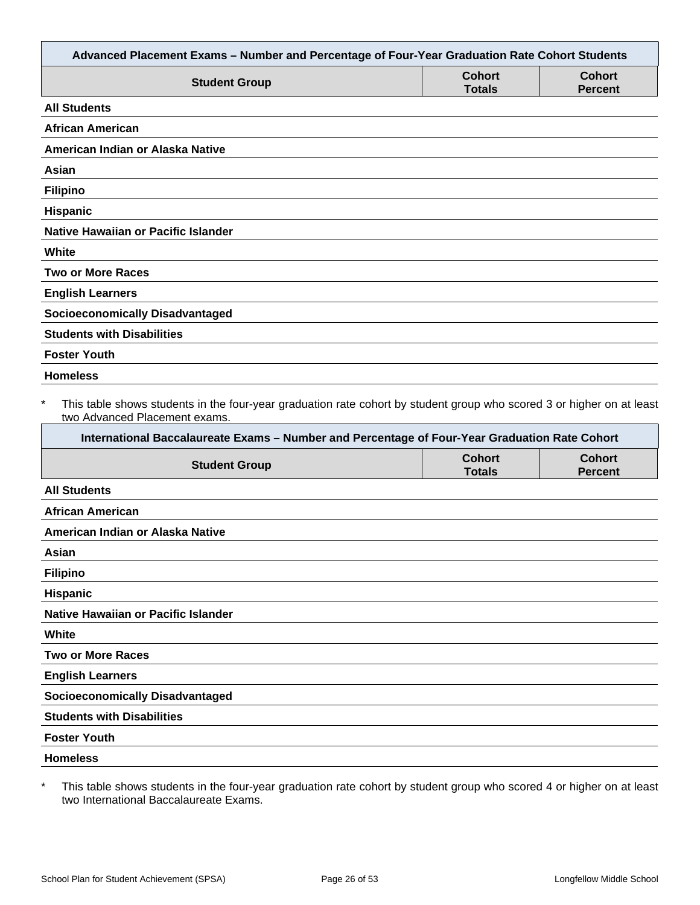| Advanced Placement Exams - Number and Percentage of Four-Year Graduation Rate Cohort Students                                                                                                                                                                     |                                |                                 |
|-------------------------------------------------------------------------------------------------------------------------------------------------------------------------------------------------------------------------------------------------------------------|--------------------------------|---------------------------------|
| <b>Student Group</b>                                                                                                                                                                                                                                              | <b>Cohort</b><br><b>Totals</b> | <b>Cohort</b><br><b>Percent</b> |
| <b>All Students</b>                                                                                                                                                                                                                                               |                                |                                 |
| <b>African American</b>                                                                                                                                                                                                                                           |                                |                                 |
| American Indian or Alaska Native                                                                                                                                                                                                                                  |                                |                                 |
| Asian                                                                                                                                                                                                                                                             |                                |                                 |
| <b>Filipino</b>                                                                                                                                                                                                                                                   |                                |                                 |
| Hispanic                                                                                                                                                                                                                                                          |                                |                                 |
| <b>Native Hawaiian or Pacific Islander</b>                                                                                                                                                                                                                        |                                |                                 |
| White                                                                                                                                                                                                                                                             |                                |                                 |
| <b>Two or More Races</b>                                                                                                                                                                                                                                          |                                |                                 |
| <b>English Learners</b>                                                                                                                                                                                                                                           |                                |                                 |
| <b>Socioeconomically Disadvantaged</b>                                                                                                                                                                                                                            |                                |                                 |
| <b>Students with Disabilities</b>                                                                                                                                                                                                                                 |                                |                                 |
| <b>Foster Youth</b>                                                                                                                                                                                                                                               |                                |                                 |
| <b>Homeless</b>                                                                                                                                                                                                                                                   |                                |                                 |
| $\ast$<br>This table shows students in the four-year graduation rate cohort by student group who scored 3 or higher on at least<br>two Advanced Placement exams.<br>International Baccalaureate Exams - Number and Percentage of Four-Year Graduation Rate Cohort |                                |                                 |
| <b>Student Group</b>                                                                                                                                                                                                                                              | <b>Cohort</b><br><b>Totals</b> | <b>Cohort</b><br><b>Percent</b> |
| <b>All Students</b>                                                                                                                                                                                                                                               |                                |                                 |
| <b>African American</b>                                                                                                                                                                                                                                           |                                |                                 |
| American Indian or Alaska Native                                                                                                                                                                                                                                  |                                |                                 |
| Asian                                                                                                                                                                                                                                                             |                                |                                 |
| <b>Filipino</b>                                                                                                                                                                                                                                                   |                                |                                 |
| Hispanic                                                                                                                                                                                                                                                          |                                |                                 |
| Native Hawaiian or Pacific Islander                                                                                                                                                                                                                               |                                |                                 |
| White                                                                                                                                                                                                                                                             |                                |                                 |
| <b>Two or More Races</b>                                                                                                                                                                                                                                          |                                |                                 |
| <b>English Learners</b>                                                                                                                                                                                                                                           |                                |                                 |
| <b>Socioeconomically Disadvantaged</b>                                                                                                                                                                                                                            |                                |                                 |
| <b>Students with Disabilities</b>                                                                                                                                                                                                                                 |                                |                                 |
| <b>Foster Youth</b>                                                                                                                                                                                                                                               |                                |                                 |
| <b>Homeless</b>                                                                                                                                                                                                                                                   |                                |                                 |
|                                                                                                                                                                                                                                                                   |                                |                                 |

\* This table shows students in the four-year graduation rate cohort by student group who scored 4 or higher on at least two International Baccalaureate Exams.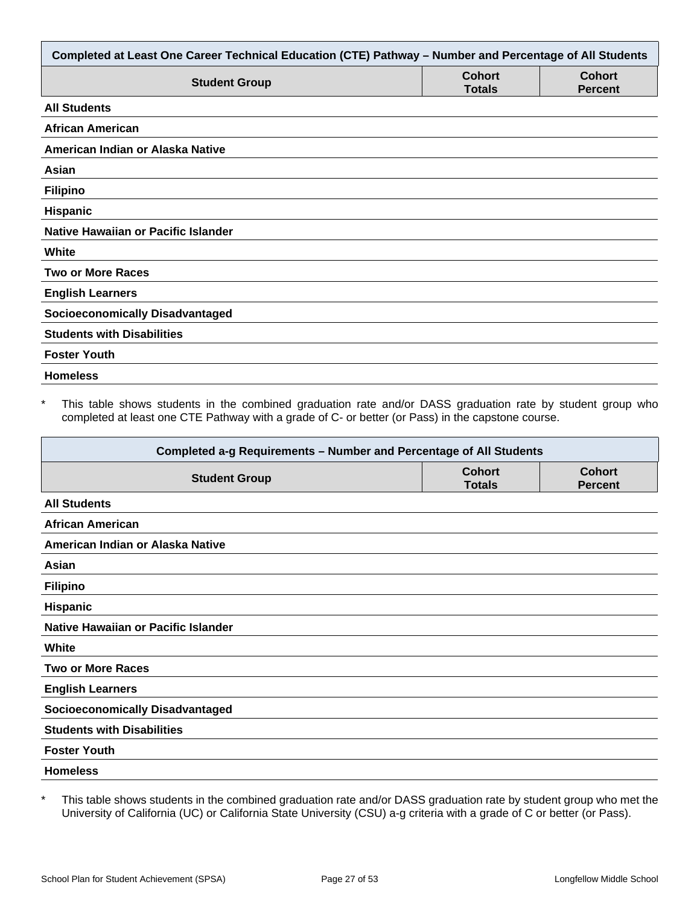| Completed at Least One Career Technical Education (CTE) Pathway - Number and Percentage of All Students |                                |                                 |  |
|---------------------------------------------------------------------------------------------------------|--------------------------------|---------------------------------|--|
| <b>Student Group</b>                                                                                    | <b>Cohort</b><br><b>Totals</b> | <b>Cohort</b><br><b>Percent</b> |  |
| <b>All Students</b>                                                                                     |                                |                                 |  |
| <b>African American</b>                                                                                 |                                |                                 |  |
| American Indian or Alaska Native                                                                        |                                |                                 |  |
| Asian                                                                                                   |                                |                                 |  |
| <b>Filipino</b>                                                                                         |                                |                                 |  |
| Hispanic                                                                                                |                                |                                 |  |
| Native Hawaiian or Pacific Islander                                                                     |                                |                                 |  |
| White                                                                                                   |                                |                                 |  |
| <b>Two or More Races</b>                                                                                |                                |                                 |  |
| <b>English Learners</b>                                                                                 |                                |                                 |  |
| <b>Socioeconomically Disadvantaged</b>                                                                  |                                |                                 |  |
| <b>Students with Disabilities</b>                                                                       |                                |                                 |  |
| <b>Foster Youth</b>                                                                                     |                                |                                 |  |
| <b>Homeless</b>                                                                                         |                                |                                 |  |

This table shows students in the combined graduation rate and/or DASS graduation rate by student group who completed at least one CTE Pathway with a grade of C- or better (or Pass) in the capstone course.

| Completed a-g Requirements - Number and Percentage of All Students |                                |                                 |  |
|--------------------------------------------------------------------|--------------------------------|---------------------------------|--|
| <b>Student Group</b>                                               | <b>Cohort</b><br><b>Totals</b> | <b>Cohort</b><br><b>Percent</b> |  |
| <b>All Students</b>                                                |                                |                                 |  |
| <b>African American</b>                                            |                                |                                 |  |
| American Indian or Alaska Native                                   |                                |                                 |  |
| Asian                                                              |                                |                                 |  |
| <b>Filipino</b>                                                    |                                |                                 |  |
| <b>Hispanic</b>                                                    |                                |                                 |  |
| Native Hawaiian or Pacific Islander                                |                                |                                 |  |
| White                                                              |                                |                                 |  |
| <b>Two or More Races</b>                                           |                                |                                 |  |
| <b>English Learners</b>                                            |                                |                                 |  |
| <b>Socioeconomically Disadvantaged</b>                             |                                |                                 |  |
| <b>Students with Disabilities</b>                                  |                                |                                 |  |
| <b>Foster Youth</b>                                                |                                |                                 |  |
| <b>Homeless</b>                                                    |                                |                                 |  |

\* This table shows students in the combined graduation rate and/or DASS graduation rate by student group who met the University of California (UC) or California State University (CSU) a-g criteria with a grade of C or better (or Pass).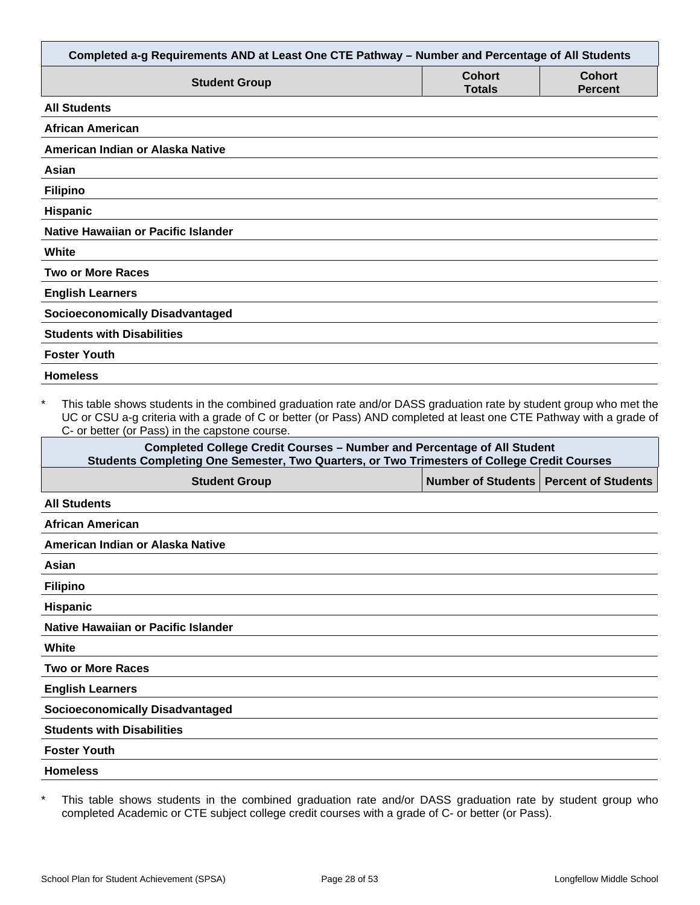| Completed a-g Requirements AND at Least One CTE Pathway - Number and Percentage of All Students                                                                                                                                                                                                        |                                |                                 |
|--------------------------------------------------------------------------------------------------------------------------------------------------------------------------------------------------------------------------------------------------------------------------------------------------------|--------------------------------|---------------------------------|
| <b>Student Group</b>                                                                                                                                                                                                                                                                                   | <b>Cohort</b><br><b>Totals</b> | <b>Cohort</b><br><b>Percent</b> |
| <b>All Students</b>                                                                                                                                                                                                                                                                                    |                                |                                 |
| <b>African American</b>                                                                                                                                                                                                                                                                                |                                |                                 |
| American Indian or Alaska Native                                                                                                                                                                                                                                                                       |                                |                                 |
| Asian                                                                                                                                                                                                                                                                                                  |                                |                                 |
| <b>Filipino</b>                                                                                                                                                                                                                                                                                        |                                |                                 |
| <b>Hispanic</b>                                                                                                                                                                                                                                                                                        |                                |                                 |
| Native Hawaiian or Pacific Islander                                                                                                                                                                                                                                                                    |                                |                                 |
| White                                                                                                                                                                                                                                                                                                  |                                |                                 |
| <b>Two or More Races</b>                                                                                                                                                                                                                                                                               |                                |                                 |
| <b>English Learners</b>                                                                                                                                                                                                                                                                                |                                |                                 |
| <b>Socioeconomically Disadvantaged</b>                                                                                                                                                                                                                                                                 |                                |                                 |
| <b>Students with Disabilities</b>                                                                                                                                                                                                                                                                      |                                |                                 |
| <b>Foster Youth</b>                                                                                                                                                                                                                                                                                    |                                |                                 |
| <b>Homeless</b>                                                                                                                                                                                                                                                                                        |                                |                                 |
| $\star$<br>This table shows students in the combined graduation rate and/or DASS graduation rate by student group who met the<br>UC or CSU a-g criteria with a grade of C or better (or Pass) AND completed at least one CTE Pathway with a grade of<br>C- or better (or Pass) in the capstone course. |                                |                                 |
| <b>Completed College Credit Courses - Number and Percentage of All Student</b><br>Students Completing One Semester, Two Quarters, or Two Trimesters of College Credit Courses                                                                                                                          |                                |                                 |
| <b>Student Group</b>                                                                                                                                                                                                                                                                                   | <b>Number of Students</b>      | <b>Percent of Students</b>      |
| <b>All Students</b>                                                                                                                                                                                                                                                                                    |                                |                                 |
| African American                                                                                                                                                                                                                                                                                       |                                |                                 |
| American Indian or Alaska Native                                                                                                                                                                                                                                                                       |                                |                                 |
| Asian                                                                                                                                                                                                                                                                                                  |                                |                                 |

**Filipino**

**Hispanic**

**Native Hawaiian or Pacific Islander**

**White**

**Two or More Races**

**English Learners**

**Socioeconomically Disadvantaged**

**Students with Disabilities**

**Foster Youth**

**Homeless**

\* This table shows students in the combined graduation rate and/or DASS graduation rate by student group who completed Academic or CTE subject college credit courses with a grade of C- or better (or Pass).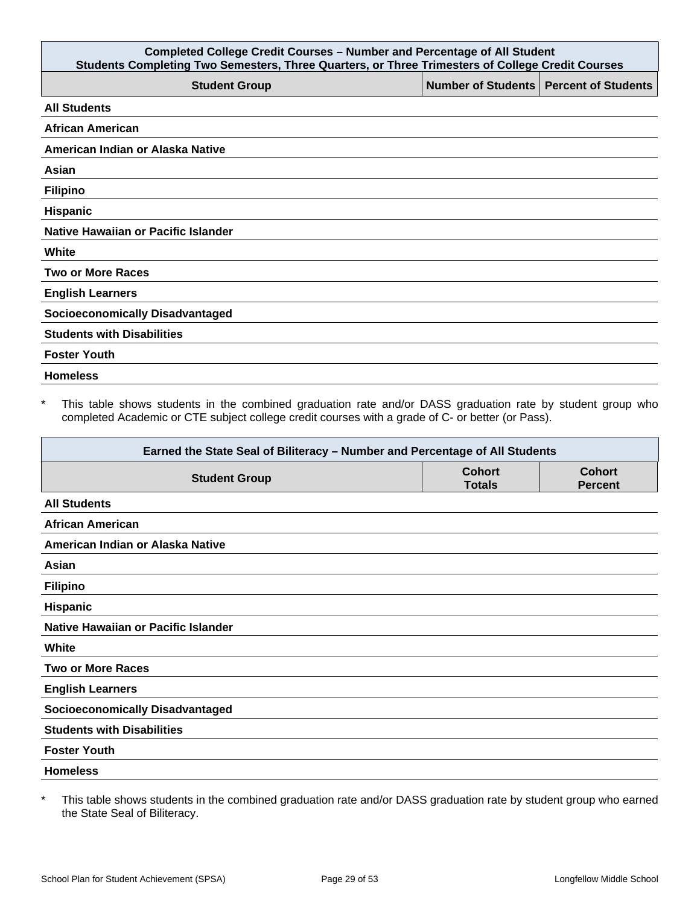| <b>Completed College Credit Courses - Number and Percentage of All Student</b><br>Students Completing Two Semesters, Three Quarters, or Three Trimesters of College Credit Courses |                                          |  |
|------------------------------------------------------------------------------------------------------------------------------------------------------------------------------------|------------------------------------------|--|
| <b>Student Group</b>                                                                                                                                                               | Number of Students   Percent of Students |  |
| <b>All Students</b>                                                                                                                                                                |                                          |  |
| <b>African American</b>                                                                                                                                                            |                                          |  |
| American Indian or Alaska Native                                                                                                                                                   |                                          |  |
| Asian                                                                                                                                                                              |                                          |  |
| <b>Filipino</b>                                                                                                                                                                    |                                          |  |
| Hispanic                                                                                                                                                                           |                                          |  |
| Native Hawaiian or Pacific Islander                                                                                                                                                |                                          |  |
| White                                                                                                                                                                              |                                          |  |
| <b>Two or More Races</b>                                                                                                                                                           |                                          |  |
| <b>English Learners</b>                                                                                                                                                            |                                          |  |
| <b>Socioeconomically Disadvantaged</b>                                                                                                                                             |                                          |  |
| <b>Students with Disabilities</b>                                                                                                                                                  |                                          |  |
| <b>Foster Youth</b>                                                                                                                                                                |                                          |  |
| <b>Homeless</b>                                                                                                                                                                    |                                          |  |

\* This table shows students in the combined graduation rate and/or DASS graduation rate by student group who completed Academic or CTE subject college credit courses with a grade of C- or better (or Pass).

| Earned the State Seal of Biliteracy - Number and Percentage of All Students |                                |                                 |
|-----------------------------------------------------------------------------|--------------------------------|---------------------------------|
| <b>Student Group</b>                                                        | <b>Cohort</b><br><b>Totals</b> | <b>Cohort</b><br><b>Percent</b> |
| <b>All Students</b>                                                         |                                |                                 |
| <b>African American</b>                                                     |                                |                                 |
| American Indian or Alaska Native                                            |                                |                                 |
| Asian                                                                       |                                |                                 |
| <b>Filipino</b>                                                             |                                |                                 |
| <b>Hispanic</b>                                                             |                                |                                 |
| Native Hawaiian or Pacific Islander                                         |                                |                                 |
| White                                                                       |                                |                                 |
| <b>Two or More Races</b>                                                    |                                |                                 |
| <b>English Learners</b>                                                     |                                |                                 |
| <b>Socioeconomically Disadvantaged</b>                                      |                                |                                 |
| <b>Students with Disabilities</b>                                           |                                |                                 |
| <b>Foster Youth</b>                                                         |                                |                                 |
| <b>Homeless</b>                                                             |                                |                                 |

\* This table shows students in the combined graduation rate and/or DASS graduation rate by student group who earned the State Seal of Biliteracy.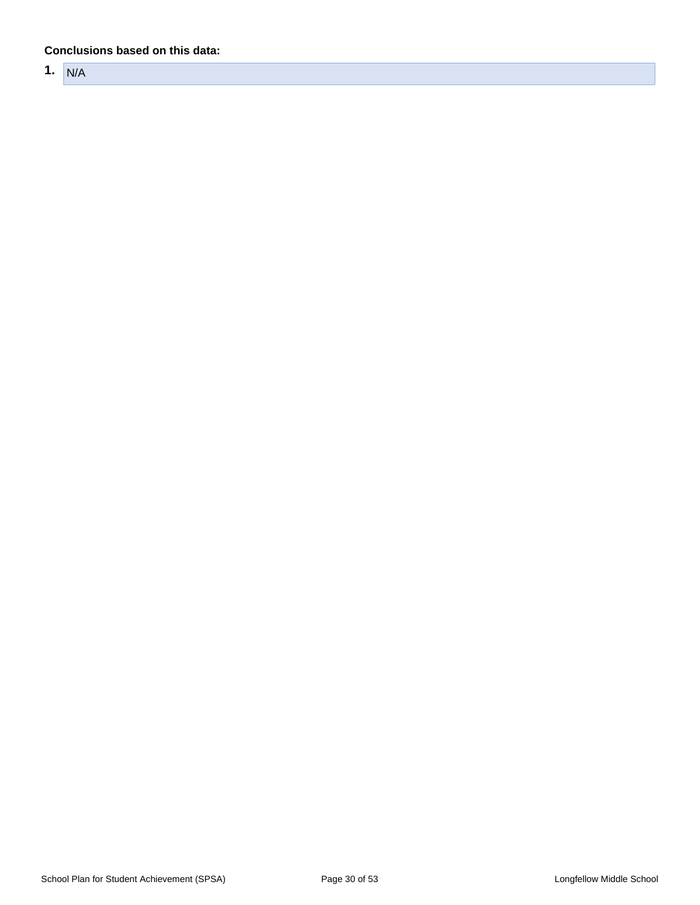#### **Conclusions based on this data:**

**1.** N/A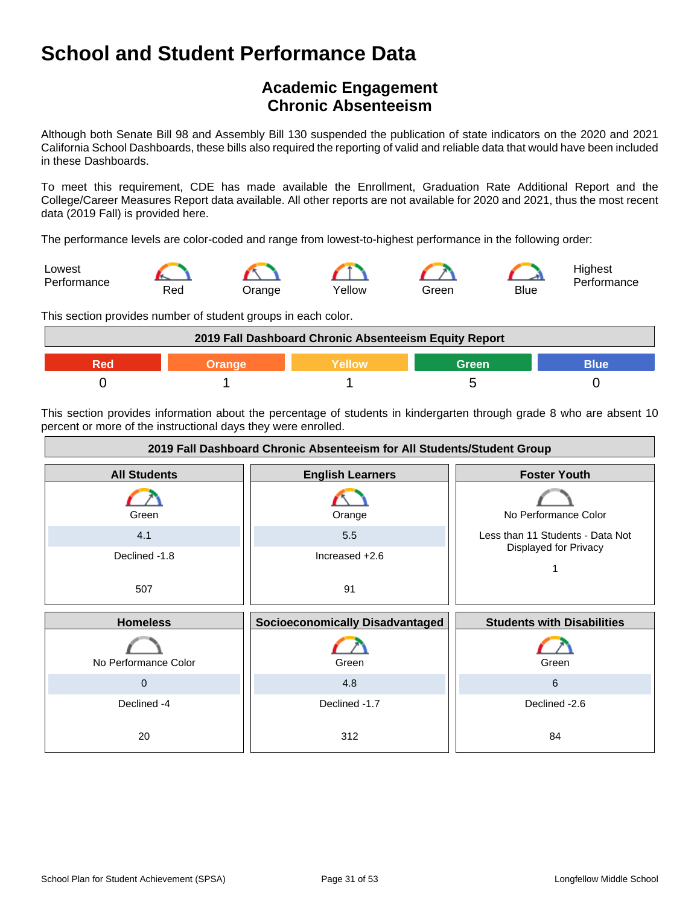## **Academic Engagement Chronic Absenteeism**

Although both Senate Bill 98 and Assembly Bill 130 suspended the publication of state indicators on the 2020 and 2021 California School Dashboards, these bills also required the reporting of valid and reliable data that would have been included in these Dashboards.

To meet this requirement, CDE has made available the Enrollment, Graduation Rate Additional Report and the College/Career Measures Report data available. All other reports are not available for 2020 and 2021, thus the most recent data (2019 Fall) is provided here.

The performance levels are color-coded and range from lowest-to-highest performance in the following order:



This section provides number of student groups in each color.



This section provides information about the percentage of students in kindergarten through grade 8 who are absent 10 percent or more of the instructional days they were enrolled.

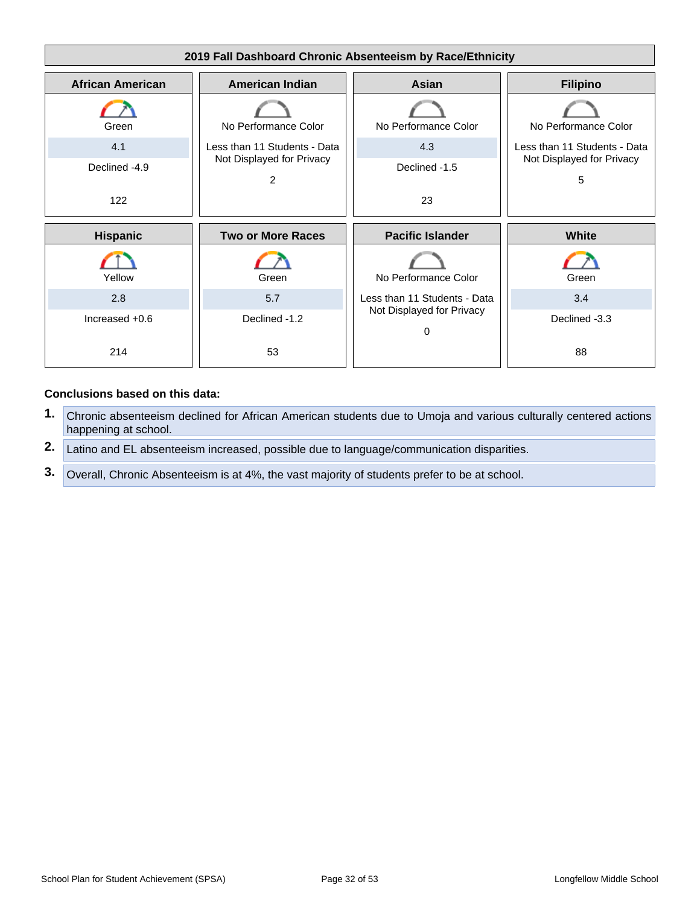

#### **Conclusions based on this data:**

- **1.** Chronic absenteeism declined for African American students due to Umoja and various culturally centered actions happening at school.
- **2.** Latino and EL absenteeism increased, possible due to language/communication disparities.
- **3.** Overall, Chronic Absenteeism is at 4%, the vast majority of students prefer to be at school.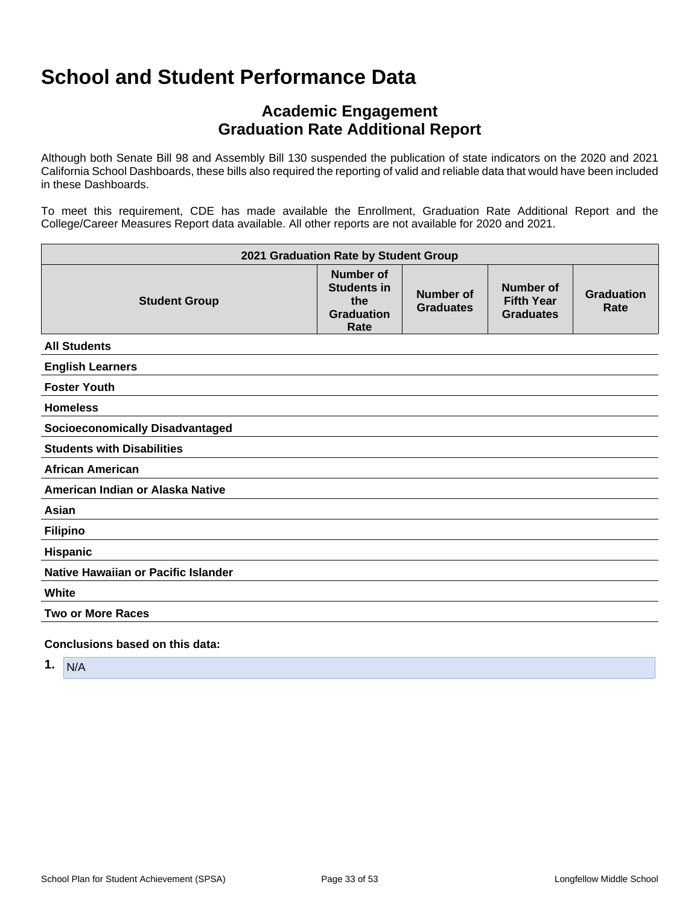## **Academic Engagement Graduation Rate Additional Report**

Although both Senate Bill 98 and Assembly Bill 130 suspended the publication of state indicators on the 2020 and 2021 California School Dashboards, these bills also required the reporting of valid and reliable data that would have been included in these Dashboards.

To meet this requirement, CDE has made available the Enrollment, Graduation Rate Additional Report and the College/Career Measures Report data available. All other reports are not available for 2020 and 2021.

| 2021 Graduation Rate by Student Group  |                                                                            |                                      |                                                           |                           |
|----------------------------------------|----------------------------------------------------------------------------|--------------------------------------|-----------------------------------------------------------|---------------------------|
| <b>Student Group</b>                   | <b>Number of</b><br><b>Students in</b><br>the<br><b>Graduation</b><br>Rate | <b>Number of</b><br><b>Graduates</b> | <b>Number of</b><br><b>Fifth Year</b><br><b>Graduates</b> | <b>Graduation</b><br>Rate |
| <b>All Students</b>                    |                                                                            |                                      |                                                           |                           |
| <b>English Learners</b>                |                                                                            |                                      |                                                           |                           |
| <b>Foster Youth</b>                    |                                                                            |                                      |                                                           |                           |
| <b>Homeless</b>                        |                                                                            |                                      |                                                           |                           |
| <b>Socioeconomically Disadvantaged</b> |                                                                            |                                      |                                                           |                           |
| <b>Students with Disabilities</b>      |                                                                            |                                      |                                                           |                           |
| <b>African American</b>                |                                                                            |                                      |                                                           |                           |
| American Indian or Alaska Native       |                                                                            |                                      |                                                           |                           |
| Asian                                  |                                                                            |                                      |                                                           |                           |
| <b>Filipino</b>                        |                                                                            |                                      |                                                           |                           |
| <b>Hispanic</b>                        |                                                                            |                                      |                                                           |                           |
| Native Hawaiian or Pacific Islander    |                                                                            |                                      |                                                           |                           |
| White                                  |                                                                            |                                      |                                                           |                           |
| <b>Two or More Races</b>               |                                                                            |                                      |                                                           |                           |
| Conclusions based on this data:        |                                                                            |                                      |                                                           |                           |

**1.** N/A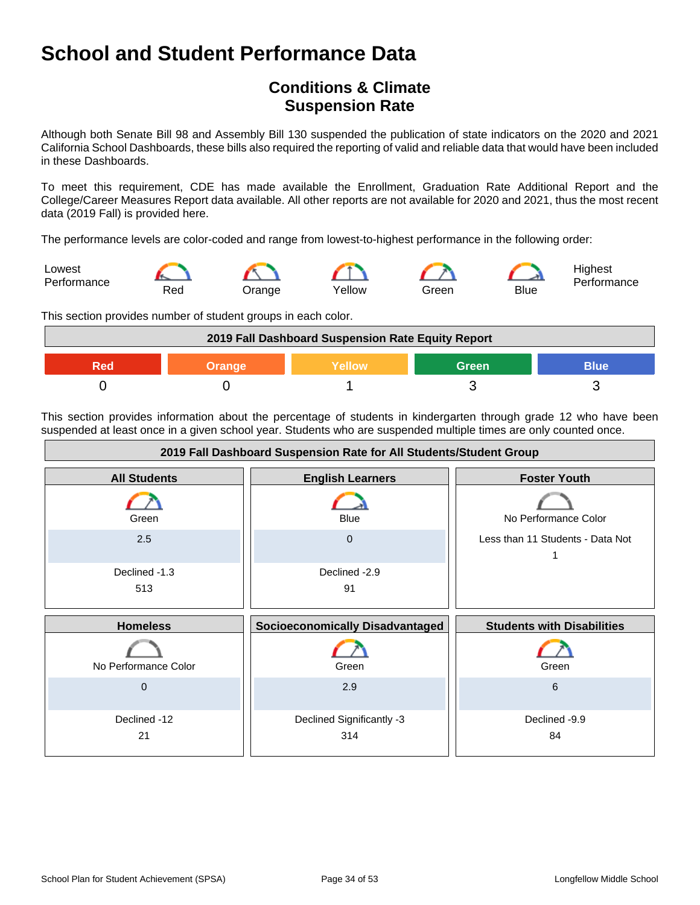## **Conditions & Climate Suspension Rate**

Although both Senate Bill 98 and Assembly Bill 130 suspended the publication of state indicators on the 2020 and 2021 California School Dashboards, these bills also required the reporting of valid and reliable data that would have been included in these Dashboards.

To meet this requirement, CDE has made available the Enrollment, Graduation Rate Additional Report and the College/Career Measures Report data available. All other reports are not available for 2020 and 2021, thus the most recent data (2019 Fall) is provided here.

The performance levels are color-coded and range from lowest-to-highest performance in the following order:



This section provides number of student groups in each color.



This section provides information about the percentage of students in kindergarten through grade 12 who have been suspended at least once in a given school year. Students who are suspended multiple times are only counted once.

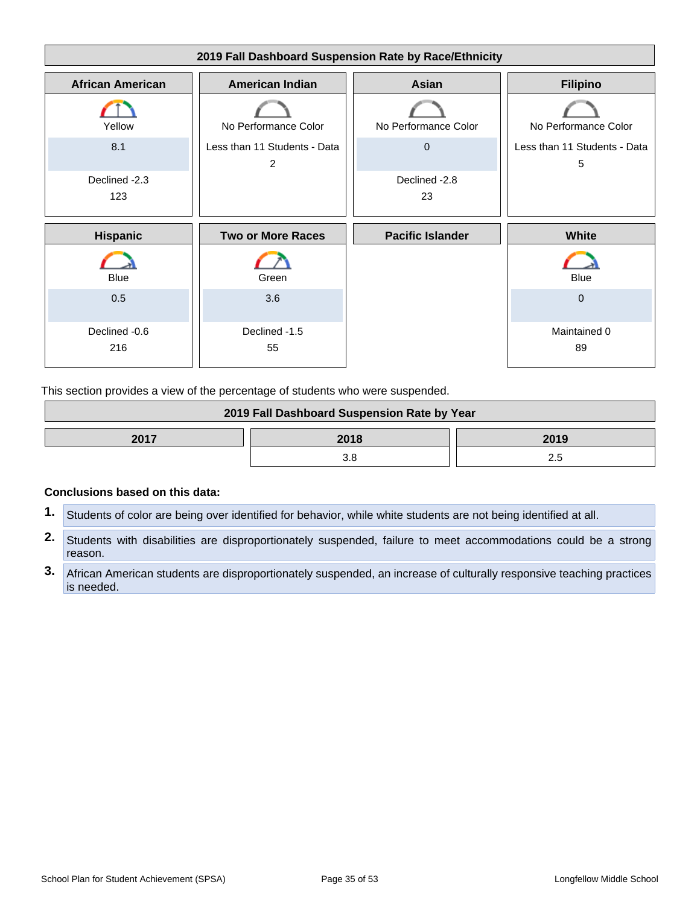

This section provides a view of the percentage of students who were suspended.

| 2019 Fall Dashboard Suspension Rate by Year |  |  |
|---------------------------------------------|--|--|
| 2017<br>2018<br>2019                        |  |  |
|                                             |  |  |

#### **Conclusions based on this data:**

- **1.** Students of color are being over identified for behavior, while white students are not being identified at all.
- **2.** Students with disabilities are disproportionately suspended, failure to meet accommodations could be a strong reason.
- **3.** African American students are disproportionately suspended, an increase of culturally responsive teaching practices is needed.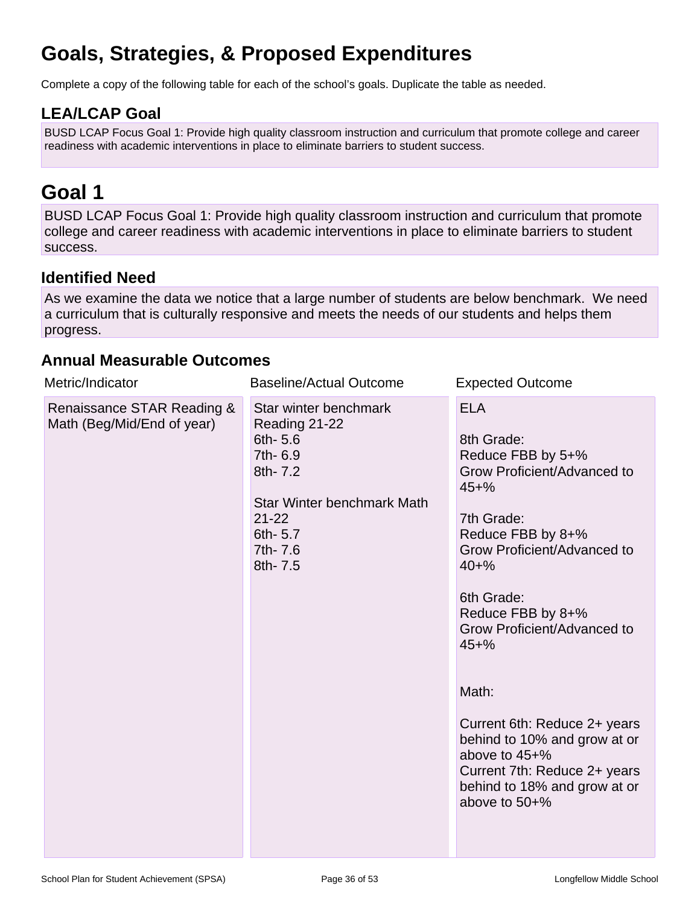# **Goals, Strategies, & Proposed Expenditures**

Complete a copy of the following table for each of the school's goals. Duplicate the table as needed.

## **LEA/LCAP Goal**

BUSD LCAP Focus Goal 1: Provide high quality classroom instruction and curriculum that promote college and career readiness with academic interventions in place to eliminate barriers to student success.

# **Goal 1**

BUSD LCAP Focus Goal 1: Provide high quality classroom instruction and curriculum that promote college and career readiness with academic interventions in place to eliminate barriers to student success.

## **Identified Need**

As we examine the data we notice that a large number of students are below benchmark. We need a curriculum that is culturally responsive and meets the needs of our students and helps them progress.

## **Annual Measurable Outcomes**

| Metric/Indicator                                         | <b>Baseline/Actual Outcome</b>                                                                                                                                 | <b>Expected Outcome</b>                                                                                                                                                                                                                                                                                                                                                                                                              |
|----------------------------------------------------------|----------------------------------------------------------------------------------------------------------------------------------------------------------------|--------------------------------------------------------------------------------------------------------------------------------------------------------------------------------------------------------------------------------------------------------------------------------------------------------------------------------------------------------------------------------------------------------------------------------------|
| Renaissance STAR Reading &<br>Math (Beg/Mid/End of year) | Star winter benchmark<br>Reading 21-22<br>6th-5.6<br>7th- 6.9<br>8th- 7.2<br><b>Star Winter benchmark Math</b><br>$21 - 22$<br>6th-5.7<br>7th- 7.6<br>8th- 7.5 | <b>ELA</b><br>8th Grade:<br>Reduce FBB by 5+%<br>Grow Proficient/Advanced to<br>$45 + \%$<br>7th Grade:<br>Reduce FBB by 8+%<br>Grow Proficient/Advanced to<br>$40 + \%$<br>6th Grade:<br>Reduce FBB by 8+%<br>Grow Proficient/Advanced to<br>$45 + \%$<br>Math:<br>Current 6th: Reduce 2+ years<br>behind to 10% and grow at or<br>above to 45+%<br>Current 7th: Reduce 2+ years<br>behind to 18% and grow at or<br>above to $50+%$ |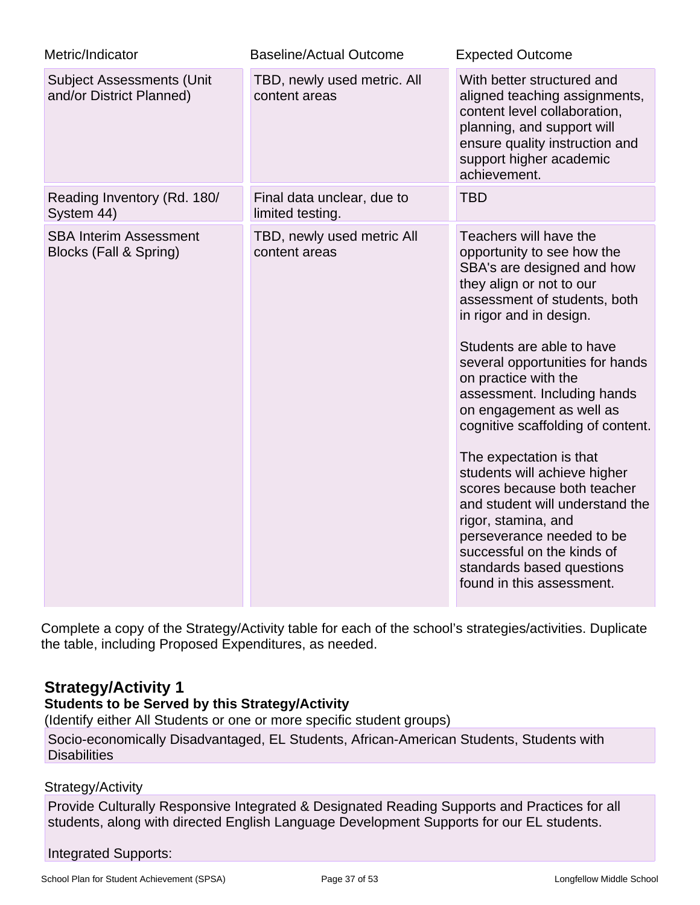| Metric/Indicator                                             | <b>Baseline/Actual Outcome</b>                 | <b>Expected Outcome</b>                                                                                                                                                                                                                                                                                                                                                                                                                                                                                                                                                                                                                    |
|--------------------------------------------------------------|------------------------------------------------|--------------------------------------------------------------------------------------------------------------------------------------------------------------------------------------------------------------------------------------------------------------------------------------------------------------------------------------------------------------------------------------------------------------------------------------------------------------------------------------------------------------------------------------------------------------------------------------------------------------------------------------------|
| <b>Subject Assessments (Unit</b><br>and/or District Planned) | TBD, newly used metric. All<br>content areas   | With better structured and<br>aligned teaching assignments,<br>content level collaboration,<br>planning, and support will<br>ensure quality instruction and<br>support higher academic<br>achievement.                                                                                                                                                                                                                                                                                                                                                                                                                                     |
| Reading Inventory (Rd. 180/<br>System 44)                    | Final data unclear, due to<br>limited testing. | <b>TBD</b>                                                                                                                                                                                                                                                                                                                                                                                                                                                                                                                                                                                                                                 |
| <b>SBA Interim Assessment</b><br>Blocks (Fall & Spring)      | TBD, newly used metric All<br>content areas    | Teachers will have the<br>opportunity to see how the<br>SBA's are designed and how<br>they align or not to our<br>assessment of students, both<br>in rigor and in design.<br>Students are able to have<br>several opportunities for hands<br>on practice with the<br>assessment. Including hands<br>on engagement as well as<br>cognitive scaffolding of content.<br>The expectation is that<br>students will achieve higher<br>scores because both teacher<br>and student will understand the<br>rigor, stamina, and<br>perseverance needed to be<br>successful on the kinds of<br>standards based questions<br>found in this assessment. |

Complete a copy of the Strategy/Activity table for each of the school's strategies/activities. Duplicate the table, including Proposed Expenditures, as needed.

## **Strategy/Activity 1**

## **Students to be Served by this Strategy/Activity**

(Identify either All Students or one or more specific student groups)

Socio-economically Disadvantaged, EL Students, African-American Students, Students with **Disabilities** 

## Strategy/Activity

Provide Culturally Responsive Integrated & Designated Reading Supports and Practices for all students, along with directed English Language Development Supports for our EL students.

## Integrated Supports: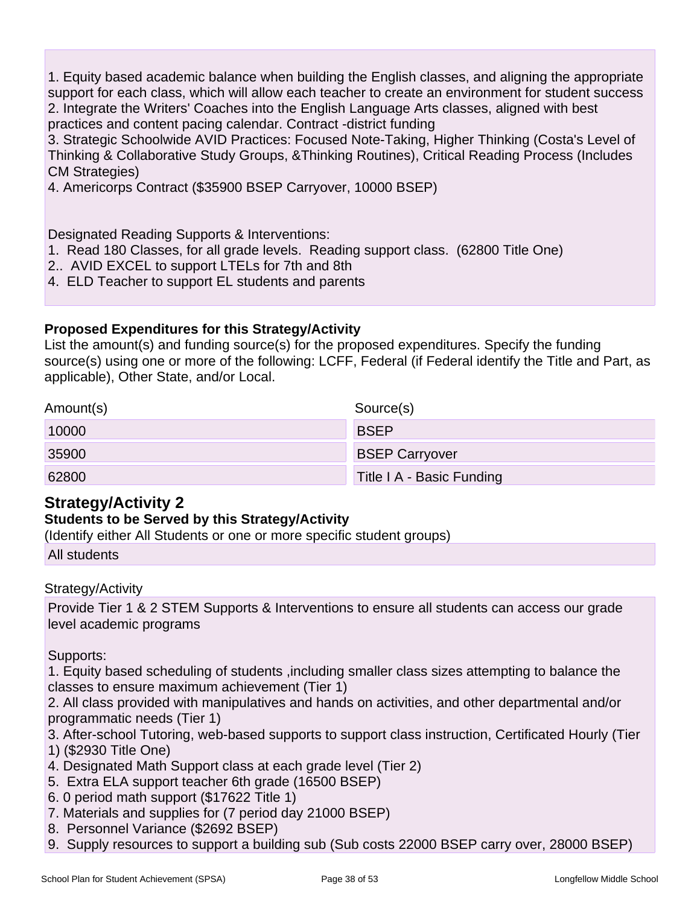1. Equity based academic balance when building the English classes, and aligning the appropriate support for each class, which will allow each teacher to create an environment for student success 2. Integrate the Writers' Coaches into the English Language Arts classes, aligned with best practices and content pacing calendar. Contract -district funding

3. Strategic Schoolwide AVID Practices: Focused Note-Taking, Higher Thinking (Costa's Level of Thinking & Collaborative Study Groups, &Thinking Routines), Critical Reading Process (Includes CM Strategies)

4. Americorps Contract (\$35900 BSEP Carryover, 10000 BSEP)

Designated Reading Supports & Interventions:

- 1. Read 180 Classes, for all grade levels. Reading support class. (62800 Title One)
- 2.. AVID EXCEL to support LTELs for 7th and 8th
- 4. ELD Teacher to support EL students and parents

### **Proposed Expenditures for this Strategy/Activity**

List the amount(s) and funding source(s) for the proposed expenditures. Specify the funding source(s) using one or more of the following: LCFF, Federal (if Federal identify the Title and Part, as applicable), Other State, and/or Local.

| Amount(s) | Source(s)                 |
|-----------|---------------------------|
| 10000     | <b>BSEP</b>               |
| 35900     | <b>BSEP Carryover</b>     |
| 62800     | Title I A - Basic Funding |

## **Strategy/Activity 2**

### **Students to be Served by this Strategy/Activity**

(Identify either All Students or one or more specific student groups)

All students

Strategy/Activity

Provide Tier 1 & 2 STEM Supports & Interventions to ensure all students can access our grade level academic programs

Supports:

1. Equity based scheduling of students ,including smaller class sizes attempting to balance the classes to ensure maximum achievement (Tier 1)

2. All class provided with manipulatives and hands on activities, and other departmental and/or programmatic needs (Tier 1)

3. After-school Tutoring, web-based supports to support class instruction, Certificated Hourly (Tier

1) (\$2930 Title One)

- 4. Designated Math Support class at each grade level (Tier 2)
- 5. Extra ELA support teacher 6th grade (16500 BSEP)
- 6. 0 period math support (\$17622 Title 1)
- 7. Materials and supplies for (7 period day 21000 BSEP)
- 8. Personnel Variance (\$2692 BSEP)
- 9. Supply resources to support a building sub (Sub costs 22000 BSEP carry over, 28000 BSEP)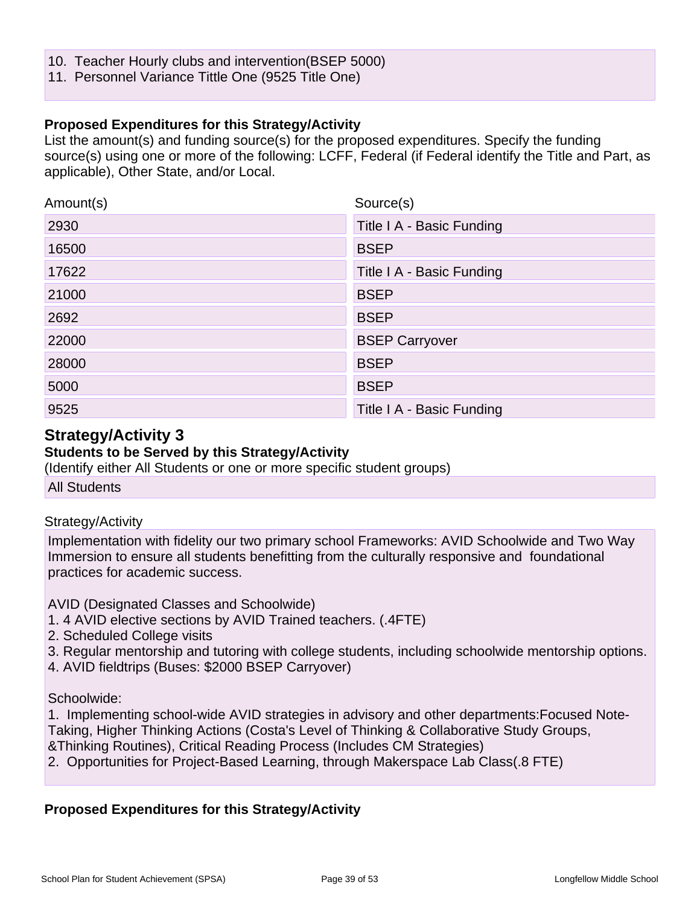- 10. Teacher Hourly clubs and intervention(BSEP 5000)
- 11. Personnel Variance Tittle One (9525 Title One)

### **Proposed Expenditures for this Strategy/Activity**

List the amount(s) and funding source(s) for the proposed expenditures. Specify the funding source(s) using one or more of the following: LCFF, Federal (if Federal identify the Title and Part, as applicable), Other State, and/or Local.

| Amount(s) | Source(s)                 |
|-----------|---------------------------|
| 2930      | Title I A - Basic Funding |
| 16500     | <b>BSEP</b>               |
| 17622     | Title I A - Basic Funding |
| 21000     | <b>BSEP</b>               |
| 2692      | <b>BSEP</b>               |
| 22000     | <b>BSEP Carryover</b>     |
| 28000     | <b>BSEP</b>               |
| 5000      | <b>BSEP</b>               |
| 9525      | Title I A - Basic Funding |

### **Strategy/Activity 3**

### **Students to be Served by this Strategy/Activity**

(Identify either All Students or one or more specific student groups)

All Students

### Strategy/Activity

Implementation with fidelity our two primary school Frameworks: AVID Schoolwide and Two Way Immersion to ensure all students benefitting from the culturally responsive and foundational practices for academic success.

AVID (Designated Classes and Schoolwide)

- 1. 4 AVID elective sections by AVID Trained teachers. (.4FTE)
- 2. Scheduled College visits
- 3. Regular mentorship and tutoring with college students, including schoolwide mentorship options.
- 4. AVID fieldtrips (Buses: \$2000 BSEP Carryover)

Schoolwide:

1. Implementing school-wide AVID strategies in advisory and other departments:Focused Note-Taking, Higher Thinking Actions (Costa's Level of Thinking & Collaborative Study Groups, &Thinking Routines), Critical Reading Process (Includes CM Strategies)

2. Opportunities for Project-Based Learning, through Makerspace Lab Class(.8 FTE)

### **Proposed Expenditures for this Strategy/Activity**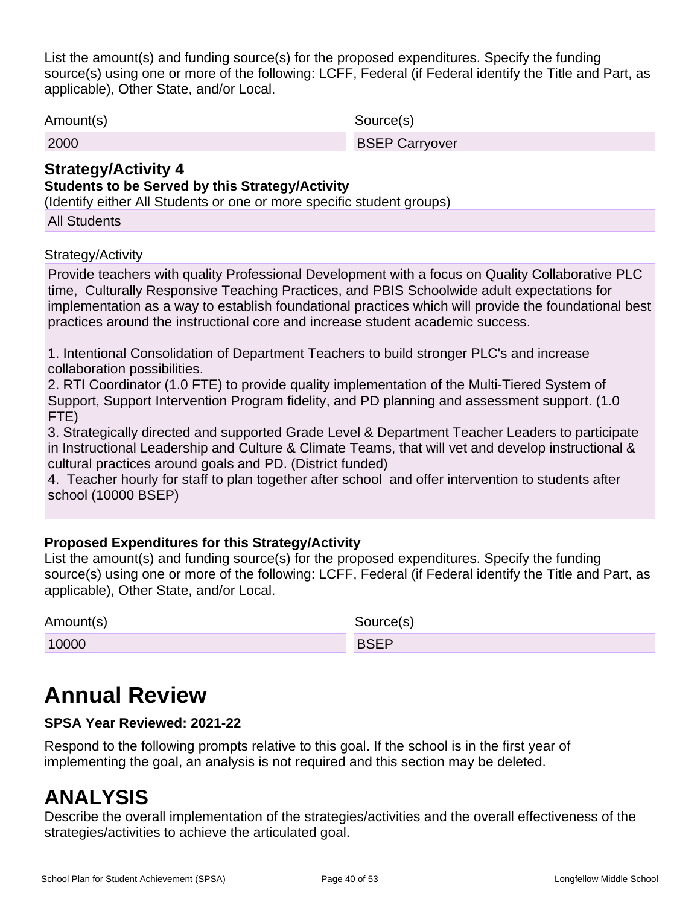List the amount(s) and funding source(s) for the proposed expenditures. Specify the funding source(s) using one or more of the following: LCFF, Federal (if Federal identify the Title and Part, as applicable), Other State, and/or Local.

Amount(s) Source(s)

| .<br>arryover<br>∠000<br>ור הר |
|--------------------------------|
|--------------------------------|

## **Strategy/Activity 4**

### **Students to be Served by this Strategy/Activity**

(Identify either All Students or one or more specific student groups)

All Students

### Strategy/Activity

Provide teachers with quality Professional Development with a focus on Quality Collaborative PLC time, Culturally Responsive Teaching Practices, and PBIS Schoolwide adult expectations for implementation as a way to establish foundational practices which will provide the foundational best practices around the instructional core and increase student academic success.

1. Intentional Consolidation of Department Teachers to build stronger PLC's and increase collaboration possibilities.

2. RTI Coordinator (1.0 FTE) to provide quality implementation of the Multi-Tiered System of Support, Support Intervention Program fidelity, and PD planning and assessment support. (1.0 FTE)

3. Strategically directed and supported Grade Level & Department Teacher Leaders to participate in Instructional Leadership and Culture & Climate Teams, that will vet and develop instructional & cultural practices around goals and PD. (District funded)

4. Teacher hourly for staff to plan together after school and offer intervention to students after school (10000 BSEP)

### **Proposed Expenditures for this Strategy/Activity**

List the amount(s) and funding source(s) for the proposed expenditures. Specify the funding source(s) using one or more of the following: LCFF, Federal (if Federal identify the Title and Part, as applicable), Other State, and/or Local.

| Amount(s) | Source(s)   |
|-----------|-------------|
| 10000     | <b>BSEP</b> |

# **Annual Review**

### **SPSA Year Reviewed: 2021-22**

Respond to the following prompts relative to this goal. If the school is in the first year of implementing the goal, an analysis is not required and this section may be deleted.

# **ANALYSIS**

Describe the overall implementation of the strategies/activities and the overall effectiveness of the strategies/activities to achieve the articulated goal.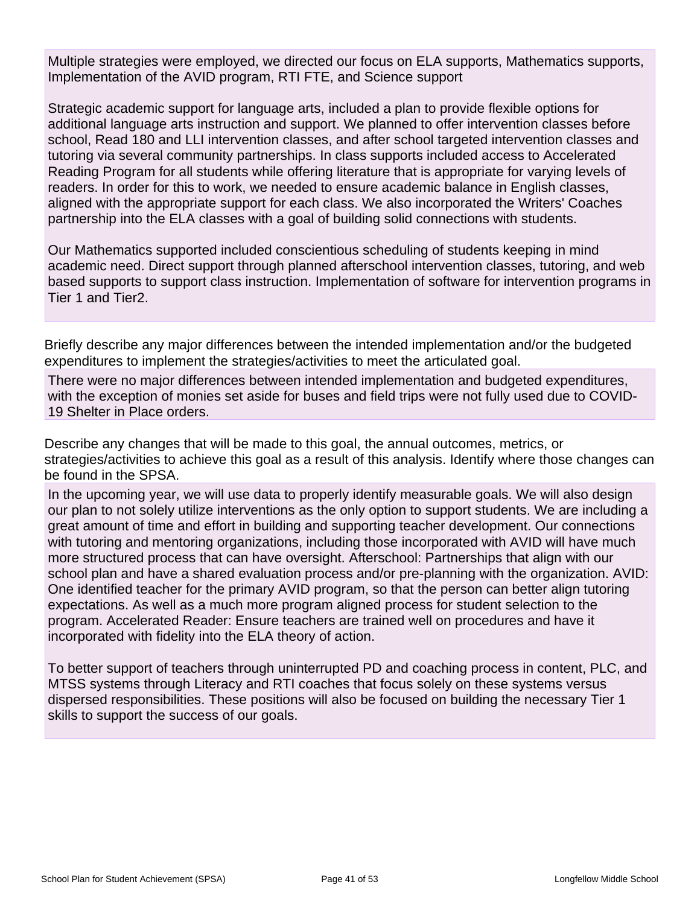Multiple strategies were employed, we directed our focus on ELA supports, Mathematics supports, Implementation of the AVID program, RTI FTE, and Science support

Strategic academic support for language arts, included a plan to provide flexible options for additional language arts instruction and support. We planned to offer intervention classes before school, Read 180 and LLI intervention classes, and after school targeted intervention classes and tutoring via several community partnerships. In class supports included access to Accelerated Reading Program for all students while offering literature that is appropriate for varying levels of readers. In order for this to work, we needed to ensure academic balance in English classes, aligned with the appropriate support for each class. We also incorporated the Writers' Coaches partnership into the ELA classes with a goal of building solid connections with students.

Our Mathematics supported included conscientious scheduling of students keeping in mind academic need. Direct support through planned afterschool intervention classes, tutoring, and web based supports to support class instruction. Implementation of software for intervention programs in Tier 1 and Tier2.

Briefly describe any major differences between the intended implementation and/or the budgeted expenditures to implement the strategies/activities to meet the articulated goal.

There were no major differences between intended implementation and budgeted expenditures, with the exception of monies set aside for buses and field trips were not fully used due to COVID-19 Shelter in Place orders.

Describe any changes that will be made to this goal, the annual outcomes, metrics, or strategies/activities to achieve this goal as a result of this analysis. Identify where those changes can be found in the SPSA.

In the upcoming year, we will use data to properly identify measurable goals. We will also design our plan to not solely utilize interventions as the only option to support students. We are including a great amount of time and effort in building and supporting teacher development. Our connections with tutoring and mentoring organizations, including those incorporated with AVID will have much more structured process that can have oversight. Afterschool: Partnerships that align with our school plan and have a shared evaluation process and/or pre-planning with the organization. AVID: One identified teacher for the primary AVID program, so that the person can better align tutoring expectations. As well as a much more program aligned process for student selection to the program. Accelerated Reader: Ensure teachers are trained well on procedures and have it incorporated with fidelity into the ELA theory of action.

To better support of teachers through uninterrupted PD and coaching process in content, PLC, and MTSS systems through Literacy and RTI coaches that focus solely on these systems versus dispersed responsibilities. These positions will also be focused on building the necessary Tier 1 skills to support the success of our goals.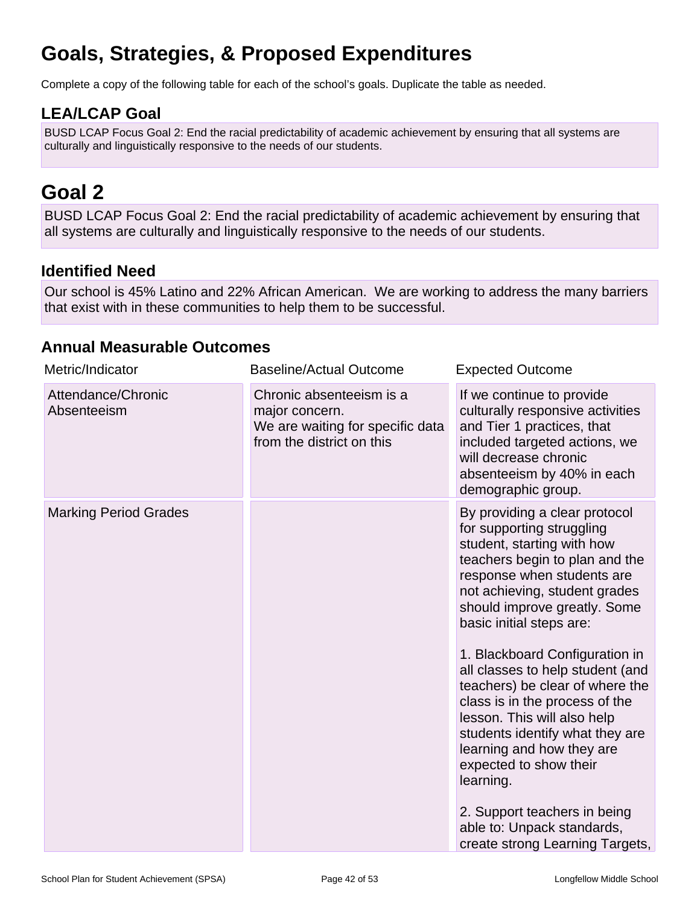# **Goals, Strategies, & Proposed Expenditures**

Complete a copy of the following table for each of the school's goals. Duplicate the table as needed.

## **LEA/LCAP Goal**

BUSD LCAP Focus Goal 2: End the racial predictability of academic achievement by ensuring that all systems are culturally and linguistically responsive to the needs of our students.

# **Goal 2**

BUSD LCAP Focus Goal 2: End the racial predictability of academic achievement by ensuring that all systems are culturally and linguistically responsive to the needs of our students.

## **Identified Need**

Our school is 45% Latino and 22% African American. We are working to address the many barriers that exist with in these communities to help them to be successful.

## **Annual Measurable Outcomes**

| Metric/Indicator                  | <b>Baseline/Actual Outcome</b>                                                                              | <b>Expected Outcome</b>                                                                                                                                                                                                                                                                                                                                                                                                                                                                                                                                                                                                                 |
|-----------------------------------|-------------------------------------------------------------------------------------------------------------|-----------------------------------------------------------------------------------------------------------------------------------------------------------------------------------------------------------------------------------------------------------------------------------------------------------------------------------------------------------------------------------------------------------------------------------------------------------------------------------------------------------------------------------------------------------------------------------------------------------------------------------------|
| Attendance/Chronic<br>Absenteeism | Chronic absenteeism is a<br>major concern.<br>We are waiting for specific data<br>from the district on this | If we continue to provide<br>culturally responsive activities<br>and Tier 1 practices, that<br>included targeted actions, we<br>will decrease chronic<br>absenteeism by 40% in each<br>demographic group.                                                                                                                                                                                                                                                                                                                                                                                                                               |
| <b>Marking Period Grades</b>      |                                                                                                             | By providing a clear protocol<br>for supporting struggling<br>student, starting with how<br>teachers begin to plan and the<br>response when students are<br>not achieving, student grades<br>should improve greatly. Some<br>basic initial steps are:<br>1. Blackboard Configuration in<br>all classes to help student (and<br>teachers) be clear of where the<br>class is in the process of the<br>lesson. This will also help<br>students identify what they are<br>learning and how they are<br>expected to show their<br>learning.<br>2. Support teachers in being<br>able to: Unpack standards,<br>create strong Learning Targets, |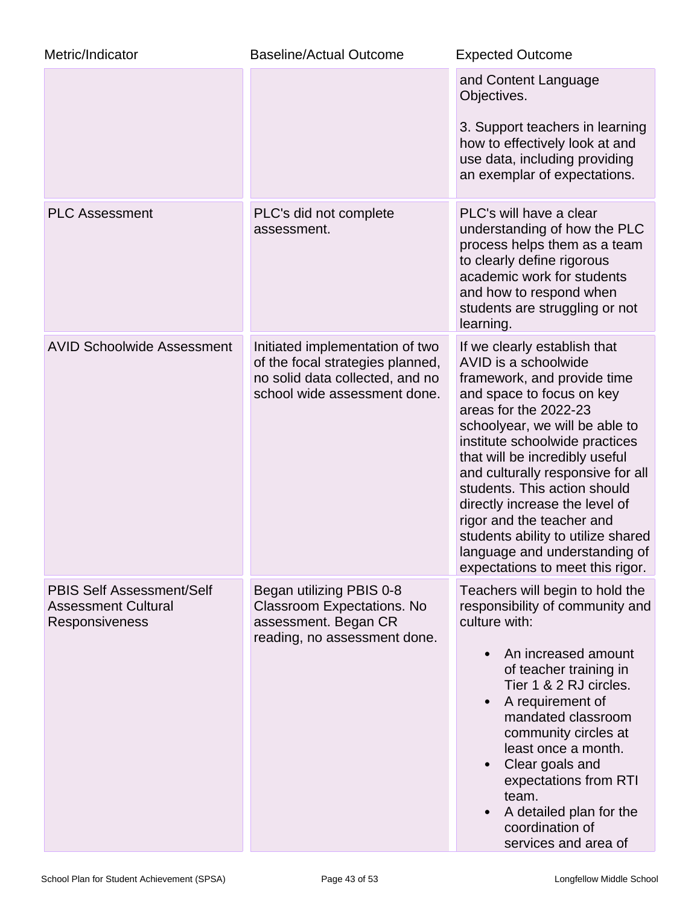| Metric/Indicator                                                                 | <b>Baseline/Actual Outcome</b>                                                                                                         | <b>Expected Outcome</b>                                                                                                                                                                                                                                                                                                                                                                                                                                                                        |
|----------------------------------------------------------------------------------|----------------------------------------------------------------------------------------------------------------------------------------|------------------------------------------------------------------------------------------------------------------------------------------------------------------------------------------------------------------------------------------------------------------------------------------------------------------------------------------------------------------------------------------------------------------------------------------------------------------------------------------------|
|                                                                                  |                                                                                                                                        | and Content Language<br>Objectives.                                                                                                                                                                                                                                                                                                                                                                                                                                                            |
|                                                                                  |                                                                                                                                        | 3. Support teachers in learning<br>how to effectively look at and<br>use data, including providing<br>an exemplar of expectations.                                                                                                                                                                                                                                                                                                                                                             |
| <b>PLC Assessment</b>                                                            | PLC's did not complete<br>assessment.                                                                                                  | PLC's will have a clear<br>understanding of how the PLC<br>process helps them as a team<br>to clearly define rigorous<br>academic work for students<br>and how to respond when<br>students are struggling or not<br>learning.                                                                                                                                                                                                                                                                  |
| <b>AVID Schoolwide Assessment</b>                                                | Initiated implementation of two<br>of the focal strategies planned,<br>no solid data collected, and no<br>school wide assessment done. | If we clearly establish that<br>AVID is a schoolwide<br>framework, and provide time<br>and space to focus on key<br>areas for the 2022-23<br>schoolyear, we will be able to<br>institute schoolwide practices<br>that will be incredibly useful<br>and culturally responsive for all<br>students. This action should<br>directly increase the level of<br>rigor and the teacher and<br>students ability to utilize shared<br>language and understanding of<br>expectations to meet this rigor. |
| <b>PBIS Self Assessment/Self</b><br><b>Assessment Cultural</b><br>Responsiveness | Began utilizing PBIS 0-8<br>Classroom Expectations. No<br>assessment. Began CR<br>reading, no assessment done.                         | Teachers will begin to hold the<br>responsibility of community and<br>culture with:<br>An increased amount<br>of teacher training in<br>Tier 1 & 2 RJ circles.<br>A requirement of<br>mandated classroom<br>community circles at<br>least once a month.<br>Clear goals and<br>expectations from RTI<br>team.<br>A detailed plan for the<br>coordination of<br>services and area of                                                                                                             |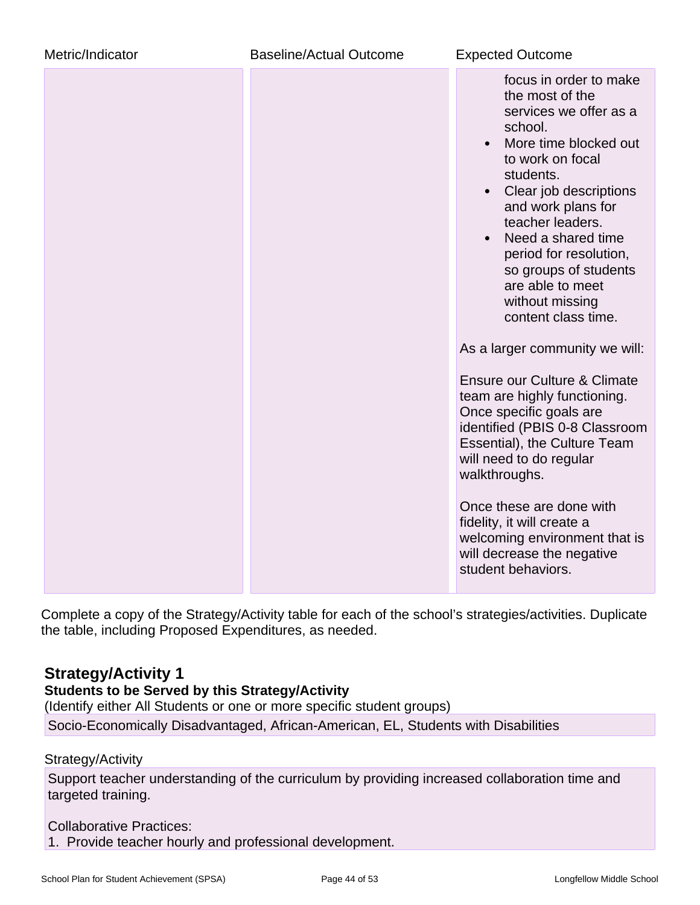| Metric/Indicator<br><b>Baseline/Actual Outcome</b> |  | <b>Expected Outcome</b>                                                                                                                                                                                                                                                                                                                                                       |
|----------------------------------------------------|--|-------------------------------------------------------------------------------------------------------------------------------------------------------------------------------------------------------------------------------------------------------------------------------------------------------------------------------------------------------------------------------|
|                                                    |  | focus in order to make<br>the most of the<br>services we offer as a<br>school.<br>More time blocked out<br>$\bullet$<br>to work on focal<br>students.<br>Clear job descriptions<br>and work plans for<br>teacher leaders.<br>Need a shared time<br>$\bullet$<br>period for resolution,<br>so groups of students<br>are able to meet<br>without missing<br>content class time. |
|                                                    |  | As a larger community we will:<br><b>Ensure our Culture &amp; Climate</b><br>team are highly functioning.<br>Once specific goals are<br>identified (PBIS 0-8 Classroom<br>Essential), the Culture Team<br>will need to do regular<br>walkthroughs.                                                                                                                            |
|                                                    |  | Once these are done with<br>fidelity, it will create a<br>welcoming environment that is<br>will decrease the negative<br>student behaviors.                                                                                                                                                                                                                                   |

Complete a copy of the Strategy/Activity table for each of the school's strategies/activities. Duplicate the table, including Proposed Expenditures, as needed.

## **Strategy/Activity 1**

## **Students to be Served by this Strategy/Activity**

(Identify either All Students or one or more specific student groups)

Socio-Economically Disadvantaged, African-American, EL, Students with Disabilities

### Strategy/Activity

Support teacher understanding of the curriculum by providing increased collaboration time and targeted training.

### Collaborative Practices:

1. Provide teacher hourly and professional development.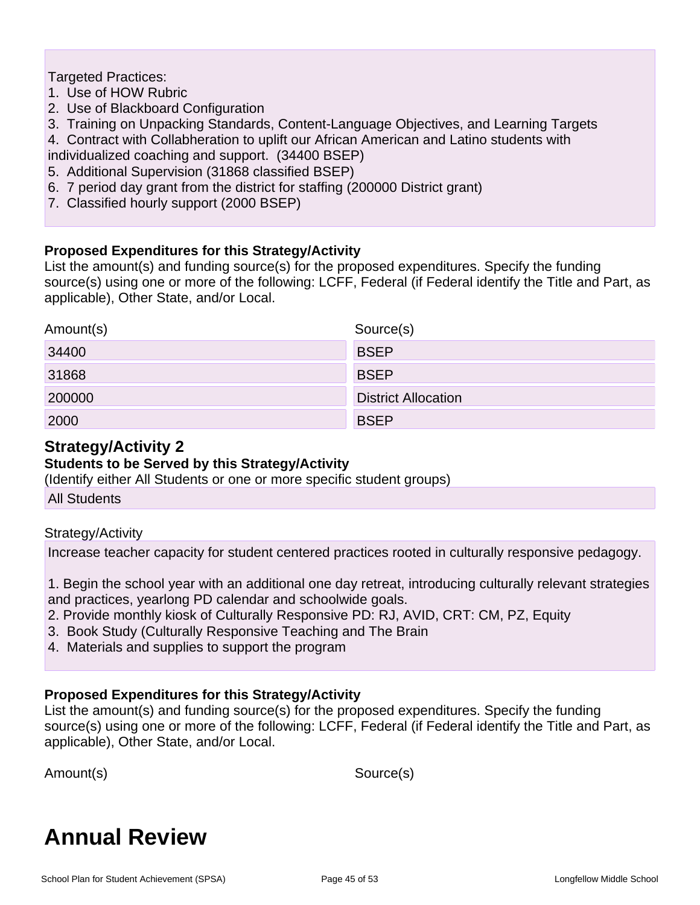Targeted Practices:

- 1. Use of HOW Rubric
- 2. Use of Blackboard Configuration
- 3. Training on Unpacking Standards, Content-Language Objectives, and Learning Targets
- 4. Contract with Collabheration to uplift our African American and Latino students with
- individualized coaching and support. (34400 BSEP)
- 5. Additional Supervision (31868 classified BSEP)
- 6. 7 period day grant from the district for staffing (200000 District grant)
- 7. Classified hourly support (2000 BSEP)

### **Proposed Expenditures for this Strategy/Activity**

List the amount(s) and funding source(s) for the proposed expenditures. Specify the funding source(s) using one or more of the following: LCFF, Federal (if Federal identify the Title and Part, as applicable), Other State, and/or Local.

| Amount(s) | Source(s)                  |
|-----------|----------------------------|
| 34400     | <b>BSEP</b>                |
| 31868     | <b>BSEP</b>                |
| 200000    | <b>District Allocation</b> |
| 2000      | <b>BSEP</b>                |

## **Strategy/Activity 2**

### **Students to be Served by this Strategy/Activity**

(Identify either All Students or one or more specific student groups)

All Students

### Strategy/Activity

Increase teacher capacity for student centered practices rooted in culturally responsive pedagogy.

1. Begin the school year with an additional one day retreat, introducing culturally relevant strategies and practices, yearlong PD calendar and schoolwide goals.

- 2. Provide monthly kiosk of Culturally Responsive PD: RJ, AVID, CRT: CM, PZ, Equity
- 3. Book Study (Culturally Responsive Teaching and The Brain
- 4. Materials and supplies to support the program

### **Proposed Expenditures for this Strategy/Activity**

List the amount(s) and funding source(s) for the proposed expenditures. Specify the funding source(s) using one or more of the following: LCFF, Federal (if Federal identify the Title and Part, as applicable), Other State, and/or Local.

Amount(s) Source(s)

# **Annual Review**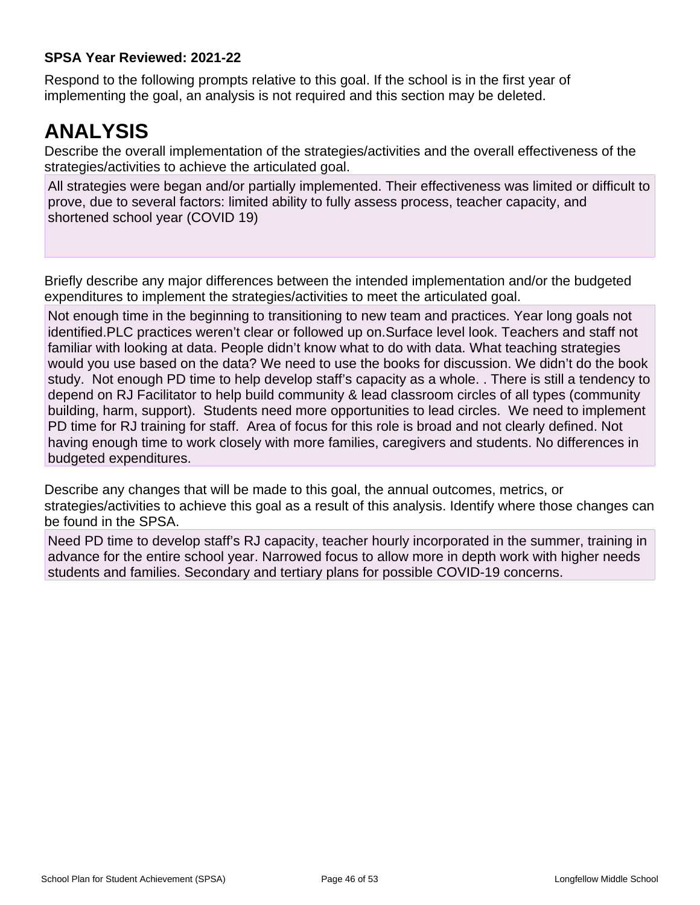### **SPSA Year Reviewed: 2021-22**

Respond to the following prompts relative to this goal. If the school is in the first year of implementing the goal, an analysis is not required and this section may be deleted.

# **ANALYSIS**

Describe the overall implementation of the strategies/activities and the overall effectiveness of the strategies/activities to achieve the articulated goal.

All strategies were began and/or partially implemented. Their effectiveness was limited or difficult to prove, due to several factors: limited ability to fully assess process, teacher capacity, and shortened school year (COVID 19)

Briefly describe any major differences between the intended implementation and/or the budgeted expenditures to implement the strategies/activities to meet the articulated goal.

Not enough time in the beginning to transitioning to new team and practices. Year long goals not identified.PLC practices weren't clear or followed up on.Surface level look. Teachers and staff not familiar with looking at data. People didn't know what to do with data. What teaching strategies would you use based on the data? We need to use the books for discussion. We didn't do the book study. Not enough PD time to help develop staff's capacity as a whole. . There is still a tendency to depend on RJ Facilitator to help build community & lead classroom circles of all types (community building, harm, support). Students need more opportunities to lead circles. We need to implement PD time for RJ training for staff. Area of focus for this role is broad and not clearly defined. Not having enough time to work closely with more families, caregivers and students. No differences in budgeted expenditures.

Describe any changes that will be made to this goal, the annual outcomes, metrics, or strategies/activities to achieve this goal as a result of this analysis. Identify where those changes can be found in the SPSA.

Need PD time to develop staff's RJ capacity, teacher hourly incorporated in the summer, training in advance for the entire school year. Narrowed focus to allow more in depth work with higher needs students and families. Secondary and tertiary plans for possible COVID-19 concerns.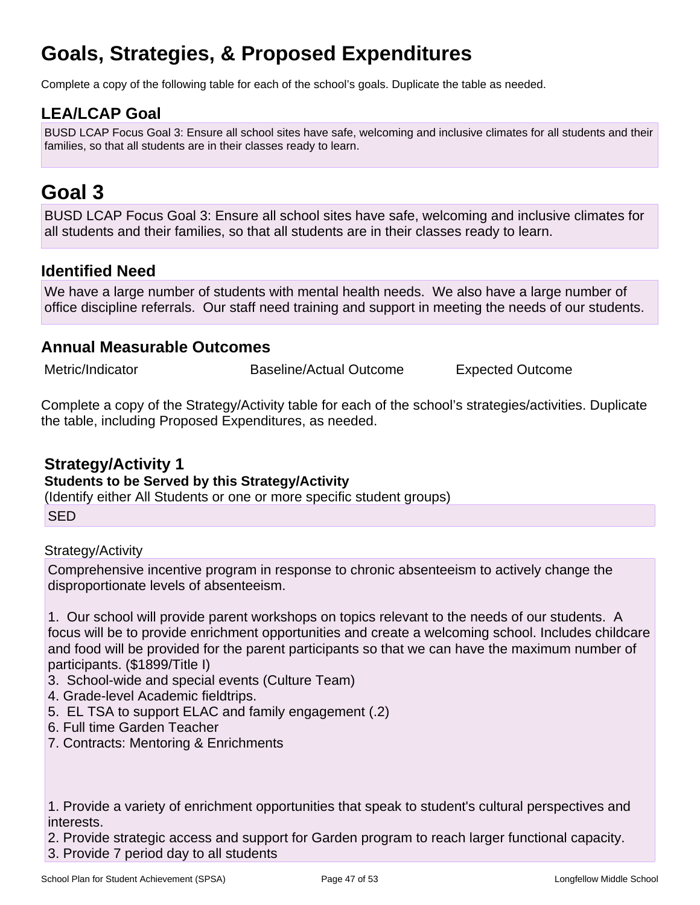# **Goals, Strategies, & Proposed Expenditures**

Complete a copy of the following table for each of the school's goals. Duplicate the table as needed.

## **LEA/LCAP Goal**

BUSD LCAP Focus Goal 3: Ensure all school sites have safe, welcoming and inclusive climates for all students and their families, so that all students are in their classes ready to learn.

# **Goal 3**

BUSD LCAP Focus Goal 3: Ensure all school sites have safe, welcoming and inclusive climates for all students and their families, so that all students are in their classes ready to learn.

## **Identified Need**

We have a large number of students with mental health needs. We also have a large number of office discipline referrals. Our staff need training and support in meeting the needs of our students.

### **Annual Measurable Outcomes**

Metric/Indicator Baseline/Actual Outcome Expected Outcome

Complete a copy of the Strategy/Activity table for each of the school's strategies/activities. Duplicate the table, including Proposed Expenditures, as needed.

## **Strategy/Activity 1**

### **Students to be Served by this Strategy/Activity**

(Identify either All Students or one or more specific student groups)

**SED** 

Strategy/Activity

Comprehensive incentive program in response to chronic absenteeism to actively change the disproportionate levels of absenteeism.

1. Our school will provide parent workshops on topics relevant to the needs of our students. A focus will be to provide enrichment opportunities and create a welcoming school. Includes childcare and food will be provided for the parent participants so that we can have the maximum number of participants. (\$1899/Title I)

- 3. School-wide and special events (Culture Team)
- 4. Grade-level Academic fieldtrips.
- 5. EL TSA to support ELAC and family engagement (.2)
- 6. Full time Garden Teacher
- 7. Contracts: Mentoring & Enrichments

1. Provide a variety of enrichment opportunities that speak to student's cultural perspectives and interests.

2. Provide strategic access and support for Garden program to reach larger functional capacity.

3. Provide 7 period day to all students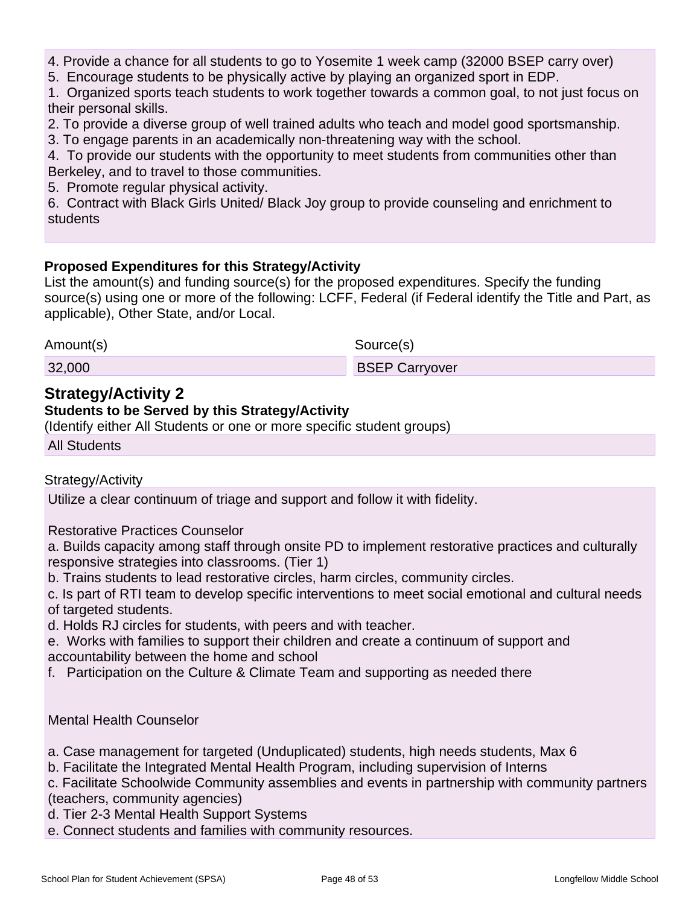- 4. Provide a chance for all students to go to Yosemite 1 week camp (32000 BSEP carry over)
- 5. Encourage students to be physically active by playing an organized sport in EDP.
- 1. Organized sports teach students to work together towards a common goal, to not just focus on their personal skills.
- 2. To provide a diverse group of well trained adults who teach and model good sportsmanship.
- 3. To engage parents in an academically non-threatening way with the school.

4. To provide our students with the opportunity to meet students from communities other than Berkeley, and to travel to those communities.

5. Promote regular physical activity.

6. Contract with Black Girls United/ Black Joy group to provide counseling and enrichment to students

### **Proposed Expenditures for this Strategy/Activity**

List the amount(s) and funding source(s) for the proposed expenditures. Specify the funding source(s) using one or more of the following: LCFF, Federal (if Federal identify the Title and Part, as applicable), Other State, and/or Local.

Amount(s) Source(s)

32,000 BSEP Carryover

## **Strategy/Activity 2**

### **Students to be Served by this Strategy/Activity**

(Identify either All Students or one or more specific student groups)

All Students

### Strategy/Activity

Utilize a clear continuum of triage and support and follow it with fidelity.

Restorative Practices Counselor

a. Builds capacity among staff through onsite PD to implement restorative practices and culturally responsive strategies into classrooms. (Tier 1)

b. Trains students to lead restorative circles, harm circles, community circles.

c. Is part of RTI team to develop specific interventions to meet social emotional and cultural needs of targeted students.

d. Holds RJ circles for students, with peers and with teacher.

e. Works with families to support their children and create a continuum of support and accountability between the home and school

f. Participation on the Culture & Climate Team and supporting as needed there

### Mental Health Counselor

- a. Case management for targeted (Unduplicated) students, high needs students, Max 6
- b. Facilitate the Integrated Mental Health Program, including supervision of Interns

c. Facilitate Schoolwide Community assemblies and events in partnership with community partners (teachers, community agencies)

d. Tier 2-3 Mental Health Support Systems

e. Connect students and families with community resources.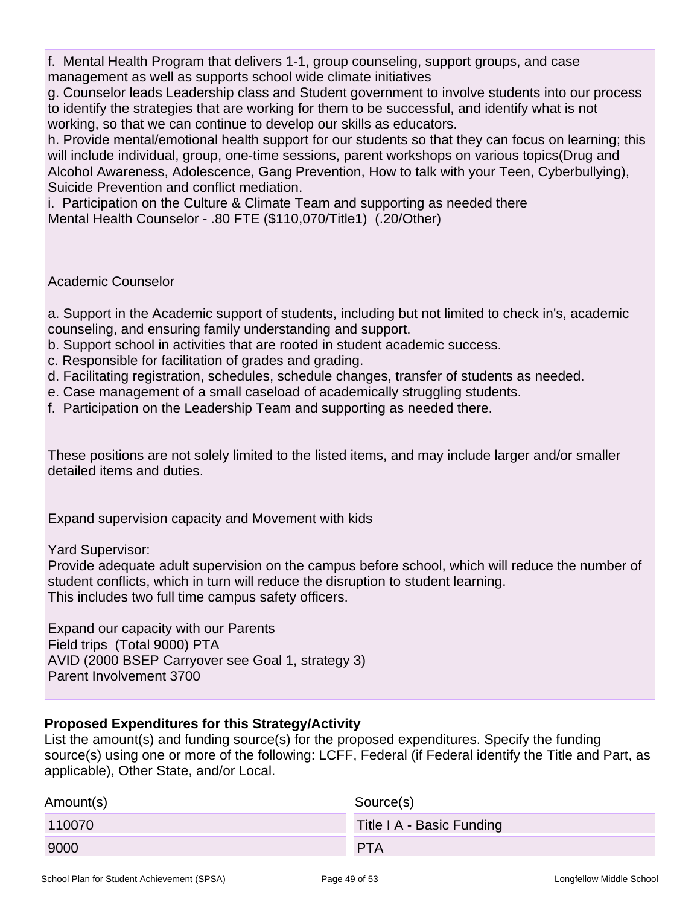f. Mental Health Program that delivers 1-1, group counseling, support groups, and case management as well as supports school wide climate initiatives

g. Counselor leads Leadership class and Student government to involve students into our process to identify the strategies that are working for them to be successful, and identify what is not working, so that we can continue to develop our skills as educators.

h. Provide mental/emotional health support for our students so that they can focus on learning; this will include individual, group, one-time sessions, parent workshops on various topics(Drug and Alcohol Awareness, Adolescence, Gang Prevention, How to talk with your Teen, Cyberbullying), Suicide Prevention and conflict mediation.

i. Participation on the Culture & Climate Team and supporting as needed there Mental Health Counselor - .80 FTE (\$110,070/Title1) (.20/Other)

### Academic Counselor

a. Support in the Academic support of students, including but not limited to check in's, academic counseling, and ensuring family understanding and support.

- b. Support school in activities that are rooted in student academic success.
- c. Responsible for facilitation of grades and grading.
- d. Facilitating registration, schedules, schedule changes, transfer of students as needed.
- e. Case management of a small caseload of academically struggling students.
- f. Participation on the Leadership Team and supporting as needed there.

These positions are not solely limited to the listed items, and may include larger and/or smaller detailed items and duties.

Expand supervision capacity and Movement with kids

Yard Supervisor:

Provide adequate adult supervision on the campus before school, which will reduce the number of student conflicts, which in turn will reduce the disruption to student learning. This includes two full time campus safety officers.

Expand our capacity with our Parents Field trips (Total 9000) PTA AVID (2000 BSEP Carryover see Goal 1, strategy 3) Parent Involvement 3700

### **Proposed Expenditures for this Strategy/Activity**

List the amount(s) and funding source(s) for the proposed expenditures. Specify the funding source(s) using one or more of the following: LCFF, Federal (if Federal identify the Title and Part, as applicable), Other State, and/or Local.

| Amount(s) | Source(s)                 |
|-----------|---------------------------|
| 110070    | Title I A - Basic Funding |
| 9000      | <b>PTA</b>                |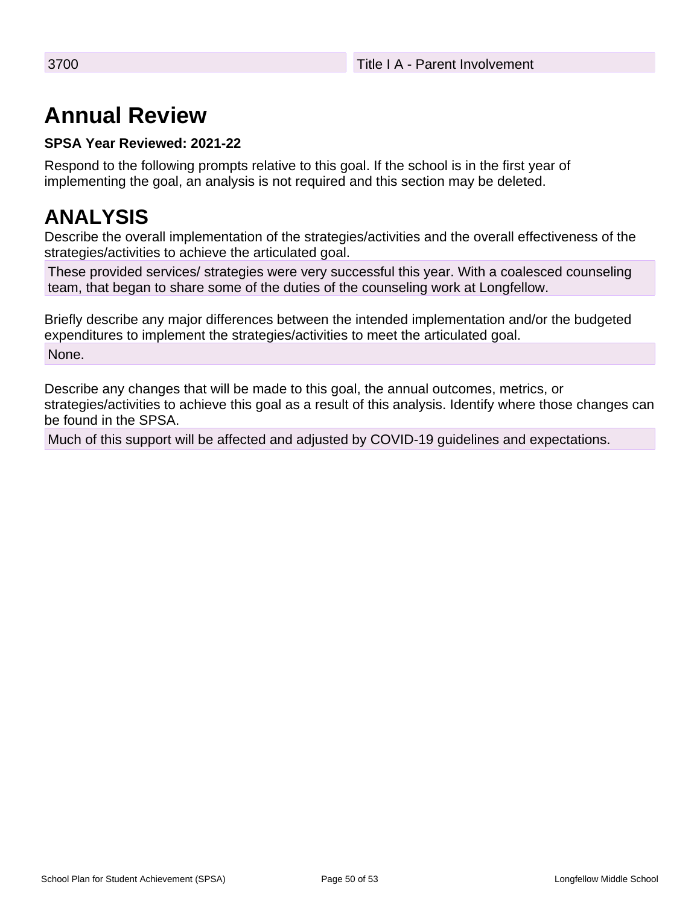# **Annual Review**

### **SPSA Year Reviewed: 2021-22**

Respond to the following prompts relative to this goal. If the school is in the first year of implementing the goal, an analysis is not required and this section may be deleted.

# **ANALYSIS**

Describe the overall implementation of the strategies/activities and the overall effectiveness of the strategies/activities to achieve the articulated goal.

These provided services/ strategies were very successful this year. With a coalesced counseling team, that began to share some of the duties of the counseling work at Longfellow.

Briefly describe any major differences between the intended implementation and/or the budgeted expenditures to implement the strategies/activities to meet the articulated goal. None.

Describe any changes that will be made to this goal, the annual outcomes, metrics, or strategies/activities to achieve this goal as a result of this analysis. Identify where those changes can be found in the SPSA.

Much of this support will be affected and adjusted by COVID-19 guidelines and expectations.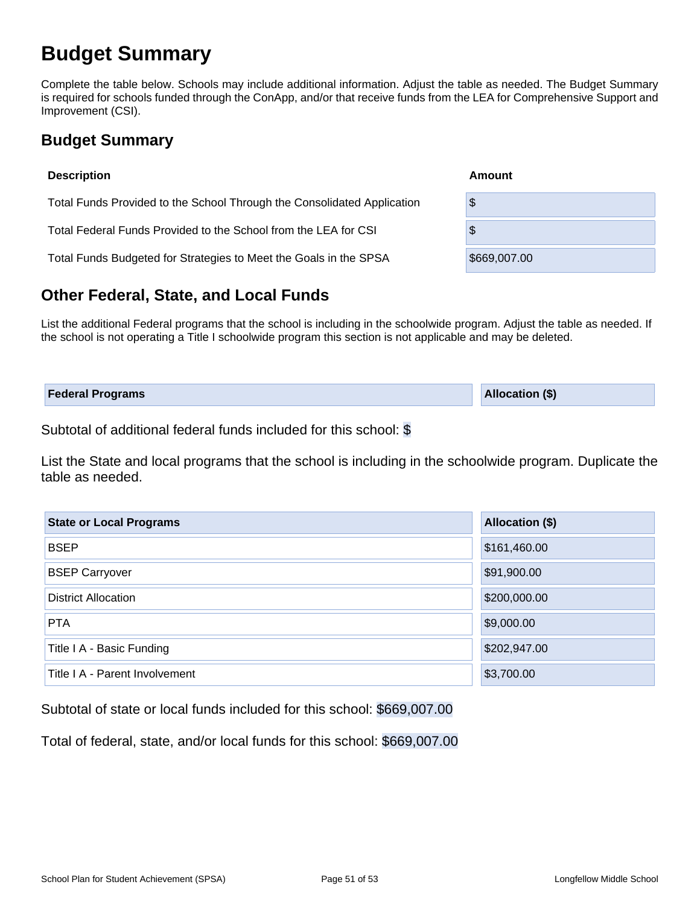# **Budget Summary**

Complete the table below. Schools may include additional information. Adjust the table as needed. The Budget Summary is required for schools funded through the ConApp, and/or that receive funds from the LEA for Comprehensive Support and Improvement (CSI).

## **Budget Summary**

| <b>Description</b>                                                      | Amount       |  |  |  |  |  |
|-------------------------------------------------------------------------|--------------|--|--|--|--|--|
| Total Funds Provided to the School Through the Consolidated Application | \$           |  |  |  |  |  |
| Total Federal Funds Provided to the School from the LEA for CSI         | \$           |  |  |  |  |  |
| Total Funds Budgeted for Strategies to Meet the Goals in the SPSA       | \$669,007.00 |  |  |  |  |  |
|                                                                         |              |  |  |  |  |  |

## **Other Federal, State, and Local Funds**

List the additional Federal programs that the school is including in the schoolwide program. Adjust the table as needed. If the school is not operating a Title I schoolwide program this section is not applicable and may be deleted.

| <b>Federal Programs</b> | <b>Allocation (\$)</b> |
|-------------------------|------------------------|
|                         |                        |

Subtotal of additional federal funds included for this school: \$

List the State and local programs that the school is including in the schoolwide program. Duplicate the table as needed.

| <b>State or Local Programs</b> | Allocation (\$) |  |  |  |  |
|--------------------------------|-----------------|--|--|--|--|
| <b>BSEP</b>                    | \$161,460.00    |  |  |  |  |
| <b>BSEP Carryover</b>          | \$91,900.00     |  |  |  |  |
| <b>District Allocation</b>     | \$200,000.00    |  |  |  |  |
| <b>PTA</b>                     | \$9,000.00      |  |  |  |  |
| Title I A - Basic Funding      | \$202,947.00    |  |  |  |  |
| Title I A - Parent Involvement | \$3,700.00      |  |  |  |  |

Subtotal of state or local funds included for this school: \$669,007.00

Total of federal, state, and/or local funds for this school: \$669,007.00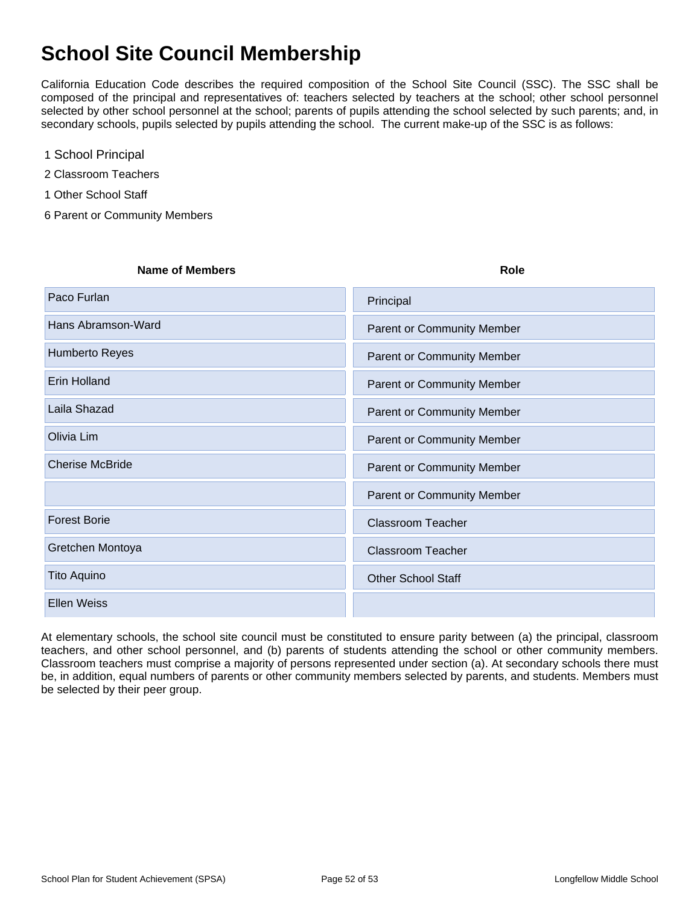# **School Site Council Membership**

California Education Code describes the required composition of the School Site Council (SSC). The SSC shall be composed of the principal and representatives of: teachers selected by teachers at the school; other school personnel selected by other school personnel at the school; parents of pupils attending the school selected by such parents; and, in secondary schools, pupils selected by pupils attending the school. The current make-up of the SSC is as follows:

- 1 School Principal
- 2 Classroom Teachers
- 1 Other School Staff
- 6 Parent or Community Members

| <b>Name of Members</b> | <b>Role</b>                       |
|------------------------|-----------------------------------|
| Paco Furlan            | Principal                         |
| Hans Abramson-Ward     | <b>Parent or Community Member</b> |
| Humberto Reyes         | <b>Parent or Community Member</b> |
| <b>Erin Holland</b>    | Parent or Community Member        |
| Laila Shazad           | <b>Parent or Community Member</b> |
| Olivia Lim             | <b>Parent or Community Member</b> |
| <b>Cherise McBride</b> | <b>Parent or Community Member</b> |
|                        | <b>Parent or Community Member</b> |
| <b>Forest Borie</b>    | <b>Classroom Teacher</b>          |
| Gretchen Montoya       | <b>Classroom Teacher</b>          |
| Tito Aquino            | <b>Other School Staff</b>         |
| <b>Ellen Weiss</b>     |                                   |

At elementary schools, the school site council must be constituted to ensure parity between (a) the principal, classroom teachers, and other school personnel, and (b) parents of students attending the school or other community members. Classroom teachers must comprise a majority of persons represented under section (a). At secondary schools there must be, in addition, equal numbers of parents or other community members selected by parents, and students. Members must be selected by their peer group.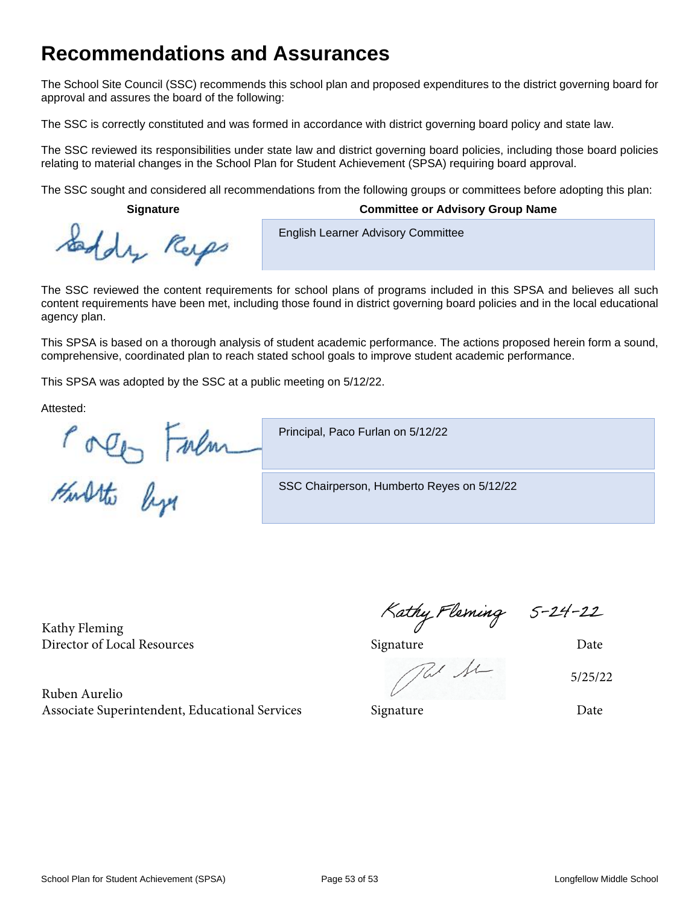# **Recommendations and Assurances**

The School Site Council (SSC) recommends this school plan and proposed expenditures to the district governing board for approval and assures the board of the following:

The SSC is correctly constituted and was formed in accordance with district governing board policy and state law.

The SSC reviewed its responsibilities under state law and district governing board policies, including those board policies relating to material changes in the School Plan for Student Achievement (SPSA) requiring board approval.

The SSC sought and considered all recommendations from the following groups or committees before adopting this plan:

#### **Signature Committee or Advisory Group Name**

Early Respo

**English Learner Advisory Committee** 

The SSC reviewed the content requirements for school plans of programs included in this SPSA and believes all such content requirements have been met, including those found in district governing board policies and in the local educational agency plan.

This SPSA is based on a thorough analysis of student academic performance. The actions proposed herein form a sound, comprehensive, coordinated plan to reach stated school goals to improve student academic performance.

This SPSA was adopted by the SSC at a public meeting on 5/12/22.

Attested:

Porte Falm

Principal, Paco Furlan on 5/12/22

SSC Chairperson, Humberto Reyes on 5/12/22

Kathy Fleming Director of Local Resources and Date Signature Signature Date

Ruben Aurelio Associate Superintendent, Educational Services Signature Signature Date

5/25/22